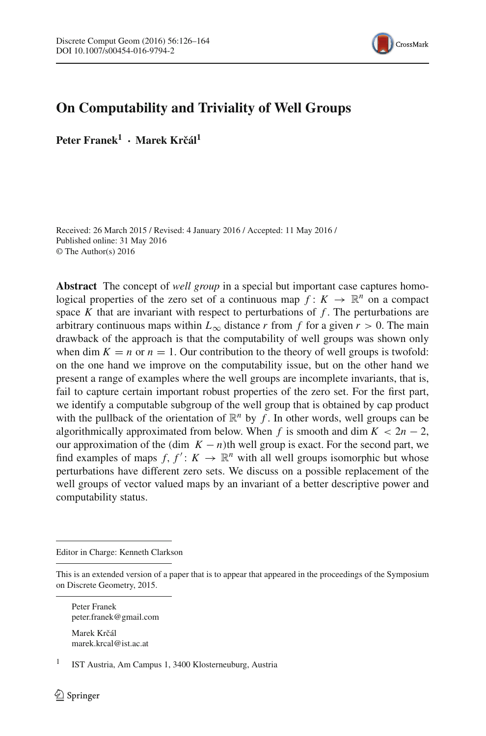

# **On Computability and Triviality of Well Groups**

**Peter Franek1 · Marek Krˇcál<sup>1</sup>**

Received: 26 March 2015 / Revised: 4 January 2016 / Accepted: 11 May 2016 / Published online: 31 May 2016 © The Author(s) 2016

**Abstract** The concept of *well group* in a special but important case captures homological properties of the zero set of a continuous map  $f: K \to \mathbb{R}^n$  on a compact space *K* that are invariant with respect to perturbations of *f* . The perturbations are arbitrary continuous maps within  $L_{\infty}$  distance *r* from *f* for a given  $r > 0$ . The main drawback of the approach is that the computability of well groups was shown only when dim  $K = n$  or  $n = 1$ . Our contribution to the theory of well groups is twofold: on the one hand we improve on the computability issue, but on the other hand we present a range of examples where the well groups are incomplete invariants, that is, fail to capture certain important robust properties of the zero set. For the first part, we identify a computable subgroup of the well group that is obtained by cap product with the pullback of the orientation of  $\mathbb{R}^n$  by f. In other words, well groups can be algorithmically approximated from below. When *f* is smooth and dim  $K < 2n - 2$ , our approximation of the (dim  $K - n$ )th well group is exact. For the second part, we find examples of maps  $f, f' : K \to \mathbb{R}^n$  with all well groups isomorphic but whose perturbations have different zero sets. We discuss on a possible replacement of the well groups of vector valued maps by an invariant of a better descriptive power and computability status.

Editor in Charge: Kenneth Clarkson

Peter Franek peter.franek@gmail.com Marek Krčál

marek.krcal@ist.ac.at

<sup>1</sup> IST Austria, Am Campus 1, 3400 Klosterneuburg, Austria

This is an extended version of a paper that is to appear that appeared in the proceedings of the Symposium on Discrete Geometry, 2015.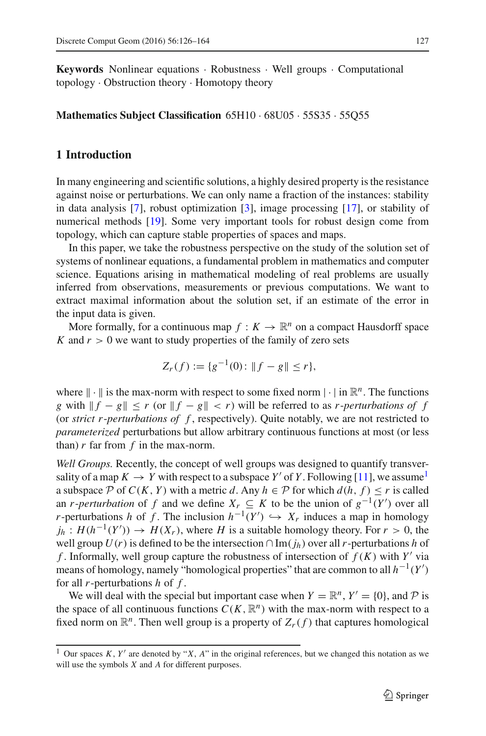**Keywords** Nonlinear equations · Robustness · Well groups · Computational topology · Obstruction theory · Homotopy theory

**Mathematics Subject Classification** 65H10 · 68U05 · 55S35 · 55Q55

## **1 Introduction**

In many engineering and scientific solutions, a highly desired property is the resistance against noise or perturbations. We can only name a fraction of the instances: stability in data analysis [\[7](#page-37-0)], robust optimization [\[3](#page-37-1)], image processing [\[17\]](#page-37-2), or stability of numerical methods [\[19](#page-37-3)]. Some very important tools for robust design come from topology, which can capture stable properties of spaces and maps.

In this paper, we take the robustness perspective on the study of the solution set of systems of nonlinear equations, a fundamental problem in mathematics and computer science. Equations arising in mathematical modeling of real problems are usually inferred from observations, measurements or previous computations. We want to extract maximal information about the solution set, if an estimate of the error in the input data is given.

More formally, for a continuous map  $f: K \to \mathbb{R}^n$  on a compact Hausdorff space *K* and  $r > 0$  we want to study properties of the family of zero sets

$$
Z_r(f) := \{g^{-1}(0) : ||f - g|| \le r\},\
$$

where  $\| \cdot \|$  is the max-norm with respect to some fixed norm  $| \cdot |$  in  $\mathbb{R}^n$ . The functions *g* with  $||f - g|| \le r$  (or  $||f - g|| < r$ ) will be referred to as *r*-*perturbations of* f (or *strict r*-*perturbations of f* , respectively). Quite notably, we are not restricted to *parameterized* perturbations but allow arbitrary continuous functions at most (or less than) *r* far from *f* in the max-norm.

*Well Groups.* Recently, the concept of well groups was designed to quantify transversality of a map  $K \to Y$  with respect to a subspace Y' of Y. Following [\[11\]](#page-37-4), we assume<sup>1</sup> a subspace  $P$  of  $C(K, Y)$  with a metric *d*. Any  $h \in P$  for which  $d(h, f) \le r$  is called an *r*-*perturbation* of *f* and we define  $X_r \subseteq K$  to be the union of  $g^{-1}(Y')$  over all *r*-perturbations *h* of *f*. The inclusion  $h^{-1}(Y') \hookrightarrow X_r$  induces a map in homology  $j_h$ :  $H(h^{-1}(Y')) \to H(X_r)$ , where *H* is a suitable homology theory. For  $r > 0$ , the well group *U*(*r*) is defined to be the intersection ∩Im( $j_h$ ) over all *r*-perturbations *h* of *f*. Informally, well group capture the robustness of intersection of  $f(K)$  with  $Y'$  via means of homology, namely "homological properties" that are common to all *h*−1(*Y* ) for all *r*-perturbations *h* of *f* .

We will deal with the special but important case when  $Y = \mathbb{R}^n$ ,  $Y' = \{0\}$ , and  $\mathcal P$  is the space of all continuous functions  $C(K, \mathbb{R}^n)$  with the max-norm with respect to a fixed norm on  $\mathbb{R}^n$ . Then well group is a property of  $Z_r(f)$  that captures homological

<span id="page-1-0"></span><sup>&</sup>lt;sup>1</sup> Our spaces *K*, *Y'* are denoted by "*X*, *A*" in the original references, but we changed this notation as we will use the symbols *X* and *A* for different purposes.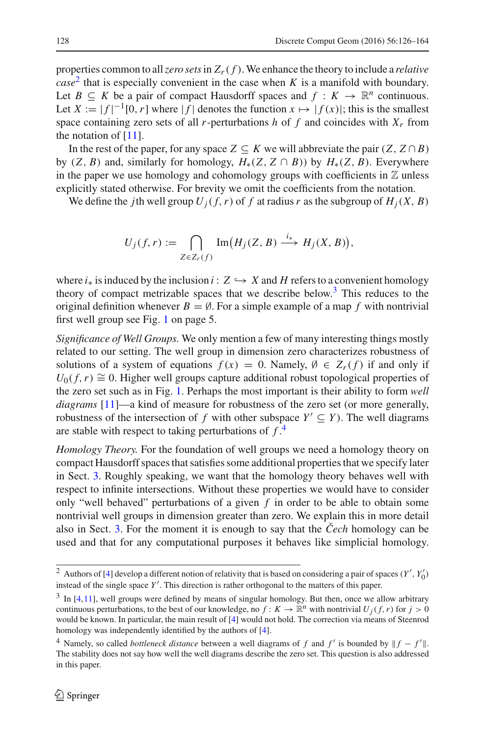properties common to all*zero sets*in *Zr*( *f* ).We enhance the theory to include a *relative*  $case<sup>2</sup>$  $case<sup>2</sup>$  $case<sup>2</sup>$  that is especially convenient in the case when *K* is a manifold with boundary. Let *B*  $\subseteq$  *K* be a pair of compact Hausdorff spaces and  $f : K \to \mathbb{R}^n$  continuous. Let  $X := |f|^{-1}[0, r]$  where  $|f|$  denotes the function  $x \mapsto |f(x)|$ ; this is the smallest space containing zero sets of all *r*-perturbations *h* of *f* and coincides with  $X_r$  from the notation of  $[11]$ .

In the rest of the paper, for any space  $Z \subseteq K$  we will abbreviate the pair  $(Z, Z \cap B)$ by  $(Z, B)$  and, similarly for homology,  $H_*(Z, Z \cap B)$ ) by  $H_*(Z, B)$ . Everywhere in the paper we use homology and cohomology groups with coefficients in  $Z$  unless explicitly stated otherwise. For brevity we omit the coefficients from the notation.

We define the *j*th well group  $U_i(f, r)$  of f at radius r as the subgroup of  $H_i(X, B)$ 

$$
U_j(f,r) := \bigcap_{Z \in Z_r(f)} \operatorname{Im} \big(H_j(Z,B) \xrightarrow{i_*} H_j(X,B)\big),
$$

where  $i_*$  is induced by the inclusion  $i: Z \hookrightarrow X$  and H refers to a convenient homology theory of compact metrizable spaces that we describe below.<sup>3</sup> This reduces to the original definition whenever  $B = \emptyset$ . For a simple example of a map f with nontrivial first well group see Fig. [1](#page-3-0) on page 5.

*Significance of Well Groups.* We only mention a few of many interesting things mostly related to our setting. The well group in dimension zero characterizes robustness of solutions of a system of equations  $f(x) = 0$ . Namely,  $\emptyset \in Z_r(f)$  if and only if  $U_0(f, r) \cong 0$ . Higher well groups capture additional robust topological properties of the zero set such as in Fig. [1.](#page-3-0) Perhaps the most important is their ability to form *well diagrams* [\[11](#page-37-4)]—a kind of measure for robustness of the zero set (or more generally, robustness of the intersection of *f* with other subspace  $Y' \subseteq Y$ ). The well diagrams are stable with respect to taking perturbations of *f* . [4](#page-2-2)

*Homology Theory.* For the foundation of well groups we need a homology theory on compact Hausdorff spaces that satisfies some additional properties that we specify later in Sect. [3.](#page-10-0) Roughly speaking, we want that the homology theory behaves well with respect to infinite intersections. Without these properties we would have to consider only "well behaved" perturbations of a given *f* in order to be able to obtain some nontrivial well groups in dimension greater than zero. We explain this in more detail also in Sect. [3.](#page-10-0) For the moment it is enough to say that the  $\check{C}ech$  homology can be used and that for any computational purposes it behaves like simplicial homology.

<span id="page-2-0"></span><sup>&</sup>lt;sup>2</sup> Authors of [\[4\]](#page-37-5) develop a different notion of relativity that is based on considering a pair of spaces (*Y'*,  $Y'_0$ ) instead of the single space *Y* . This direction is rather orthogonal to the matters of this paper.

<span id="page-2-1"></span><sup>&</sup>lt;sup>3</sup> In [\[4](#page-37-5)[,11\]](#page-37-4), well groups were defined by means of singular homology. But then, once we allow arbitrary continuous perturbations, to the best of our knowledge, no  $f: K \to \mathbb{R}^n$  with nontrivial  $U_i(f, r)$  for  $j > 0$ would be known. In particular, the main result of [\[4](#page-37-5)] would not hold. The correction via means of Steenrod homology was independently identified by the authors of [\[4](#page-37-5)].

<span id="page-2-2"></span><sup>&</sup>lt;sup>4</sup> Namely, so called *bottleneck distance* between a well diagrams of *f* and  $f'$  is bounded by  $||f - f'||$ . The stability does not say how well the well diagrams describe the zero set. This question is also addressed in this paper.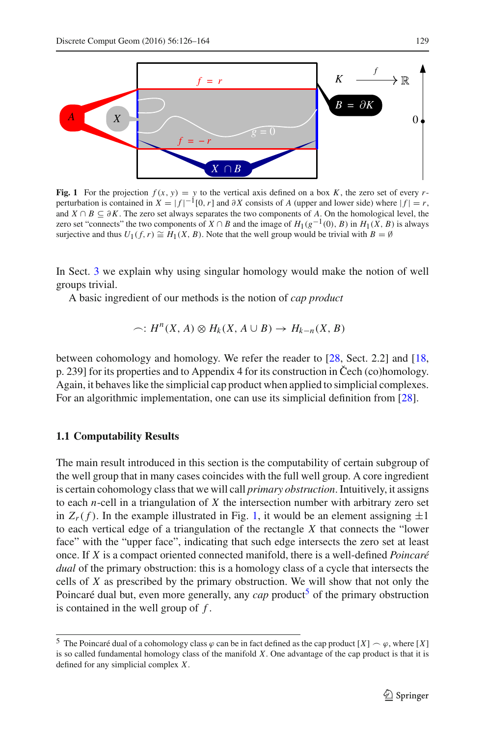

<span id="page-3-0"></span>**Fig. 1** For the projection  $f(x, y) = y$  to the vertical axis defined on a box *K*, the zero set of every *r*perturbation is contained in  $X = |f|^{-1}[0, r]$  and ∂ *X* consists of *A* (upper and lower side) where  $|f| = r$ , and  $X \cap B \subseteq \partial K$ . The zero set always separates the two components of *A*. On the homological level, the zero set "connects" the two components of *X* ∩ *B* and the image of  $H_1(g^{-1}(0), B)$  in  $H_1(X, B)$  is always surjective and thus  $U_1(f, r) \cong H_1(X, B)$ . Note that the well group would be trivial with  $B = \emptyset$ 

In Sect. [3](#page-10-0) we explain why using singular homology would make the notion of well groups trivial.

A basic ingredient of our methods is the notion of *cap product*

$$
\frown: H^n(X, A) \otimes H_k(X, A \cup B) \to H_{k-n}(X, B)
$$

between cohomology and homology. We refer the reader to [\[28,](#page-38-0) Sect. 2.2] and [\[18,](#page-37-6) p. 239] for its properties and to Appendix 4 for its construction in Čech (co)homology. Again, it behaves like the simplicial cap product when applied to simplicial complexes. For an algorithmic implementation, one can use its simplicial definition from [\[28](#page-38-0)].

#### **1.1 Computability Results**

The main result introduced in this section is the computability of certain subgroup of the well group that in many cases coincides with the full well group. A core ingredient is certain cohomology class that we will call *primary obstruction*. Intuitively, it assigns to each *n*-cell in a triangulation of *X* the intersection number with arbitrary zero set in  $Z_r(f)$ . In the example illustrated in Fig. [1,](#page-3-0) it would be an element assigning  $\pm 1$ to each vertical edge of a triangulation of the rectangle *X* that connects the "lower face" with the "upper face", indicating that such edge intersects the zero set at least once. If *X* is a compact oriented connected manifold, there is a well-defined *Poincaré dual* of the primary obstruction: this is a homology class of a cycle that intersects the cells of *X* as prescribed by the primary obstruction. We will show that not only the Poincaré dual but, even more generally, any  $cap$  product<sup>[5](#page-3-1)</sup> of the primary obstruction is contained in the well group of *f* .

<span id="page-3-1"></span><sup>&</sup>lt;sup>5</sup> The Poincaré dual of a cohomology class  $\varphi$  can be in fact defined as the cap product  $[X] \sim \varphi$ , where [X] is so called fundamental homology class of the manifold *X*. One advantage of the cap product is that it is defined for any simplicial complex *X*.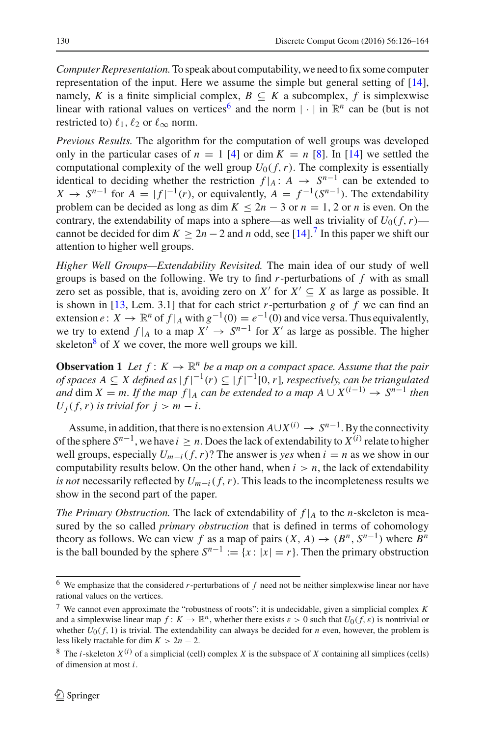*Computer Representation.*To speak about computability, we need to fix some computer representation of the input. Here we assume the simple but general setting of [\[14](#page-37-7)], namely, *K* is a finite simplicial complex,  $B \subseteq K$  a subcomplex, *f* is simplexwise linear with rational values on vertices<sup>6</sup> and the norm  $|\cdot|$  in  $\mathbb{R}^n$  can be (but is not restricted to)  $\ell_1$ ,  $\ell_2$  or  $\ell_\infty$  norm.

*Previous Results.* The algorithm for the computation of well groups was developed only in the particular cases of  $n = 1$  [\[4\]](#page-37-5) or dim  $K = n$  [\[8](#page-37-8)]. In [\[14](#page-37-7)] we settled the computational complexity of the well group  $U_0(f, r)$ . The complexity is essentially identical to deciding whether the restriction  $f|_A: A \rightarrow S^{n-1}$  can be extended to  $X \to S^{n-1}$  for  $A = |f|^{-1}(r)$ , or equivalently,  $A = f^{-1}(S^{n-1})$ . The extendability problem can be decided as long as dim  $K \leq 2n - 3$  or  $n = 1, 2$  or *n* is even. On the contrary, the extendability of maps into a sphere—as well as triviality of  $U_0(f, r)$  cannot be decided for dim  $K \ge 2n - 2$  and *n* odd, see [\[14\]](#page-37-7).<sup>[7](#page-4-1)</sup> In this paper we shift our attention to higher well groups.

*Higher Well Groups—Extendability Revisited.* The main idea of our study of well groups is based on the following. We try to find *r*-perturbations of *f* with as small zero set as possible, that is, avoiding zero on *X'* for  $X' \subseteq X$  as large as possible. It is shown in [\[13](#page-37-9), Lem. 3.1] that for each strict *r*-perturbation *g* of *f* we can find an extension *e* :  $X \to \mathbb{R}^n$  of  $f|_A$  with  $g^{-1}(0) = e^{-1}(0)$  and vice versa. Thus equivalently, we try to extend  $f|_A$  to a map  $X' \to S^{n-1}$  for  $X'$  as large as possible. The higher skeleton<sup>8</sup> of  $X$  we cover, the more well groups we kill.

<span id="page-4-3"></span>**Observation 1** Let  $f: K \to \mathbb{R}^n$  be a map on a compact space. Assume that the pair *of spaces A* ⊆ *X* defined as  $|f|^{-1}(r)$  ⊆  $|f|^{-1}[0, r]$ *, respectively, can be triangulated and* dim *X* = *m. If the map*  $f|_A$  *can be extended to a map*  $A \cup X^{(i-1)} \rightarrow S^{n-1}$  *then*  $U_i(f, r)$  *is trivial for*  $j > m - i$ .

Assume, in addition, that there is no extension  $A\cup X^{(i)} \to S^{n-1}$ . By the connectivity of the sphere  $S^{n-1}$ , we have  $i \geq n$ . Does the lack of extendability to  $X^{(i)}$  relate to higher well groups, especially  $U_{m-i}(f, r)$ ? The answer is *yes* when  $i = n$  as we show in our computability results below. On the other hand, when  $i > n$ , the lack of extendability *is not* necessarily reflected by  $U_{m-i}(f, r)$ . This leads to the incompleteness results we show in the second part of the paper.

*The Primary Obstruction.* The lack of extendability of  $f|_A$  to the *n*-skeleton is measured by the so called *primary obstruction* that is defined in terms of cohomology theory as follows. We can view *f* as a map of pairs  $(X, A) \rightarrow (B^n, S^{n-1})$  where  $B^n$ is the ball bounded by the sphere  $S^{n-1} := \{x : |x| = r\}$ . Then the primary obstruction

<span id="page-4-0"></span><sup>6</sup> We emphasize that the considered *r*-perturbations of *f* need not be neither simplexwise linear nor have rational values on the vertices.

<span id="page-4-1"></span><sup>7</sup> We cannot even approximate the "robustness of roots": it is undecidable, given a simplicial complex *K* and a simplexwise linear map  $f: K \to \mathbb{R}^n$ , whether there exists  $\varepsilon > 0$  such that  $U_0(f, \varepsilon)$  is nontrivial or whether  $U_0(f, 1)$  is trivial. The extendability can always be decided for *n* even, however, the problem is less likely tractable for dim  $K > 2n - 2$ .

<span id="page-4-2"></span><sup>&</sup>lt;sup>8</sup> The *i*-skeleton  $X^{(i)}$  of a simplicial (cell) complex *X* is the subspace of *X* containing all simplices (cells) of dimension at most *i*.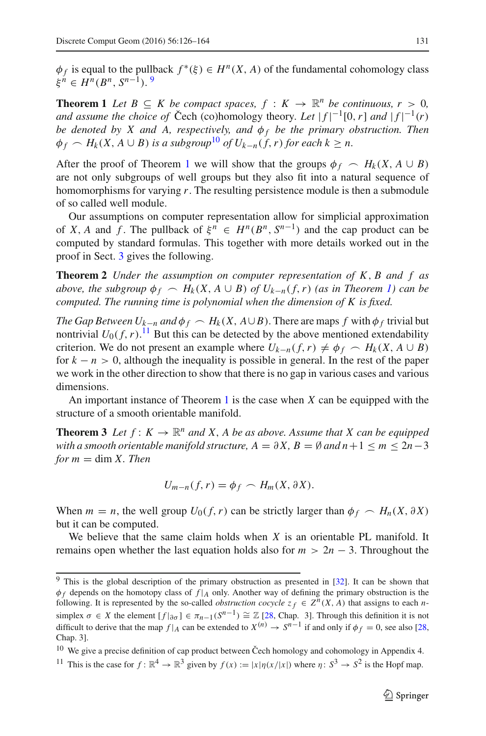<span id="page-5-2"></span> $\phi_f$  is equal to the pullback  $f^*(\xi) \in H^n(X, A)$  of the fundamental cohomology class  $\xi^{n} \in H^{n}(B^{n}, S^{n-1}).$ <sup>[9](#page-5-0)</sup>

**Theorem 1** *Let*  $B \subseteq K$  *be compact spaces,*  $f : K \to \mathbb{R}^n$  *be continuous,*  $r > 0$ , *and assume the choice of* Čech (co)homology theory. Let  $|f|^{-1}[0, r]$  *and*  $|f|^{-1}(r)$ *be denoted by X and A, respectively, and*  $\phi_f$  *be the primary obstruction. Then*  $\phi_f \sim H_k(X, A \cup B)$  *is a subgroup*<sup>[10](#page-5-1)</sup> *of*  $U_{k-n}(f, r)$  *for each*  $k \geq n$ .

After the proof of Theorem [1](#page-5-2) we will show that the groups  $\phi_f \sim H_k(X, A \cup B)$ are not only subgroups of well groups but they also fit into a natural sequence of homomorphisms for varying *r*. The resulting persistence module is then a submodule of so called well module.

Our assumptions on computer representation allow for simplicial approximation of *X*, *A* and *f*. The pullback of  $\xi^n \in H^n(B^n, S^{n-1})$  and the cap product can be computed by standard formulas. This together with more details worked out in the proof in Sect. [3](#page-10-0) gives the following.

<span id="page-5-5"></span>**Theorem 2** *Under the assumption on computer representation of K*, *B and f as above, the subgroup*  $\phi_f \sim H_k(X, A \cup B)$  *of*  $U_{k-n}(f, r)$  *(as in Theorem [1\)](#page-5-2) can be computed. The running time is polynomial when the dimension of K is fixed.*

*The Gap Between*  $U_{k-n}$  *and*  $\phi_f \sim H_k(X, A \cup B)$ . There are maps  $f$  with  $\phi_f$  trivial but nontrivial  $U_0(f, r)$ .<sup>[11](#page-5-3)</sup> But this can be detected by the above mentioned extendability criterion. We do not present an example where  $U_{k-n}(f, r) \neq \phi_f \sim H_k(X, A \cup B)$ for  $k - n > 0$ , although the inequality is possible in general. In the rest of the paper we work in the other direction to show that there is no gap in various cases and various dimensions.

An important instance of Theorem [1](#page-5-2) is the case when *X* can be equipped with the structure of a smooth orientable manifold.

**Theorem 3** Let  $f: K \to \mathbb{R}^n$  and X, A be as above. Assume that X can be equipped *with a smooth orientable manifold structure,*  $A = \partial X$ ,  $B = \emptyset$  *and n*+1  $\leq m \leq 2n-3$  $for m = \dim X$ . *Then* 

<span id="page-5-4"></span>
$$
U_{m-n}(f,r)=\phi_f \frown H_m(X,\partial X).
$$

When  $m = n$ , the well group  $U_0(f, r)$  can be strictly larger than  $\phi_f \sim H_n(X, \partial X)$ but it can be computed.

We believe that the same claim holds when *X* is an orientable PL manifold. It remains open whether the last equation holds also for  $m > 2n - 3$ . Throughout the

<span id="page-5-0"></span><sup>9</sup> This is the global description of the primary obstruction as presented in [\[32\]](#page-38-1). It can be shown that  $\phi_f$  depends on the homotopy class of  $f|_A$  only. Another way of defining the primary obstruction is the following. It is represented by the so-called *obstruction cocycle*  $z_f \in \mathbb{Z}^n(X, A)$  that assigns to each *n*simplex  $\sigma \in X$  the element  $[f|_{\partial \sigma}] \in \pi_{n-1}(S^{n-1}) \cong \mathbb{Z}$  [\[28](#page-38-0), Chap. 3]. Through this definition it is not difficult to derive that the map  $f|_A$  can be extended to  $X^{(n)} \to S^{n-1}$  if and only if  $\phi_f = 0$ , see also [\[28](#page-38-0), Chap. 3].

<sup>&</sup>lt;sup>10</sup> We give a precise definition of cap product between Čech homology and cohomology in Appendix 4.

<span id="page-5-3"></span><span id="page-5-1"></span><sup>&</sup>lt;sup>11</sup> This is the case for  $f: \mathbb{R}^4 \to \mathbb{R}^3$  given by  $f(x) := |x|\eta(x/|x|)$  where  $\eta: S^3 \to S^2$  is the Hopf map.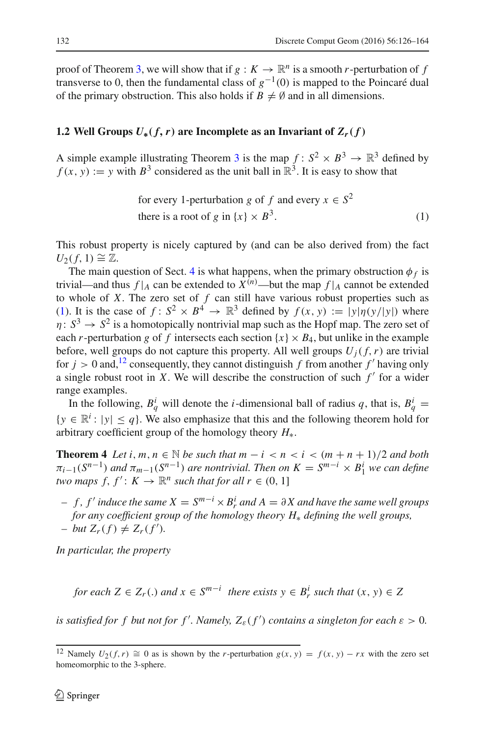proof of Theorem [3,](#page-5-4) we will show that if  $g: K \to \mathbb{R}^n$  is a smooth *r*-perturbation of f transverse to 0, then the fundamental class of  $g^{-1}(0)$  is mapped to the Poincaré dual of the primary obstruction. This also holds if  $B \neq \emptyset$  and in all dimensions.

## **1.2** Well Groups  $U_*(f, r)$  are Incomplete as an Invariant of  $Z_r(f)$

<span id="page-6-0"></span>A simple example illustrating Theorem [3](#page-5-4) is the map  $f: S^2 \times B^3 \to \mathbb{R}^3$  defined by  $f(x, y) := y$  with  $B^3$  considered as the unit ball in  $\mathbb{R}^3$ . It is easy to show that

for every 1-perturbation *g* of *f* and every 
$$
x \in S^2
$$
  
there is a root of *g* in  $\{x\} \times B^3$ . (1)

This robust property is nicely captured by (and can be also derived from) the fact  $U_2(f, 1) \cong \mathbb{Z}$ .

The main question of Sect. [4](#page-17-0) is what happens, when the primary obstruction  $\phi_f$  is trivial—and thus  $f|_A$  can be extended to  $X^{(n)}$ —but the map  $f|_A$  cannot be extended to whole of *X*. The zero set of  $f$  can still have various robust properties such as [\(1\)](#page-6-0). It is the case of  $f: S^2 \times B^4 \to \mathbb{R}^3$  defined by  $f(x, y) := |y|\eta(y/|y|)$  where  $\eta: S^3 \to S^2$  is a homotopically nontrivial map such as the Hopf map. The zero set of each *r*-perturbation *g* of *f* intersects each section  $\{x\} \times B_4$ , but unlike in the example before, well groups do not capture this property. All well groups  $U_i(f, r)$  are trivial for  $j > 0$  and,<sup>[12](#page-6-1)</sup> consequently, they cannot distinguish f from another f' having only a single robust root in *X*. We will describe the construction of such  $f'$  for a wider range examples.

In the following,  $B_q^i$  will denote the *i*-dimensional ball of radius *q*, that is,  $B_q^i$  =  $\{y \in \mathbb{R}^i : |y| \le q\}$ . We also emphasize that this and the following theorem hold for arbitrary coefficient group of the homology theory *H*∗.

<span id="page-6-2"></span>**Theorem 4** *Let*  $i, m, n \in \mathbb{N}$  *be such that*  $m - i < n < i < (m + n + 1)/2$  *and both*  $\pi_{i-1}(S^{n-1})$  *and*  $\pi_{m-1}(S^{n-1})$  *are nontrivial. Then on*  $K = S^{m-i} \times B_1^i$  *we can define two maps*  $f, f' : K \to \mathbb{R}^n$  *such that for all r*  $\in (0, 1]$ 

*,*  $*f'*$  *<i>induce the same*  $X = S^{m-i} \times B_r^i$  *and*  $A = ∂X$  *and have the same well groups for any coefficient group of the homology theory H*<sup>∗</sup> *defining the well groups,*  $-$  *but*  $Z_r(f) \neq Z_r(f').$ 

*In particular, the property*

*for each*  $Z \in Z_r$  *(.) and*  $x \in S^{m-i}$  *there exists*  $y \in B_r^i$  *such that*  $(x, y) \in Z$ 

*is satisfied for f but not for f'. Namely,*  $Z_{\varepsilon}(f')$  *contains a singleton for each*  $\varepsilon > 0$ *.* 

<span id="page-6-1"></span><sup>&</sup>lt;sup>12</sup> Namely  $U_2(f, r) \cong 0$  as is shown by the *r*-perturbation  $g(x, y) = f(x, y) - rx$  with the zero set homeomorphic to the 3-sphere.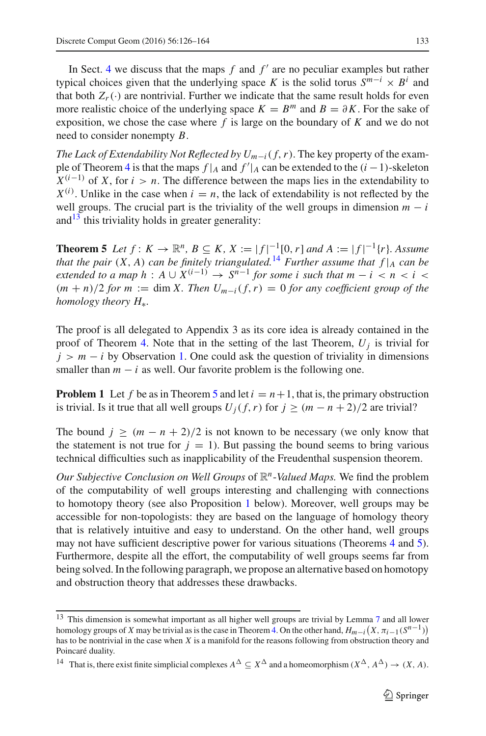In Sect. [4](#page-17-0) we discuss that the maps  $f$  and  $f'$  are no peculiar examples but rather typical choices given that the underlying space *K* is the solid torus  $S^{m-i} \times B^i$  and that both  $Z_r(\cdot)$  are nontrivial. Further we indicate that the same result holds for even more realistic choice of the underlying space  $K = B^m$  and  $B = \partial K$ . For the sake of exposition, we chose the case where *f* is large on the boundary of *K* and we do not need to consider nonempty *B*.

*The Lack of Extendability Not Reflected by*  $U_{m-i}(f, r)$ *. The key property of the exam-*ple of Theorem [4](#page-6-2) is that the maps  $f|_A$  and  $f'|_A$  can be extended to the  $(i-1)$ -skeleton  $X^{(i-1)}$  of *X*, for *i* > *n*. The difference between the maps lies in the extendability to  $X^{(i)}$ . Unlike in the case when  $i = n$ , the lack of extendability is not reflected by the well groups. The crucial part is the triviality of the well groups in dimension  $m - i$ and $13$  this triviality holds in greater generality:

<span id="page-7-2"></span>**Theorem 5** *Let f* : *K* →  $\mathbb{R}^n$ , *B* ⊆ *K*, *X* := |*f*| $^{-1}$ [0,*r*] *and A* := |*f*| $^{-1}$ {*r*}*. Assume that the pair*  $(X, A)$  *can be finitely triangulated.*<sup>[14](#page-7-1)</sup> *Further assume that*  $f|_A$  *can be extended to a map h* :  $A \cup X^{(i-1)} \rightarrow S^{n-1}$  *for some i such that m – i < n < i <*  $(m + n)/2$  *for*  $m := \dim X$ . Then  $U_{m-i}(f, r) = 0$  *for any coefficient group of the homology theory H*∗*.*

The proof is all delegated to Appendix 3 as its core idea is already contained in the proof of Theorem [4.](#page-6-2) Note that in the setting of the last Theorem,  $U_i$  is trivial for  $j > m - i$  by Observation [1.](#page-4-3) One could ask the question of triviality in dimensions smaller than  $m - i$  as well. Our favorite problem is the following one.

**Problem 1** Let f be as in Theorem [5](#page-7-2) and let  $i = n+1$ , that is, the primary obstruction is trivial. Is it true that all well groups  $U_i(f, r)$  for  $j \ge (m - n + 2)/2$  are trivial?

The bound  $j \ge (m - n + 2)/2$  is not known to be necessary (we only know that the statement is not true for  $j = 1$ ). But passing the bound seems to bring various technical difficulties such as inapplicability of the Freudenthal suspension theorem.

*Our Subjective Conclusion on Well Groups* of  $\mathbb{R}^n$ -*Valued Maps*. We find the problem of the computability of well groups interesting and challenging with connections to homotopy theory (see also Proposition [1](#page-8-0) below). Moreover, well groups may be accessible for non-topologists: they are based on the language of homology theory that is relatively intuitive and easy to understand. On the other hand, well groups may not have sufficient descriptive power for various situations (Theorems [4](#page-6-2) and [5\)](#page-7-2). Furthermore, despite all the effort, the computability of well groups seems far from being solved. In the following paragraph, we propose an alternative based on homotopy and obstruction theory that addresses these drawbacks.

<span id="page-7-0"></span><sup>&</sup>lt;sup>13</sup> This dimension is somewhat important as all higher well groups are trivial by Lemma [7](#page-34-0) and all lower homology groups of *X* may be trivial as is the case in Theorem [4.](#page-6-2) On the other hand,  $H_{m-i}(X, \pi_{i-1}(S^{n-1}))$ has to be nontrivial in the case when *X* is a manifold for the reasons following from obstruction theory and Poincaré duality.

<span id="page-7-1"></span><sup>&</sup>lt;sup>14</sup> That is, there exist finite simplicial complexes  $A^{\Delta} \subseteq X^{\Delta}$  and a homeomorphism  $(X^{\Delta}, A^{\Delta}) \to (X, A)$ .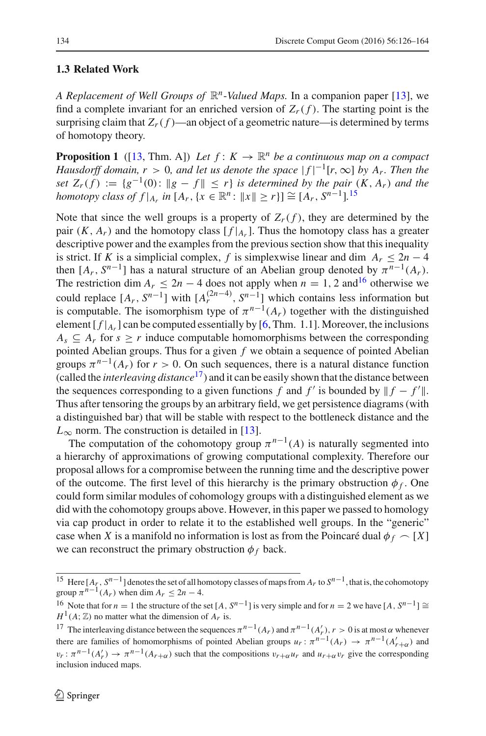### **1.3 Related Work**

*A Replacement of Well Groups of*  $\mathbb{R}^n$ -*Valued Maps.* In a companion paper [\[13\]](#page-37-9), we find a complete invariant for an enriched version of  $Z_r(f)$ . The starting point is the surprising claim that  $Z_r(f)$ —an object of a geometric nature—is determined by terms of homotopy theory.

<span id="page-8-0"></span>**Proposition 1** ([\[13,](#page-37-9) Thm. A]) *Let*  $f: K \to \mathbb{R}^n$  *be a continuous map on a compact Hausdorff domain, r* > 0*, and let us denote the space*  $|f|^{-1}[r, \infty]$  *by A<sub>r</sub>. Then the set*  $Z_r(f) := \{g^{-1}(0): ||g - f|| \leq r\}$  *is determined by the pair*  $(K, A_r)$  *and the homotopy class of*  $f|_{A_r}$  *in*  $[A_r, \{x \in \mathbb{R}^n : ||x|| \ge r\}] \cong [A_r, S^{n-1}]$ .<sup>[15](#page-8-1)</sup>

Note that since the well groups is a property of  $Z_r(f)$ , they are determined by the pair  $(K, A_r)$  and the homotopy class  $[f|_{A_r}]$ . Thus the homotopy class has a greater descriptive power and the examples from the previous section show that this inequality is strict. If *K* is a simplicial complex, *f* is simplexwise linear and dim  $A_r \leq 2n - 4$ then  $[A_r, S^{n-1}]$  has a natural structure of an Abelian group denoted by  $\pi^{n-1}(A_r)$ . The restriction dim  $A_r \leq 2n - 4$  does not apply when  $n = 1, 2$  and <sup>16</sup> otherwise we could replace  $[A_r, S^{n-1}]$  with  $[A_r^{(2n-4)}, S^{n-1}]$  which contains less information but is computable. The isomorphism type of  $\pi^{n-1}(A_r)$  together with the distinguished element  $[f]_{A_r}$  can be computed essentially by [\[6](#page-37-10), Thm. 1.1]. Moreover, the inclusions  $A_s \subseteq A_r$  for  $s \geq r$  induce computable homomorphisms between the corresponding pointed Abelian groups. Thus for a given *f* we obtain a sequence of pointed Abelian groups  $\pi^{n-1}(A_r)$  for  $r > 0$ . On such sequences, there is a natural distance function (called the *interleaving distance*[17](#page-8-3)) and it can be easily shown that the distance between the sequences corresponding to a given functions *f* and  $f'$  is bounded by  $||f - f'||$ . Thus after tensoring the groups by an arbitrary field, we get persistence diagrams (with a distinguished bar) that will be stable with respect to the bottleneck distance and the  $L_{\infty}$  norm. The construction is detailed in [\[13\]](#page-37-9).

The computation of the cohomotopy group  $\pi^{n-1}(A)$  is naturally segmented into a hierarchy of approximations of growing computational complexity. Therefore our proposal allows for a compromise between the running time and the descriptive power of the outcome. The first level of this hierarchy is the primary obstruction  $\phi_f$ . One could form similar modules of cohomology groups with a distinguished element as we did with the cohomotopy groups above. However, in this paper we passed to homology via cap product in order to relate it to the established well groups. In the "generic" case when *X* is a manifold no information is lost as from the Poincaré dual  $\phi_f \sim [X]$ we can reconstruct the primary obstruction  $\phi_f$  back.

<span id="page-8-1"></span><sup>&</sup>lt;sup>15</sup> Here  $[A_r, S^{n-1}]$  denotes the set of all homotopy classes of maps from  $A_r$  to  $S^{n-1}$ , that is, the cohomotopy group  $\pi^{n-1}(A_r)$  when dim  $A_r \leq 2n - 4$ .

<sup>&</sup>lt;sup>16</sup> Note that for  $n = 1$  the structure of the set  $[A, S^{n-1}]$  is very simple and for  $n = 2$  we have  $[A, S^{n-1}] \cong$  $H^1(A; \mathbb{Z})$  no matter what the dimension of  $A_r$  is.

<span id="page-8-3"></span><span id="page-8-2"></span><sup>&</sup>lt;sup>17</sup> The interleaving distance between the sequences  $\pi^{n-1}(A_r)$  and  $\pi^{n-1}(A_r')$ ,  $r > 0$  is at most  $\alpha$  whenever there are families of homomorphisms of pointed Abelian groups  $u_r$ :  $\pi^{n-1}(A_r) \to \pi^{n-1}(A'_{r+\alpha})$  and  $v_r$ :  $\pi^{n-1}(A'_r) \to \pi^{n-1}(A_{r+\alpha})$  such that the compositions  $v_{r+\alpha}u_r$  and  $u_{r+\alpha}v_r$  give the corresponding inclusion induced maps.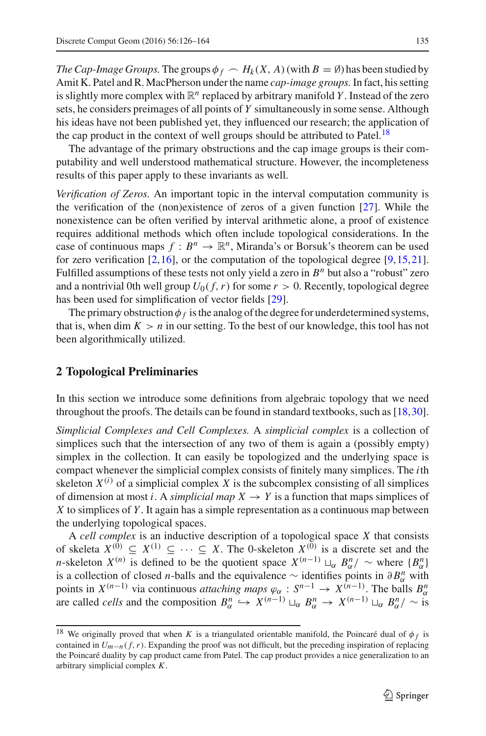*The Cap-Image Groups.* The groups  $\phi_f \sim H_k(X, A)$  (with  $B = \emptyset$ ) has been studied by Amit K. Patel and R. MacPherson under the name *cap-image groups.*In fact, his setting is slightly more complex with  $\mathbb{R}^n$  replaced by arbitrary manifold *Y*. Instead of the zero sets, he considers preimages of all points of *Y* simultaneously in some sense. Although his ideas have not been published yet, they influenced our research; the application of the cap product in the context of well groups should be attributed to Patel.<sup>18</sup>

The advantage of the primary obstructions and the cap image groups is their computability and well understood mathematical structure. However, the incompleteness results of this paper apply to these invariants as well.

*Verification of Zeros.* An important topic in the interval computation community is the verification of the (non)existence of zeros of a given function [\[27](#page-38-2)]. While the nonexistence can be often verified by interval arithmetic alone, a proof of existence requires additional methods which often include topological considerations. In the case of continuous maps  $f : B^n \to \mathbb{R}^n$ , Miranda's or Borsuk's theorem can be used for zero verification  $[2,16]$  $[2,16]$  $[2,16]$ , or the computation of the topological degree  $[9,15,21]$  $[9,15,21]$  $[9,15,21]$  $[9,15,21]$ . Fulfilled assumptions of these tests not only yield a zero in  $B<sup>n</sup>$  but also a "robust" zero and a nontrivial 0th well group  $U_0(f, r)$  for some  $r > 0$ . Recently, topological degree has been used for simplification of vector fields [\[29](#page-38-3)].

The primary obstruction  $\phi_f$  is the analog of the degree for underdetermined systems, that is, when dim  $K > n$  in our setting. To the best of our knowledge, this tool has not been algorithmically utilized.

## **2 Topological Preliminaries**

In this section we introduce some definitions from algebraic topology that we need throughout the proofs. The details can be found in standard textbooks, such as [\[18](#page-37-6)[,30](#page-38-4)].

*Simplicial Complexes and Cell Complexes.* A *simplicial complex* is a collection of simplices such that the intersection of any two of them is again a (possibly empty) simplex in the collection. It can easily be topologized and the underlying space is compact whenever the simplicial complex consists of finitely many simplices. The *i*th skeleton  $X^{(i)}$  of a simplicial complex *X* is the subcomplex consisting of all simplices of dimension at most *i*. A *simplicial map*  $X \to Y$  is a function that maps simplices of *X* to simplices of *Y* . It again has a simple representation as a continuous map between the underlying topological spaces.

A *cell complex* is an inductive description of a topological space *X* that consists of skeleta  $X^{(0)} \subseteq X^{(1)} \subseteq \cdots \subseteq X$ . The 0-skeleton  $X^{(0)}$  is a discrete set and the *n*-skeleton  $X^{(n)}$  is defined to be the quotient space  $X^{(n-1)} \sqcup_{\alpha} B_{\alpha}^{n}$   $\sim$  where  $\{B_{\alpha}^{n}\}$ is a collection of closed *n*-balls and the equivalence ∼ identifies points in  $\partial B_{\alpha}^{n}$  with points in  $X^{(n-1)}$  via continuous *attaching maps*  $\varphi_{\alpha} : S^{n-1} \to X^{(n-1)}$ . The balls  $B_{\alpha}^n$  are called *cells* and the composition  $B_{\alpha}^n \hookrightarrow X^{(n-1)} \sqcup_{\alpha} B_{\alpha}^n \to X^{(n-1)} \sqcup_{\alpha} B_{\alpha}^n / \sim$  is

<span id="page-9-0"></span><sup>&</sup>lt;sup>18</sup> We originally proved that when *K* is a triangulated orientable manifold, the Poincaré dual of  $\phi_f$  is contained in  $U_{m-n}(f,r)$ . Expanding the proof was not difficult, but the preceding inspiration of replacing the Poincaré duality by cap product came from Patel. The cap product provides a nice generalization to an arbitrary simplicial complex *K*.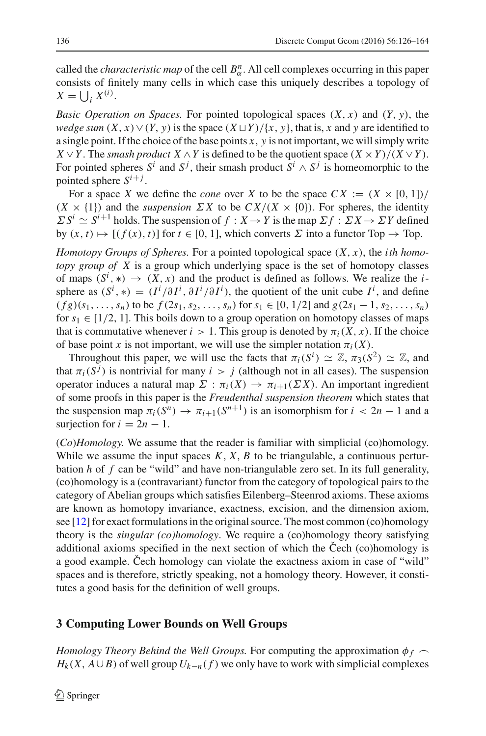called the *characteristic map* of the cell  $B_{\alpha}^n$ . All cell complexes occurring in this paper consists of finitely many cells in which case this uniquely describes a topology of  $X = \bigcup_i X^{(i)}$ .

*Basic Operation on Spaces.* For pointed topological spaces  $(X, x)$  and  $(Y, y)$ , the *wedge sum*  $(X, x) \vee (Y, y)$  is the space  $(X \sqcup Y)/\{x, y\}$ , that is, *x* and *y* are identified to a single point. If the choice of the base points *x*, *y* is not important, we will simply write  $X \vee Y$ . The *smash product*  $X \wedge Y$  is defined to be the quotient space  $(X \times Y)/(X \vee Y)$ . For pointed spheres  $S^i$  and  $S^j$ , their smash product  $S^i \wedge S^j$  is homeomorphic to the pointed sphere  $S^{i+j}$ .

For a space *X* we define the *cone* over *X* to be the space  $CX := (X \times [0, 1])$  $(X \times \{1\})$  and the *suspension*  $\sum X$  to be  $CX/(X \times \{0\})$ . For spheres, the identity  $\Sigma S^i \simeq S^{i+1}$  holds. The suspension of  $f : X \to Y$  is the map  $\Sigma f : \Sigma X \to \Sigma Y$  defined by  $(x, t) \mapsto [(f(x), t)]$  for  $t \in [0, 1]$ , which converts  $\Sigma$  into a functor Top  $\rightarrow$  Top.

*Homotopy Groups of Spheres.* For a pointed topological space (*X*, *x*), the *ith homotopy group of X* is a group which underlying space is the set of homotopy classes of maps  $(S^i, *) \rightarrow (X, x)$  and the product is defined as follows. We realize the *i*sphere as  $(S^i, *) = (I^i/\partial I^i, \partial I^i/\partial I^i)$ , the quotient of the unit cube  $I^i$ , and define  $(f g)(s_1, \ldots, s_n)$  to be  $f(2s_1, s_2, \ldots, s_n)$  for  $s_1 \in [0, 1/2]$  and  $g(2s_1 - 1, s_2, \ldots, s_n)$ for  $s_1 \in [1/2, 1]$ . This boils down to a group operation on homotopy classes of maps that is commutative whenever  $i > 1$ . This group is denoted by  $\pi_i(X, x)$ . If the choice of base point *x* is not important, we will use the simpler notation  $\pi_i(X)$ .

Throughout this paper, we will use the facts that  $\pi_i(S^i) \simeq \mathbb{Z}, \pi_3(S^2) \simeq \mathbb{Z}$ , and that  $\pi_i(S^j)$  is nontrivial for many  $i > j$  (although not in all cases). The suspension operator induces a natural map  $\Sigma : \pi_i(X) \to \pi_{i+1}(\Sigma X)$ . An important ingredient of some proofs in this paper is the *Freudenthal suspension theorem* which states that the suspension map  $\pi_i(S^n) \to \pi_{i+1}(S^{n+1})$  is an isomorphism for  $i < 2n - 1$  and a surjection for  $i = 2n - 1$ .

(*Co*)*Homology.* We assume that the reader is familiar with simplicial (co)homology. While we assume the input spaces  $K$ ,  $X$ ,  $B$  to be triangulable, a continuous perturbation *h* of *f* can be "wild" and have non-triangulable zero set. In its full generality, (co)homology is a (contravariant) functor from the category of topological pairs to the category of Abelian groups which satisfies Eilenberg–Steenrod axioms. These axioms are known as homotopy invariance, exactness, excision, and the dimension axiom, see [\[12](#page-37-16)] for exact formulations in the original source. The most common (co)homology theory is the *singular (co)homology*. We require a (co)homology theory satisfying additional axioms specified in the next section of which the Čech  $(co)$ homology is a good example. Čech homology can violate the exactness axiom in case of "wild" spaces and is therefore, strictly speaking, not a homology theory. However, it constitutes a good basis for the definition of well groups.

## <span id="page-10-0"></span>**3 Computing Lower Bounds on Well Groups**

*Homology Theory Behind the Well Groups.* For computing the approximation  $\phi_f$  $H_k$ (*X*,  $A \cup B$ ) of well group  $U_{k-n}(f)$  we only have to work with simplicial complexes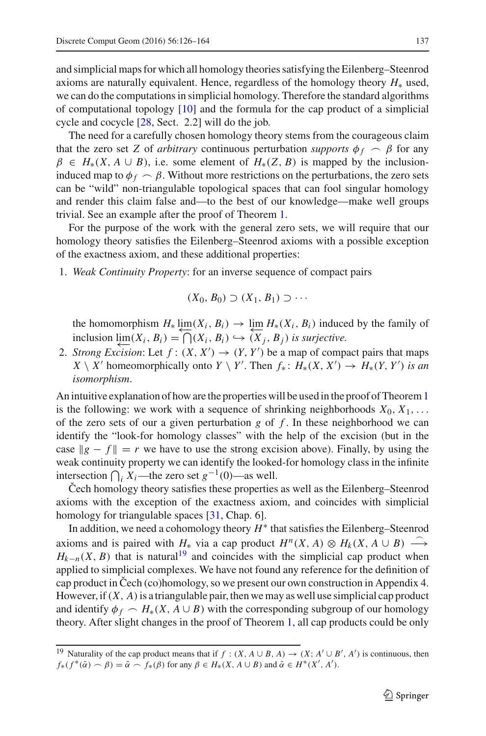and simplicial maps for which all homology theories satisfying the Eilenberg–Steenrod axioms are naturally equivalent. Hence, regardless of the homology theory  $H_*$  used, we can do the computations in simplicial homology. Therefore the standard algorithms of computational topology  $[10]$  $[10]$  and the formula for the cap product of a simplicial cycle and cocycle [\[28](#page-38-0), Sect. 2.2] will do the job.

The need for a carefully chosen homology theory stems from the courageous claim that the zero set *Z* of *arbitrary* continuous perturbation *supports*  $\phi_f \sim \beta$  for any  $\beta \in H_*(X, A \cup B)$ , i.e. some element of  $H_*(Z, B)$  is mapped by the inclusioninduced map to  $\phi_f \sim \beta$ . Without more restrictions on the perturbations, the zero sets can be "wild" non-triangulable topological spaces that can fool singular homology and render this claim false and—to the best of our knowledge—make well groups trivial. See an example after the proof of Theorem [1.](#page-5-2)

For the purpose of the work with the general zero sets, we will require that our homology theory satisfies the Eilenberg–Steenrod axioms with a possible exception of the exactness axiom, and these additional properties:

1. *Weak Continuity Property*: for an inverse sequence of compact pairs

$$
(X_0, B_0) \supset (X_1, B_1) \supset \cdots
$$

the homomorphism  $H_* \lim_{i \to \infty} (X_i, B_i) \to \lim_{i \to \infty} H_*(X_i, B_i)$  induced by the family of inclusion  $\lim_{i \to \infty} (X_i, B_i) \to \lim_{i \to \infty} (X_i, B_i)$  is surjective inclusion  $\lim_{t \to \infty} (X_i, B_i) = \bigcap (X_i, B_i) \hookrightarrow (X_j, B_j)$  *is surjective.*<br>Strong Existent Let  $f: (X, Y') \rightarrow (Y, Y')$  be a man of comp

2. *Strong Excision*: Let  $f : (X, X') \to (Y, Y')$  be a map of compact pairs that maps  $X \setminus X'$  homeomorphically onto  $Y \setminus Y'$ . Then  $f_* \colon H_*(X, X') \to H_*(Y, Y')$  *is an isomorphism*.

An intuitive explanation of how are the properties will be used in the proof of Theorem[1](#page-5-2) is the following: we work with a sequence of shrinking neighborhoods  $X_0, X_1, \ldots$ of the zero sets of our a given perturbation *g* of *f* . In these neighborhood we can identify the "look-for homology classes" with the help of the excision (but in the case  $\|g - f\| = r$  we have to use the strong excision above). Finally, by using the weak continuity property we can identify the looked-for homology class in the infinite intersection  $\bigcap_i X_i$ —the zero set  $g^{-1}(0)$ —as well.

Cech homology theory satisfies these properties as well as the Eilenberg–Steenrod axioms with the exception of the exactness axiom, and coincides with simplicial homology for triangulable spaces [\[31,](#page-38-5) Chap. 6].

In addition, we need a cohomology theory *H*∗ that satisfies the Eilenberg–Steenrod axioms and is paired with  $H_*$  via a cap product  $H^n(X, A) \otimes H_k(X, A \cup B) \longrightarrow$  $H_{k-n}(X, B)$  that is natural<sup>[19](#page-11-0)</sup> and coincides with the simplicial cap product when applied to simplicial complexes. We have not found any reference for the definition of cap product in Cech (co)homology, so we present our own construction in Appendix 4. However, if  $(X, A)$  is a triangulable pair, then we may as well use simplicial cap product and identify  $\phi_f \sim H_*(X, A \cup B)$  with the corresponding subgroup of our homology theory. After slight changes in the proof of Theorem [1,](#page-5-2) all cap products could be only

<span id="page-11-0"></span><sup>&</sup>lt;sup>19</sup> Naturality of the cap product means that if  $f : (X, A \cup B, A) \rightarrow (X, A' \cup B', A')$  is continuous, then  $f_*(f^*(\tilde{\alpha}) \frown \beta) = \tilde{\alpha} \frown f_*(\beta)$  for any  $\beta \in H_*(X, A \cup B)$  and  $\tilde{\alpha} \in H^*(X', A')$ .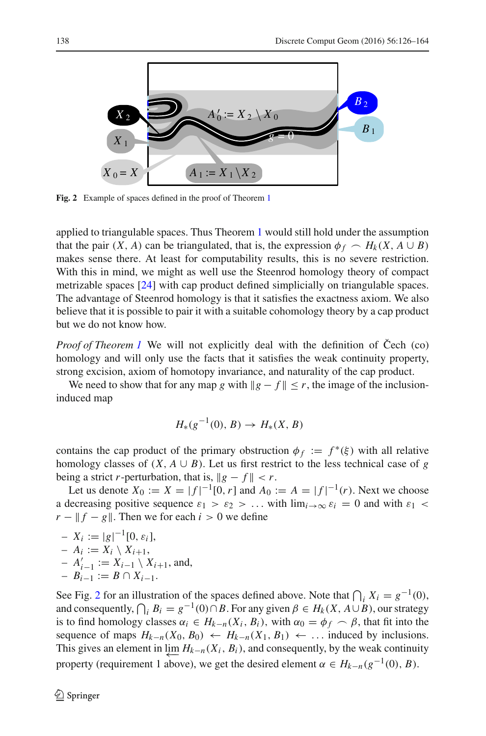

<span id="page-12-0"></span>**Fig. 2** Example of spaces defined in the proof of Theorem [1](#page-5-2)

applied to triangulable spaces. Thus Theorem [1](#page-5-2) would still hold under the assumption that the pair  $(X, A)$  can be triangulated, that is, the expression  $\phi_f \sim H_k(X, A \cup B)$ makes sense there. At least for computability results, this is no severe restriction. With this in mind, we might as well use the Steenrod homology theory of compact metrizable spaces [\[24\]](#page-38-6) with cap product defined simplicially on triangulable spaces. The advantage of Steenrod homology is that it satisfies the exactness axiom. We also believe that it is possible to pair it with a suitable cohomology theory by a cap product but we do not know how.

*Proof of Theorem [1](#page-5-2)* We will not explicitly deal with the definition of Čech (co) homology and will only use the facts that it satisfies the weak continuity property, strong excision, axiom of homotopy invariance, and naturality of the cap product.

We need to show that for any map *g* with  $\|g - f\| \le r$ , the image of the inclusioninduced map

$$
H_*(g^{-1}(0), B) \to H_*(X, B)
$$

contains the cap product of the primary obstruction  $\phi_f := f^*(\xi)$  with all relative homology classes of  $(X, A \cup B)$ . Let us first restrict to the less technical case of *g* being a strict *r*-perturbation, that is,  $\|g - f\| < r$ .

Let us denote  $X_0 := X = |f|^{-1}[0, r]$  and  $A_0 := A = |f|^{-1}(r)$ . Next we choose a decreasing positive sequence  $\varepsilon_1 > \varepsilon_2 > ...$  with  $\lim_{i\to\infty} \varepsilon_i = 0$  and with  $\varepsilon_1 <$  $r - ||f - g||$ . Then we for each  $i > 0$  we define

- 
$$
X_i := |g|^{-1}[0, \varepsilon_i],
$$
  
\n-  $A_i := X_i \setminus X_{i+1},$   
\n-  $A'_{i-1} := X_{i-1} \setminus X_{i+1},$  and,  
\n-  $B_{i-1} := B \cap X_{i-1}.$ 

See Fig. [2](#page-12-0) for an illustration of the spaces defined above. Note that  $\bigcap_i X_i = g^{-1}(0)$ , and consequently,  $\bigcap_i B_i = g^{-1}(0) \cap B$ . For any given  $\beta \in H_k(X, A \cup B)$ , our strategy is to find homology classes  $\alpha_i \in H_{k-n}(X_i, B_i)$ , with  $\alpha_0 = \phi_f \cap \beta$ , that fit into the sequence of maps  $H_{k-n}(X_0, B_0)$  ←  $H_{k-n}(X_1, B_1)$  ← ... induced by inclusions. This gives an element in lim  $H_{k-n}(X_i, B_i)$ , and consequently, by the weak continuity property (requirement 1 above), we get the desired element  $\alpha \in H_{k-n}(g^{-1}(0), B)$ .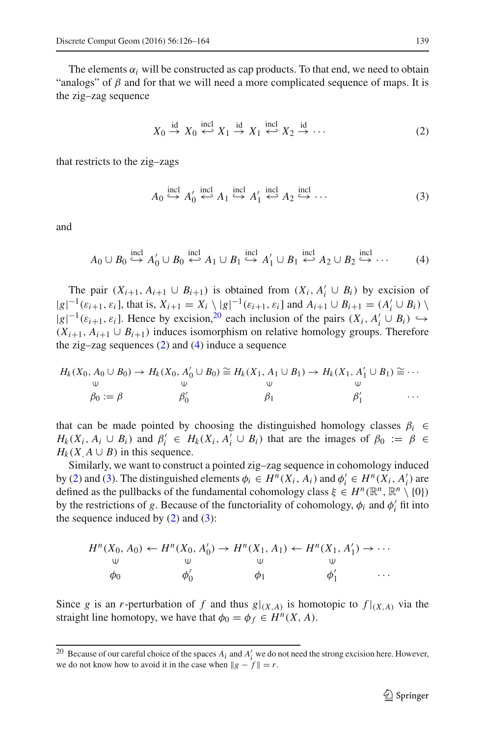The elements  $\alpha_i$  will be constructed as cap products. To that end, we need to obtain "analogs" of  $\beta$  and for that we will need a more complicated sequence of maps. It is the zig–zag sequence

$$
X_0 \stackrel{\text{id}}{\to} X_0 \stackrel{\text{incl}}{\leftarrow} X_1 \stackrel{\text{id}}{\to} X_1 \stackrel{\text{incl}}{\leftarrow} X_2 \stackrel{\text{id}}{\to} \cdots
$$
 (2)

<span id="page-13-1"></span>that restricts to the zig–zags

$$
A_0 \stackrel{\text{incl}}{\hookrightarrow} A'_0 \stackrel{\text{incl}}{\hookleftarrow} A_1 \stackrel{\text{incl}}{\hookrightarrow} A'_1 \stackrel{\text{incl}}{\hookleftarrow} A_2 \stackrel{\text{incl}}{\hookrightarrow} \cdots
$$
 (3)

<span id="page-13-3"></span><span id="page-13-2"></span>and

$$
A_0 \cup B_0 \stackrel{\text{incl}}{\hookrightarrow} A'_0 \cup B_0 \stackrel{\text{incl}}{\hookleftarrow} A_1 \cup B_1 \stackrel{\text{incl}}{\hookrightarrow} A'_1 \cup B_1 \stackrel{\text{incl}}{\hookleftarrow} A_2 \cup B_2 \stackrel{\text{incl}}{\hookrightarrow} \cdots
$$
 (4)

The pair  $(X_{i+1}, A_{i+1} \cup B_{i+1})$  is obtained from  $(X_i, A'_i \cup B_i)$  by excision of  $|g|^{-1}(\varepsilon_{i+1}, \varepsilon_i]$ , that is,  $X_{i+1} = X_i \setminus |g|^{-1}(\varepsilon_{i+1}, \varepsilon_i]$  and  $A_{i+1} \cup B_{i+1} = (A_i' \cup B_i) \setminus A_i'$  $|g|^{-1}(\varepsilon_{i+1}, \varepsilon_i)$ . Hence by excision,<sup>[20](#page-13-0)</sup> each inclusion of the pairs  $(X_i, A'_i \cup B_i)$  →  $(X_{i+1}, A_{i+1} \cup B_{i+1})$  induces isomorphism on relative homology groups. Therefore the zig–zag sequences  $(2)$  and  $(4)$  induce a sequence

$$
H_k(X_0, A_0 \cup B_0) \to H_k(X_0, A'_0 \cup B_0) \cong H_k(X_1, A_1 \cup B_1) \to H_k(X_1, A'_1 \cup B_1) \cong \cdots
$$
  
\n $\downarrow \qquad \qquad \downarrow \qquad \qquad \downarrow$   
\n $\beta_0 := \beta \qquad \qquad \beta'_0 \qquad \qquad \beta_1 \qquad \qquad \beta'_1 \qquad \qquad \cdots$ 

that can be made pointed by choosing the distinguished homology classes  $\beta_i \in$ *H<sub>k</sub>*( $X_i$ ,  $A_i \cup B_i$ ) and  $\beta'_i \in H_k(X_i, A'_i \cup B_i)$  that are the images of  $\beta_0 := \beta \in$  $H_k$  (*X*, *A* ∪ *B*) in this sequence.

Similarly, we want to construct a pointed zig–zag sequence in cohomology induced by [\(2\)](#page-13-1) and [\(3\)](#page-13-3). The distinguished elements  $\phi_i \in H^n(X_i, A_i)$  and  $\phi'_i \in H^n(X_i, A'_i)$  are defined as the pullbacks of the fundamental cohomology class  $\xi \in H^n(\mathbb{R}^n, \mathbb{R}^n \setminus \{0\})$ by the restrictions of *g*. Because of the functoriality of cohomology,  $\phi_i$  and  $\phi'_i$  fit into the sequence induced by  $(2)$  and  $(3)$ :

$$
H^{n}(X_0, A_0) \leftarrow H^{n}(X_0, A'_0) \rightarrow H^{n}(X_1, A_1) \leftarrow H^{n}(X_1, A'_1) \rightarrow \cdots
$$
  
\n
$$
\begin{array}{ccc}\n\downarrow & \downarrow & \downarrow \\
\downarrow & \downarrow & \downarrow \\
\phi_0 & \phi'_0 & \phi_1 & \phi'_1\n\end{array}
$$

Since *g* is an *r*-perturbation of *f* and thus  $g|_{(X,A)}$  is homotopic to  $f|_{(X,A)}$  via the straight line homotopy, we have that  $\phi_0 = \phi_f \in H^n(X, A)$ .

<span id="page-13-0"></span><sup>&</sup>lt;sup>20</sup> Because of our careful choice of the spaces  $A_i$  and  $A'_i$  we do not need the strong excision here. However, we do not know how to avoid it in the case when  $\|g - f\| = r$ .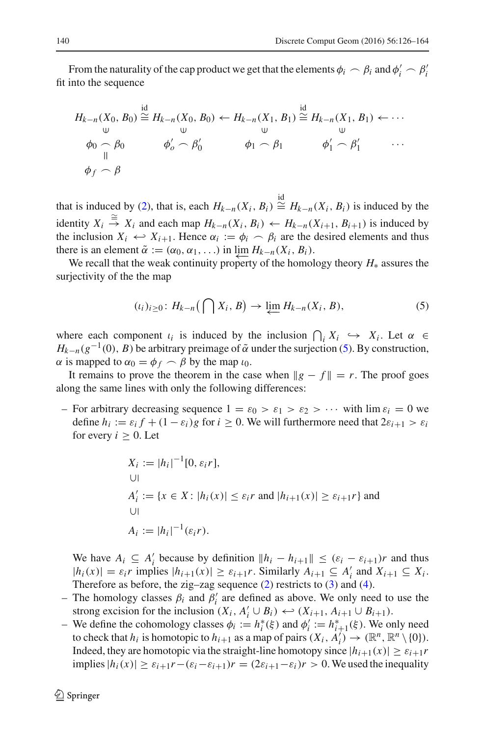From the naturality of the cap product we get that the elements  $\phi_i \frown \beta_i$  and  $\phi'_i \frown \beta'_i$ fit into the sequence

$$
H_{k-n}(X_0, B_0) \stackrel{\text{id}}{\cong} H_{k-n}(X_0, B_0) \leftarrow H_{k-n}(X_1, B_1) \stackrel{\text{id}}{\cong} H_{k-n}(X_1, B_1) \leftarrow \cdots
$$
  
\n
$$
\begin{array}{ccc}\n\phi_0 \cap \beta_0 & \phi'_o \cap \beta'_0 & \phi_1 \cap \beta_1 & \phi'_1 \cap \beta'_1 \\
\phi_f \cap \beta\n\end{array}
$$

that is induced by [\(2\)](#page-13-1), that is, each  $H_{k-n}(X_i, B_i) \cong H_{k-n}(X_i, B_i)$  is induced by the identity  $X_i \stackrel{\cong}{\to} X_i$  and each map  $H_{k-n}(X_i, B_i)$  ←  $H_{k-n}(X_{i+1}, B_{i+1})$  is induced by the inclusion  $X_i \leftrightarrow X_{i+1}$ . Hence  $\alpha_i := \phi_i \frown \beta_i$  are the desired elements and thus there is an element  $\tilde{\alpha} := (\alpha_0, \alpha_1, \ldots)$  in lim  $H_{k-n}(X_i, B_i)$ .

We recall that the weak continuity property of the homology theory  $H_*$  assures the surjectivity of the the map

$$
(\iota_i)_{i\geq 0} \colon H_{k-n}\left(\bigcap X_i, B\right) \to \varprojlim H_{k-n}(X_i, B),\tag{5}
$$

<span id="page-14-0"></span>where each component  $\iota_i$  is induced by the inclusion  $\bigcap_i X_i \hookrightarrow X_i$ . Let  $\alpha \in$  $H_{k-n}(g^{-1}(0), B)$  be arbitrary preimage of  $\alpha$  under the surjection [\(5\)](#page-14-0). By construction,  $\alpha$  is mapped to  $\alpha_0 = \phi_f \sim \beta$  by the map  $\iota_0$ .

It remains to prove the theorem in the case when  $\|g - f\| = r$ . The proof goes along the same lines with only the following differences:

– For arbitrary decreasing sequence  $1 = \varepsilon_0 > \varepsilon_1 > \varepsilon_2 > \cdots$  with  $\lim \varepsilon_i = 0$  we define  $h_i := \varepsilon_i f + (1 - \varepsilon_i)g$  for  $i \ge 0$ . We will furthermore need that  $2\varepsilon_{i+1} > \varepsilon_i$ for every  $i > 0$ . Let

$$
X_i := |h_i|^{-1} [0, \varepsilon_i r],
$$
  
\n
$$
A'_i := \{x \in X : |h_i(x)| \le \varepsilon_i r \text{ and } |h_{i+1}(x)| \ge \varepsilon_{i+1} r \} \text{ and}
$$
  
\n
$$
A_i := |h_i|^{-1} (\varepsilon_i r).
$$

We have  $A_i \subseteq A'_i$  because by definition  $||h_i - h_{i+1}|| \leq (\varepsilon_i - \varepsilon_{i+1})r$  and thus  $|h_i(x)| = \varepsilon_i r$  implies  $|h_{i+1}(x)| \ge \varepsilon_{i+1} r$ . Similarly  $A_{i+1} \subseteq A'_i$  and  $X_{i+1} \subseteq X_i$ . Therefore as before, the zig–zag sequence [\(2\)](#page-13-1) restricts to [\(3\)](#page-13-3) and [\(4\)](#page-13-2).

- $-$  The homology classes  $\beta_i$  and  $\beta'_i$  are defined as above. We only need to use the strong excision for the inclusion  $(X_i, A'_i \cup B_i) \leftrightarrow (X_{i+1}, A_{i+1} \cup B_{i+1}).$
- We define the cohomology classes  $φ_i := h_i^*(ξ)$  and  $φ'_i := h_{i+1}^*(ξ)$ . We only need to check that  $h_i$  is homotopic to  $h_{i+1}$  as a map of pairs  $(X_i, A'_i) \to (\mathbb{R}^n, \mathbb{R}^n \setminus \{0\}).$ Indeed, they are homotopic via the straight-line homotopy since  $|h_{i+1}(x)| \geq \varepsilon_{i+1}r$ implies  $|h_i(x)| \ge \varepsilon_{i+1} r - (\varepsilon_i - \varepsilon_{i+1})r = (2\varepsilon_{i+1} - \varepsilon_i)r > 0$ . We used the inequality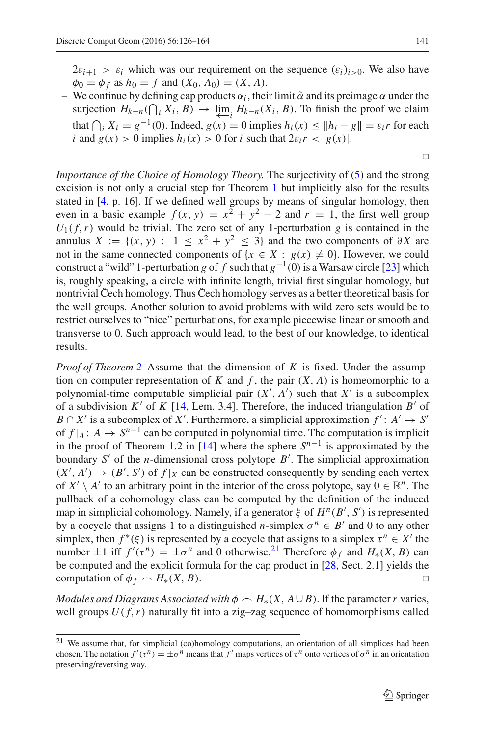$2\varepsilon_{i+1} > \varepsilon_i$  which was our requirement on the sequence  $(\varepsilon_i)_{i>0}$ . We also have  $\phi_0 = \phi_f$  as  $h_0 = f$  and  $(X_0, A_0) = (X, A)$ .

– We continue by defining cap products  $\alpha_i$ , their limit  $\tilde{\alpha}$  and its preimage  $\alpha$  under the surjection  $H_{k-n}(\bigcap_i X_i, B) \to \varprojlim_i H_{k-n}(X_i, B)$ . To finish the proof we claim<br>
that  $\bigcap_{i=1}^{\infty} X_i = e^{-1}$  (0) Indeed  $e(x) = 0$  implies  $h(x) \le ||h||$ .  $e|| = e$  if  $e$  are for each that  $\bigcap_i X_i = g^{-1}(0)$ . Indeed,  $g(x) = 0$  implies  $h_i(x) \le ||h_i - g|| = \varepsilon_i r$  for each *i* and  $g(x) > 0$  implies  $h_i(x) > 0$  for *i* such that  $2\varepsilon_i r < |g(x)|$ .

*Importance of the Choice of Homology Theory.* The surjectivity of [\(5\)](#page-14-0) and the strong excision is not only a crucial step for Theorem [1](#page-5-2) but implicitly also for the results stated in [\[4](#page-37-5), p. 16]. If we defined well groups by means of singular homology, then even in a basic example  $f(x, y) = x^2 + y^2 - 2$  and  $r = 1$ , the first well group  $U_1(f, r)$  would be trivial. The zero set of any 1-perturbation *g* is contained in the annulus  $X := \{(x, y) : 1 \le x^2 + y^2 \le 3\}$  and the two components of  $\partial X$  are not in the same connected components of  $\{x \in X : g(x) \neq 0\}$ . However, we could construct a "wild" 1-perturbation *g* of *f* such that  $g^{-1}(0)$  is a Warsaw circle [\[23\]](#page-38-7) which is, roughly speaking, a circle with infinite length, trivial first singular homology, but nontrivial Čech homology. Thus Čech homology serves as a better theoretical basis for the well groups. Another solution to avoid problems with wild zero sets would be to restrict ourselves to "nice" perturbations, for example piecewise linear or smooth and transverse to 0. Such approach would lead, to the best of our knowledge, to identical results.

*Proof of Theorem [2](#page-5-5)* Assume that the dimension of *K* is fixed. Under the assumption on computer representation of  $K$  and  $f$ , the pair  $(X, A)$  is homeomorphic to a polynomial-time computable simplicial pair (*X* , *A* ) such that *X* is a subcomplex of a subdivision  $K'$  of  $K$  [\[14](#page-37-7), Lem. 3.4]. Therefore, the induced triangulation  $B'$  of *B*  $\cap$  *X'* is a subcomplex of *X'*. Furthermore, a simplicial approximation  $f' : A' \rightarrow S'$ of  $f|_A: A \to S^{n-1}$  can be computed in polynomial time. The computation is implicit in the proof of Theorem 1.2 in [\[14\]](#page-37-7) where the sphere  $S^{n-1}$  is approximated by the boundary *S'* of the *n*-dimensional cross polytope *B'*. The simplicial approximation  $(X', A') \rightarrow (B', S')$  of  $f|_X$  can be constructed consequently by sending each vertex of  $X' \setminus A'$  to an arbitrary point in the interior of the cross polytope, say  $0 \in \mathbb{R}^n$ . The pullback of a cohomology class can be computed by the definition of the induced map in simplicial cohomology. Namely, if a generator  $\xi$  of  $H^n(B', S')$  is represented by a cocycle that assigns 1 to a distinguished *n*-simplex  $\sigma^n \in B'$  and 0 to any other simplex, then  $f^*(\xi)$  is represented by a cocycle that assigns to a simplex  $\tau^n \in X'$  the number  $\pm 1$  iff  $f'(\tau^n) = \pm \sigma^n$  and 0 otherwise.<sup>21</sup> Therefore  $\phi_f$  and  $H_*(X, B)$  can be computed and the explicit formula for the cap product in [\[28](#page-38-0), Sect. 2.1] yields the computation of  $\phi_f \frown H_*(X, B)$ .

*Modules and Diagrams Associated with*  $\phi \sim H_*(X, A \cup B)$ . If the parameter *r* varies, well groups  $U(f, r)$  naturally fit into a zig-zag sequence of homomorphisms called

 $\Box$ 

<span id="page-15-0"></span><sup>21</sup> We assume that, for simplicial (co)homology computations, an orientation of all simplices had been chosen. The notation  $f'(\tau^n) = \pm \sigma^n$  means that  $f'$  maps vertices of  $\tau^n$  onto vertices of  $\sigma^n$  in an orientation preserving/reversing way.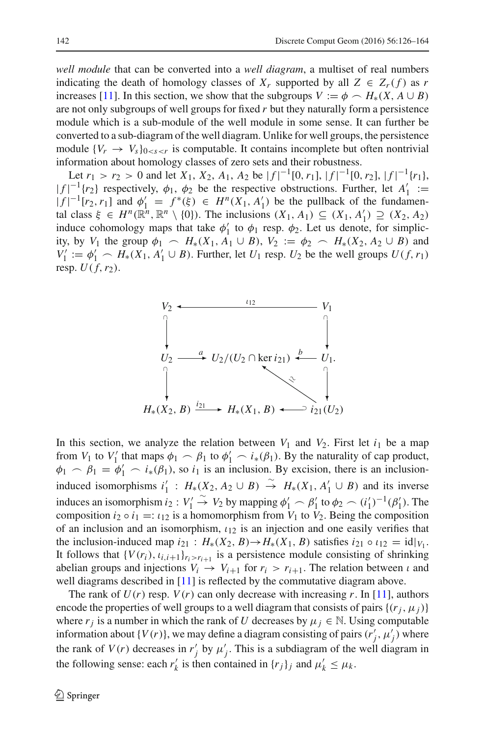*well module* that can be converted into a *well diagram*, a multiset of real numbers indicating the death of homology classes of  $X_r$  supported by all  $Z \in Z_r(f)$  as *r* increases [\[11](#page-37-4)]. In this section, we show that the subgroups  $V := \phi \cap H_*(X, A \cup B)$ are not only subgroups of well groups for fixed *r* but they naturally form a persistence module which is a sub-module of the well module in some sense. It can further be converted to a sub-diagram of the well diagram. Unlike for well groups, the persistence module  ${V_r \rightarrow V_s}_{0 < s < r}$  is computable. It contains incomplete but often nontrivial information about homology classes of zero sets and their robustness.

Let  $r_1 > r_2 > 0$  and let  $X_1, X_2, A_1, A_2$  be  $|f|^{-1}[0, r_1], |f|^{-1}[0, r_2], |f|^{-1}{r_1},$  $|f|^{-1}\{r_2\}$  respectively,  $\phi_1$ ,  $\phi_2$  be the respective obstructions. Further, let  $A'_1$  :=  $|f|^{-1}[r_2, r_1]$  and  $\phi'_1 = f^*(\xi) \in H^n(X_1, A'_1)$  be the pullback of the fundamental class  $\xi \in H^n(\mathbb{R}^n, \mathbb{R}^n \setminus \{0\})$ . The inclusions  $(X_1, A_1) \subseteq (X_1, A'_1) \supseteq (X_2, A_2)$ induce cohomology maps that take  $\phi'_1$  to  $\phi_1$  resp.  $\phi_2$ . Let us denote, for simplicity, by *V*<sub>1</sub> the group  $\phi_1 \sim H_*(X_1, A_1 \cup B), V_2 := \phi_2 \sim H_*(X_2, A_2 \cup B)$  and  $V'_1 := \phi'_1 \sim H_*(X_1, A'_1 \cup B)$ . Further, let  $U_1$  resp.  $U_2$  be the well groups  $U(f, r_1)$ resp.  $U(f, r_2)$ .



In this section, we analyze the relation between  $V_1$  and  $V_2$ . First let  $i_1$  be a map from *V*<sub>1</sub> to *V*<sup>'</sup><sub>1</sub> that maps  $\phi_1 \frown \beta_1$  to  $\phi'_1 \frown i_*(\beta_1)$ . By the naturality of cap product,  $\phi_1 \frown \beta_1 = \phi'_1 \frown i_*(\beta_1)$ , so  $i_1$  is an inclusion. By excision, there is an inclusioninduced isomorphisms  $i'_1$  :  $H_*(X_2, A_2 \cup B)$  →  $H_*(X_1, A'_1 \cup B)$  and its inverse induces an isomorphism  $i_2 : V_1' \stackrel{\sim}{\to} V_2$  by mapping  $\phi'_1 \frown \beta'_1$  to  $\phi_2 \frown (i'_1)^{-1}(\beta'_1)$ . The composition  $i_2 \circ i_1 =: \iota_{12}$  is a homomorphism from  $V_1$  to  $V_2$ . Being the composition of an inclusion and an isomorphism,  $\iota_{12}$  is an injection and one easily verifies that the inclusion-induced map  $i_{21}$  :  $H_*(X_2, B) \to H_*(X_1, B)$  satisfies  $i_{21} \circ i_{12} = \text{id}|_{V_1}$ . It follows that  $\{V(r_i), t_{i,i+1}\}_{r_i > r_{i+1}}$  is a persistence module consisting of shrinking abelian groups and injections  $V_i \rightarrow V_{i+1}$  for  $r_i > r_{i+1}$ . The relation between  $\iota$  and well diagrams described in [\[11\]](#page-37-4) is reflected by the commutative diagram above.

The rank of  $U(r)$  resp.  $V(r)$  can only decrease with increasing r. In [\[11](#page-37-4)], authors encode the properties of well groups to a well diagram that consists of pairs  $\{(r_i, \mu_i)\}\$ where  $r_j$  is a number in which the rank of *U* decreases by  $\mu_j \in \mathbb{N}$ . Using computable information about  $\{V(r)\}$ , we may define a diagram consisting of pairs  $(r'_j, \mu'_j)$  where the rank of  $V(r)$  decreases in  $r'_j$  by  $\mu'_j$ . This is a subdiagram of the well diagram in the following sense: each  $r'_k$  is then contained in  $\{r_j\}_j$  and  $\mu'_k \leq \mu_k$ .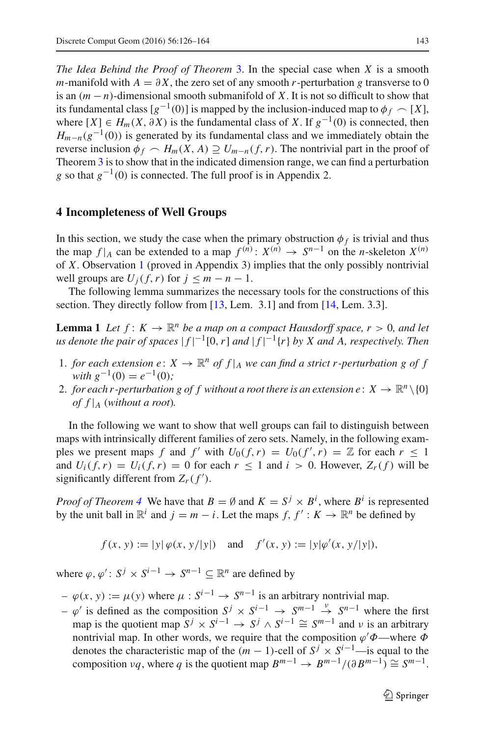*The Idea Behind the Proof of Theorem* [3.](#page-5-4) In the special case when *X* is a smooth *m*-manifold with  $A = \partial X$ , the zero set of any smooth *r*-perturbation *g* transverse to 0 is an (*m* − *n*)-dimensional smooth submanifold of *X*. It is not so difficult to show that its fundamental class  $[g^{-1}(0)]$  is mapped by the inclusion-induced map to  $\phi_f \sim [X]$ , where  $[X]$  ∈  $H_m(X, \partial X)$  is the fundamental class of X. If  $g^{-1}(0)$  is connected, then  $H_{m-n}(g^{-1}(0))$  is generated by its fundamental class and we immediately obtain the reverse inclusion  $\phi_f \sim H_m(X, A) \supseteq U_{m-n}(f, r)$ . The nontrivial part in the proof of Theorem [3](#page-5-4) is to show that in the indicated dimension range, we can find a perturbation *g* so that  $g^{-1}(0)$  is connected. The full proof is in Appendix 2.

## <span id="page-17-0"></span>**4 Incompleteness of Well Groups**

In this section, we study the case when the primary obstruction  $\phi_f$  is trivial and thus the map  $f|_A$  can be extended to a map  $f^{(n)}: X^{(n)} \to S^{n-1}$  on the *n*-skeleton  $X^{(n)}$ of *X*. Observation [1](#page-4-3) (proved in Appendix 3) implies that the only possibly nontrivial well groups are  $U_i(f, r)$  for  $j \leq m - n - 1$ .

<span id="page-17-1"></span>The following lemma summarizes the necessary tools for the constructions of this section. They directly follow from [\[13](#page-37-9), Lem. 3.1] and from [\[14](#page-37-7), Lem. 3.3].

**Lemma 1** *Let*  $f: K \to \mathbb{R}^n$  *be a map on a compact Hausdorff space,*  $r > 0$ *, and let us denote the pair of spaces*  $|f|^{-1}[0, r]$  *and*  $|f|^{-1}\{r\}$  *by X and A, respectively. Then* 

- 1. *for each extension e* :  $X \to \mathbb{R}^n$  *of*  $f|_A$  *we can find a strict r-perturbation g of*  $f$ *with*  $g^{-1}(0) = e^{-1}(0)$ ;
- 2. *for each r-perturbation g of f without a root there is an extension*  $e: X \to \mathbb{R}^n \setminus \{0\}$ *of f*  $|_A$  (*without a root*).

In the following we want to show that well groups can fail to distinguish between maps with intrinsically different families of zero sets. Namely, in the following examples we present maps *f* and *f'* with  $U_0(f, r) = U_0(f', r) = \mathbb{Z}$  for each  $r \le 1$ and  $U_i(f, r) = U_i(f, r) = 0$  for each  $r \le 1$  and  $i > 0$ . However,  $Z_r(f)$  will be significantly different from  $Z_r(f')$ .

*Proof of Theorem* [4](#page-6-2) We have that  $B = \emptyset$  and  $K = S^j \times B^i$ , where  $B^i$  is represented by the unit ball in  $\mathbb{R}^i$  and  $j = m - i$ . Let the maps  $f, f' : K \to \mathbb{R}^n$  be defined by

$$
f(x, y) := |y| \varphi(x, y/|y|)
$$
 and  $f'(x, y) := |y| \varphi'(x, y/|y|)$ ,

where  $\varphi, \varphi' : S^j \times S^{i-1} \to S^{n-1} \subset \mathbb{R}^n$  are defined by

 $– φ(x, y) := μ(y)$  where  $μ : S<sup>i-1</sup> → S<sup>n-1</sup>$  is an arbitrary nontrivial map.

 $\sim$   $\varphi'$  is defined as the composition  $S^j \times S^{i-1} \rightarrow S^{m-1} \stackrel{\nu}{\rightarrow} S^{n-1}$  where the first map is the quotient map  $S^j \times S^{i-1} \to S^j \wedge S^{i-1} \cong S^{m-1}$  and  $\nu$  is an arbitrary nontrivial map. In other words, we require that the composition  $\varphi' \Phi$ —where  $\Phi$ denotes the characteristic map of the  $(m - 1)$ -cell of  $S^j \times S^{i-1}$ —is equal to the composition  $\nu q$ , where *q* is the quotient map  $B^{m-1} \to B^{m-1}/(\partial B^{m-1}) \cong S^{m-1}$ .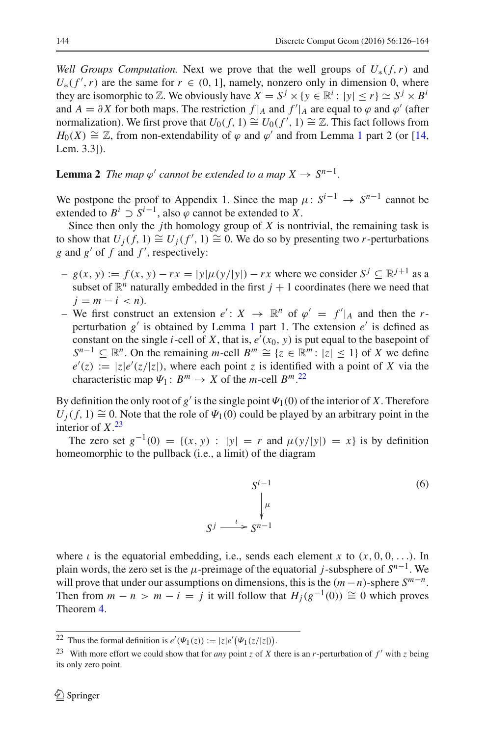*Well Groups Computation.* Next we prove that the well groups of  $U_*(f, r)$  and  $U_*(f', r)$  are the same for  $r \in (0, 1]$ , namely, nonzero only in dimension 0, where they are isomorphic to  $\mathbb{Z}$ . We obviously have  $X = S^j \times \{y \in \mathbb{R}^i : |y| \le r\} \simeq S^j \times B^i$ and  $A = \partial X$  for both maps. The restriction  $f|_A$  and  $f'|_A$  are equal to  $\varphi$  and  $\varphi'$  (after normalization). We first prove that  $U_0(f, 1) \cong U_0(f', 1) \cong \mathbb{Z}$ . This fact follows from  $H_0(X) \cong \mathbb{Z}$ , from non-extendability of  $\varphi$  and  $\varphi'$  and from Lemma [1](#page-17-1) part 2 (or [\[14,](#page-37-7) Lem. 3.3]).

<span id="page-18-3"></span>**Lemma 2** *The map*  $\varphi'$  *cannot be extended to a map*  $X \to S^{n-1}$ *.* 

We postpone the proof to Appendix 1. Since the map  $\mu: S^{i-1} \to S^{n-1}$  cannot be extended to  $B^i \supset S^{i-1}$ , also  $\varphi$  cannot be extended to *X*.

Since then only the *j*th homology group of *X* is nontrivial, the remaining task is to show that  $U_j(f, 1) \cong U_j(f', 1) \cong 0$ . We do so by presenting two *r*-perturbations *g* and  $g'$  of  $f$  and  $f'$ , respectively:

- $-g(x, y) := f(x, y) rx = |y|μ(y/|y|) rx$  where we consider  $S^j ⊆ R^{j+1}$  as a subset of  $\mathbb{R}^n$  naturally embedded in the first  $j + 1$  coordinates (here we need that  $j = m - i < n$ ).
- We first construct an extension  $e' : X \to \mathbb{R}^n$  of  $\varphi' = f'|_A$  and then the *r*perturbation  $g'$  is obtained by Lemma [1](#page-17-1) part 1. The extension  $e'$  is defined as constant on the single *i*-cell of *X*, that is,  $e'(x_0, y)$  is put equal to the basepoint of *S*<sup>*n*−1</sup> ⊆  $\mathbb{R}^n$ . On the remaining *m*-cell *B*<sup>*m*</sup> ≅ {*z* ∈  $\mathbb{R}^m$  : |*z*| ≤ 1} of *X* we define  $e'(z) := |z|e'(z/|z|)$ , where each point *z* is identified with a point of *X* via the characteristic map  $\Psi_1: B^m \to X$  of the *m*-cell  $B^m$ .<sup>[22](#page-18-0)</sup>

By definition the only root of  $g'$  is the single point  $\Psi_1(0)$  of the interior of *X*. Therefore  $U_i(f, 1) \cong 0$ . Note that the role of  $\Psi_1(0)$  could be played by an arbitrary point in the interior of *X*. [23](#page-18-1)

<span id="page-18-2"></span>The zero set  $g^{-1}(0) = \{(x, y) : |y| = r \text{ and } \mu(y/|y|) = x\}$  is by definition homeomorphic to the pullback (i.e., a limit) of the diagram

*Si*−<sup>1</sup> μ -- $S^j \xrightarrow{\iota} S^{n-1}$ (6)

where *i* is the equatorial embedding, i.e., sends each element *x* to  $(x, 0, 0, ...)$ . In plain words, the zero set is the  $\mu$ -preimage of the equatorial *j*-subsphere of  $S^{n-1}$ . We will prove that under our assumptions on dimensions, this is the (*<sup>m</sup>* <sup>−</sup>*n*)-sphere *<sup>S</sup>m*−*n*. Then from  $m - n > m - i = j$  it will follow that  $H_i(g^{-1}(0)) \cong 0$  which proves Theorem [4.](#page-6-2)

<sup>&</sup>lt;sup>22</sup> Thus the formal definition is  $e'(\Psi_1(z)) := |z|e'(\Psi_1(z/|z|)).$ 

<span id="page-18-1"></span><span id="page-18-0"></span><sup>&</sup>lt;sup>23</sup> With more effort we could show that for *any* point *z* of *X* there is an *r*-perturbation of  $f'$  with *z* being its only zero point.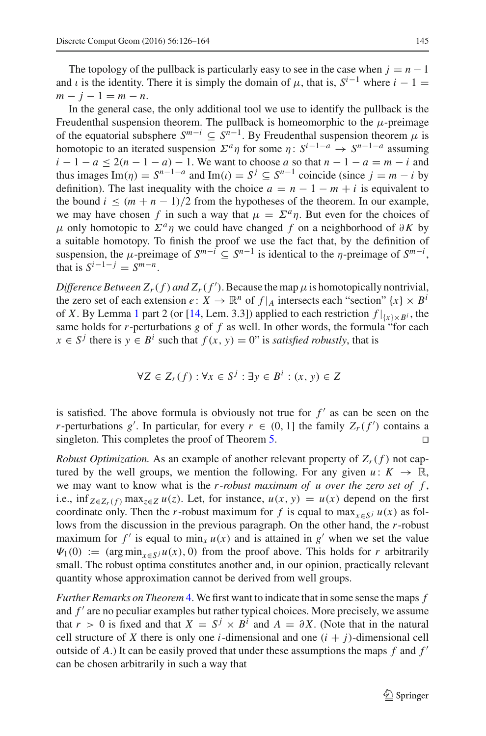The topology of the pullback is particularly easy to see in the case when  $j = n - 1$ and *i* is the identity. There it is simply the domain of  $\mu$ , that is,  $S^{i-1}$  where  $i-1=$  $m - j - 1 = m - n$ .

In the general case, the only additional tool we use to identify the pullback is the Freudenthal suspension theorem. The pullback is homeomorphic to the  $\mu$ -preimage of the equatorial subsphere  $S^{m-i} \subseteq S^{n-1}$ . By Freudenthal suspension theorem  $\mu$  is homotopic to an iterated suspension  $\Sigma^a \eta$  for some  $\eta : S^{i-1-a} \to S^{n-1-a}$  assuming  $i - 1 - a \leq 2(n - 1 - a) - 1$ . We want to choose *a* so that  $n - 1 - a = m - i$  and thus images Im( $\eta$ ) =  $S^{n-1-a}$  and Im( $i$ ) =  $S^j \subseteq S^{n-1}$  coincide (since  $j = m - i$  by definition). The last inequality with the choice  $a = n - 1 - m + i$  is equivalent to the bound  $i \leq (m + n - 1)/2$  from the hypotheses of the theorem. In our example, we may have chosen *f* in such a way that  $\mu = \Sigma^a \eta$ . But even for the choices of  $\mu$  only homotopic to  $\Sigma^a \eta$  we could have changed *f* on a neighborhood of ∂*K* by a suitable homotopy. To finish the proof we use the fact that, by the definition of suspension, the  $\mu$ -preimage of  $S^{m-i} \subseteq S^{n-1}$  is identical to the  $\eta$ -preimage of  $S^{m-i}$ , that is  $S^{i-1-j} = S^{m-n}$ .

*Difference Between*  $Z_r(f)$  *and*  $Z_r(f')$ . Because the map  $\mu$  is homotopically nontrivial, the zero set of each extension  $e: X \to \mathbb{R}^n$  of  $f|_A$  intersects each "section"  $\{x\} \times B^i$ of *X*. By Lemma [1](#page-17-1) part 2 (or [\[14](#page-37-7), Lem. 3.3]) applied to each restriction  $f|_{x\to R^i}$ , the same holds for *r*-perturbations *g* of *f* as well. In other words, the formula "for each *x* ∈ *S*<sup>*j*</sup> there is *y* ∈ *B*<sup>*i*</sup> such that *f*(*x*, *y*) = 0" is *satisfied robustly*, that is

$$
\forall Z \in Z_r(f) : \forall x \in S^j : \exists y \in B^i : (x, y) \in Z
$$

is satisfied. The above formula is obviously not true for  $f'$  as can be seen on the *r*-perturbations *g*<sup>'</sup>. In particular, for every  $r \in (0, 1]$  the family  $Z_r(f')$  contains a singleton. This completes the proof of Theorem [5.](#page-7-2)  $\Box$ 

*Robust Optimization.* As an example of another relevant property of  $Z_r(f)$  not captured by the well groups, we mention the following. For any given  $u: K \to \mathbb{R}$ , we may want to know what is the *r*-*robust maximum of u over the zero set of f* , i.e.,  $\inf_{Z \in \mathbb{Z}_r(f)} \max_{z \in \mathbb{Z}} u(z)$ . Let, for instance,  $u(x, y) = u(x)$  depend on the first coordinate only. Then the *r*-robust maximum for *f* is equal to max $_{x \in S}$  *j*  $u(x)$  as follows from the discussion in the previous paragraph. On the other hand, the *r*-robust maximum for  $f'$  is equal to min<sub>x</sub>  $u(x)$  and is attained in  $g'$  when we set the value  $\Psi_1(0) := (\arg \min_{x \in S} u(x), 0)$  from the proof above. This holds for *r* arbitrarily small. The robust optima constitutes another and, in our opinion, practically relevant quantity whose approximation cannot be derived from well groups.

*Further Remarks on Theorem* [4.](#page-6-2) We first want to indicate that in some sense the maps *f* and *f'* are no peculiar examples but rather typical choices. More precisely, we assume that  $r > 0$  is fixed and that  $X = S^j \times B^i$  and  $A = \partial X$ . (Note that in the natural cell structure of *X* there is only one *i*-dimensional and one  $(i + j)$ -dimensional cell outside of *A*.) It can be easily proved that under these assumptions the maps *f* and *f* can be chosen arbitrarily in such a way that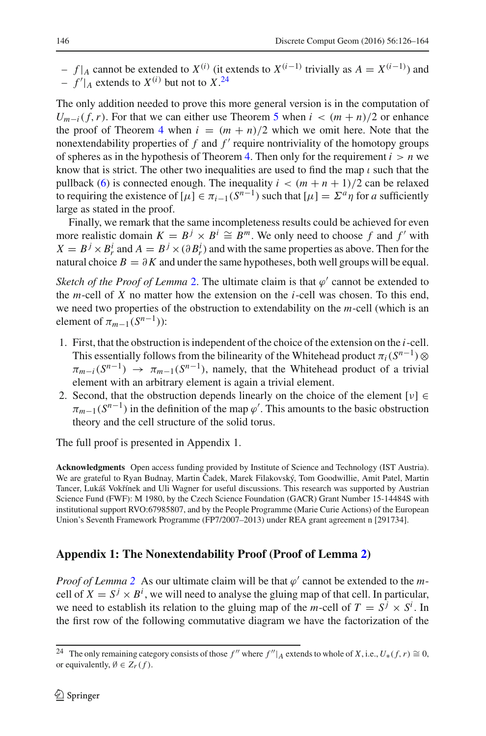$f|_A$  cannot be extended to *X*<sup>(*i*)</sup> (it extends to *X*<sup>(*i*−1)</sup> trivially as *A* = *X*<sup>(*i*−1)</sup>) and  $-f'|_A$  extends to  $X^{(i)}$  but not to  $X^{(24)}$  $X^{(24)}$  $X^{(24)}$ 

The only addition needed to prove this more general version is in the computation of  $U_{m-i}(f, r)$ . For that we can either use Theorem [5](#page-7-2) when  $i < (m + n)/2$  or enhance the proof of Theorem [4](#page-6-2) when  $i = (m + n)/2$  which we omit here. Note that the nonextendability properties of  $f$  and  $f'$  require nontriviality of the homotopy groups of spheres as in the hypothesis of Theorem [4.](#page-6-2) Then only for the requirement  $i > n$  we know that is strict. The other two inequalities are used to find the map  $\iota$  such that the pullback [\(6\)](#page-18-2) is connected enough. The inequality  $i < (m + n + 1)/2$  can be relaxed to requiring the existence of  $[\mu] \in \pi_{i-1}(S^{n-1})$  such that  $[\mu] = \sum_{i=1}^n \pi_i$  for *a* sufficiently large as stated in the proof.

Finally, we remark that the same incompleteness results could be achieved for even more realistic domain  $K = B^j \times B^i \cong B^m$ . We only need to choose f and f' with  $X = B^j \times B^i_r$  and  $A = B^j \times (\partial B^i_r)$  and with the same properties as above. Then for the natural choice  $B = \partial K$  and under the same hypotheses, both well groups will be equal.

*Sketch of the Proof of Lemma* [2.](#page-18-3) The ultimate claim is that  $\varphi'$  cannot be extended to the *m*-cell of *X* no matter how the extension on the *i*-cell was chosen. To this end, we need two properties of the obstruction to extendability on the *m*-cell (which is an element of  $\pi_{m-1}(S^{n-1})$ :

- 1. First, that the obstruction is independent of the choice of the extension on the *i*-cell. This essentially follows from the bilinearity of the Whitehead product  $\pi_i(S^{n-1})\otimes$  $\pi_{m-i}(S^{n-1}) \rightarrow \pi_{m-1}(S^{n-1})$ , namely, that the Whitehead product of a trivial element with an arbitrary element is again a trivial element.
- 2. Second, that the obstruction depends linearly on the choice of the element  $[v] \in$  $\pi_{m-1}(S^{n-1})$  in the definition of the map  $\varphi'$ . This amounts to the basic obstruction theory and the cell structure of the solid torus.

The full proof is presented in Appendix 1.

**Acknowledgments** Open access funding provided by Institute of Science and Technology (IST Austria). We are grateful to Ryan Budnay, Martin Čadek, Marek Filakovský, Tom Goodwillie, Amit Patel, Martin Tancer, Lukáš Vokřínek and Uli Wagner for useful discussions. This research was supported by Austrian Science Fund (FWF): M 1980, by the Czech Science Foundation (GACR) Grant Number 15-14484S with institutional support RVO:67985807, and by the People Programme (Marie Curie Actions) of the European Union's Seventh Framework Programme (FP7/2007–2013) under REA grant agreement n [291734].

## **Appendix 1: The Nonextendability Proof (Proof of Lemma [2\)](#page-18-3)**

*Proof of Lemma* [2](#page-18-3) As our ultimate claim will be that  $\varphi'$  cannot be extended to the *m*cell of  $X = S^j \times B^i$ , we will need to analyse the gluing map of that cell. In particular, we need to establish its relation to the gluing map of the *m*-cell of  $T = S^j \times S^i$ . In the first row of the following commutative diagram we have the factorization of the

<span id="page-20-0"></span><sup>&</sup>lt;sup>24</sup> The only remaining category consists of those  $f''$  where  $f''|_A$  extends to whole of *X*, i.e.,  $U_*(f, r) \cong 0$ , or equivalently,  $\emptyset \in Z_r(f)$ .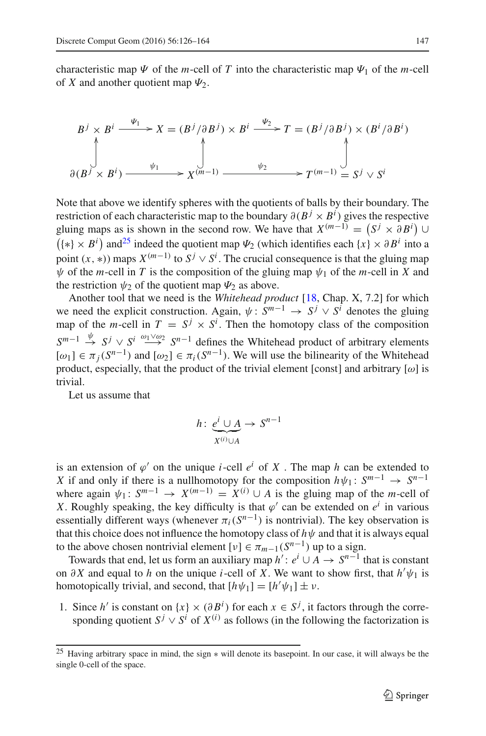characteristic map  $\Psi$  of the *m*-cell of *T* into the characteristic map  $\Psi_1$  of the *m*-cell of *X* and another quotient map  $\Psi_2$ .

$$
B^j \times B^i \xrightarrow{\psi_1} X = (B^j/\partial B^j) \times B^i \xrightarrow{\psi_2} T = (B^j/\partial B^j) \times (B^i/\partial B^i)
$$
  
\n
$$
\downarrow \qquad \qquad \downarrow \qquad \qquad \downarrow
$$
  
\n
$$
\partial(B^j \times B^i) \xrightarrow{\psi_1} X^{(m-1)} \xrightarrow{\psi_2} T^{(m-1)} = S^j \vee S^i
$$

Note that above we identify spheres with the quotients of balls by their boundary. The restriction of each characteristic map to the boundary  $\partial (B^j \times B^i)$  gives the respective gluing maps as is shown in the second row. We have that  $X^{(m-1)} = (S^j \times \partial B^i) \cup$  $({*} \times B<sup>i</sup>)$  and<sup>25</sup> indeed the quotient map  $\Psi_2$  (which identifies each  ${x} \times \partial B<sup>i</sup>$  into a point  $(x, *)$ ) maps  $X^{(m-1)}$  to  $S^j \vee S^i$ . The crucial consequence is that the gluing map  $\psi$  of the *m*-cell in *T* is the composition of the gluing map  $\psi_1$  of the *m*-cell in *X* and the restriction  $\psi_2$  of the quotient map  $\Psi_2$  as above.

Another tool that we need is the *Whitehead product* [\[18,](#page-37-6) Chap. X, 7.2] for which we need the explicit construction. Again,  $\psi: S^{m-1} \to S^j \vee S^i$  denotes the gluing map of the *m*-cell in  $T = S^j \times S^i$ . Then the homotopy class of the composition  $S^{m-1}$   $\stackrel{\psi}{\rightarrow}$   $S^j \vee S^i \stackrel{\omega_1 \vee \omega_2}{\rightarrow} S^{n-1}$  defines the Whitehead product of arbitrary elements  $[\omega_1] \in \pi_j(S^{n-1})$  and  $[\omega_2] \in \pi_j(S^{n-1})$ . We will use the bilinearity of the Whitehead product, especially, that the product of the trivial element [const] and arbitrary  $[\omega]$  is trivial.

Let us assume that

$$
h\colon \underbrace{e^i \cup A}_{X^{(i)} \cup A} \to S^{n-1}
$$

is an extension of  $\varphi'$  on the unique *i*-cell  $e^i$  of *X*. The map *h* can be extended to *X* if and only if there is a nullhomotopy for the composition  $h\psi_1: S^{m-1} \to S^{n-1}$ where again  $\psi_1: S^{m-1} \to X^{(m-1)} = X^{(i)} \cup A$  is the gluing map of the *m*-cell of *X*. Roughly speaking, the key difficulty is that  $\varphi'$  can be extended on  $e^i$  in various essentially different ways (whenever  $\pi_i(S^{n-1})$  is nontrivial). The key observation is that this choice does not influence the homotopy class of  $h\psi$  and that it is always equal to the above chosen nontrivial element  $[v] \in \pi_{m-1}(S^{n-1})$  up to a sign.

Towards that end, let us form an auxiliary map  $h' : e^i \cup A \rightarrow S^{n-1}$  that is constant on  $\partial X$  and equal to *h* on the unique *i*-cell of *X*. We want to show first, that  $h' \psi_1$  is homotopically trivial, and second, that  $[h\psi_1] = [h'\psi_1] \pm \nu$ .

1. Since *h'* is constant on  $\{x\} \times (\partial B^i)$  for each  $x \in S^j$ , it factors through the corresponding quotient  $S^j \vee S^i$  of  $X^{(i)}$  as follows (in the following the factorization is

<span id="page-21-0"></span><sup>&</sup>lt;sup>25</sup> Having arbitrary space in mind, the sign  $*$  will denote its basepoint. In our case, it will always be the single 0-cell of the space.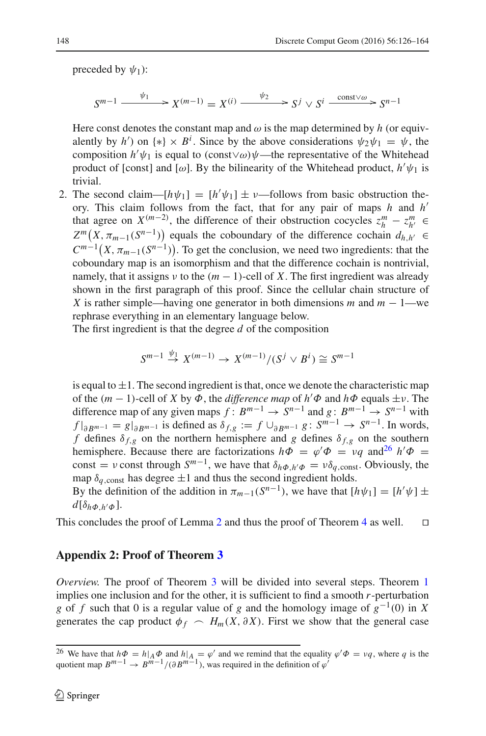preceded by  $\psi_1$ ):

$$
S^{m-1} \xrightarrow{\psi_1} X^{(m-1)} = X^{(i)} \xrightarrow{\psi_2} S^j \vee S^i \xrightarrow{\text{const}\vee\omega} S^{n-1}
$$

Here const denotes the constant map and  $\omega$  is the map determined by *h* (or equivalently by *h*<sup>'</sup>) on {\*}  $\times$  *B<sup>i</sup>*. Since by the above considerations  $\psi_2 \psi_1 = \psi$ , the composition  $h'\psi_1$  is equal to (const∨ω) $\psi$ —the representative of the Whitehead product of [const] and [ $\omega$ ]. By the bilinearity of the Whitehead product,  $h' \psi_1$  is trivial.

2. The second claim— $[h\psi_1] = [h'\psi_1] \pm \nu$ —follows from basic obstruction theory. This claim follows from the fact, that for any pair of maps *h* and *h* that agree on  $X^{(m-2)}$ , the difference of their obstruction cocycles  $z_h^m - z_{h'}^m \in$  $Z^m(X, \pi_{m-1}(S^{n-1}))$  equals the coboundary of the difference cochain  $d_{h,h'} \in$  $C^{m-1}(X, \pi_{m-1}(S^{n-1}))$ . To get the conclusion, we need two ingredients: that the coboundary map is an isomorphism and that the difference cochain is nontrivial, namely, that it assigns  $\nu$  to the  $(m - 1)$ -cell of *X*. The first ingredient was already shown in the first paragraph of this proof. Since the cellular chain structure of *X* is rather simple—having one generator in both dimensions *m* and  $m - 1$ —we rephrase everything in an elementary language below.

The first ingredient is that the degree *d* of the composition

$$
S^{m-1} \stackrel{\psi_1}{\rightarrow} X^{(m-1)} \rightarrow X^{(m-1)}/(S^j \vee B^i) \cong S^{m-1}
$$

is equal to  $\pm 1$ . The second ingredient is that, once we denote the characteristic map of the  $(m-1)$ -cell of *X* by  $\Phi$ , the *difference map* of  $h' \Phi$  and  $h \Phi$  equals  $\pm v$ . The difference map of any given maps  $f: B^{m-1} \to S^{n-1}$  and  $g: B^{m-1} \to S^{n-1}$  with *f*  $|{}_{\partial B^{m-1}} = g|_{\partial B^{m-1}}$  is defined as  $\delta_{f,g} := f \cup_{\partial B^{m-1}} g : S^{m-1} \to S^{n-1}$ . In words, *f* defines  $\delta_{f,g}$  on the northern hemisphere and *g* defines  $\delta_{f,g}$  on the southern hemisphere. Because there are factorizations  $h\Phi = \varphi' \Phi = \nu q$  and<sup>26</sup>  $h' \Phi =$ const =  $\nu$  const through  $S^{m-1}$ , we have that  $\delta_{h\Phi,h'\Phi} = \nu \delta_{q,\text{const}}$ . Obviously, the map  $\delta_{a,\text{const}}$  has degree  $\pm 1$  and thus the second ingredient holds.

By the definition of the addition in  $\pi_{m-1}(S^{n-1})$ , we have that  $[h\psi_1] = [h'\psi] \pm$  $d[\delta_{h\Phi,h'\Phi}].$ 

This concludes the proof of Lemma [2](#page-18-3) and thus the proof of Theorem [4](#page-6-2) as well.  $\Box$ 

#### **Appendix 2: Proof of Theorem [3](#page-5-4)**

*Overview.* The proof of Theorem [3](#page-5-4) will be divided into several steps. Theorem [1](#page-5-2) implies one inclusion and for the other, it is sufficient to find a smooth *r*-perturbation *g* of *f* such that 0 is a regular value of *g* and the homology image of *g*−1(0) in *X* generates the cap product  $\phi_f \sim H_m(X, \partial X)$ . First we show that the general case

<span id="page-22-0"></span><sup>&</sup>lt;sup>26</sup> We have that  $h\Phi = h|_A \Phi$  and  $h|_A = \varphi'$  and we remind that the equality  $\varphi' \Phi = \nu q$ , where q is the quotient map  $B^{m-1} \to B^{m-1}/(\partial B^{m-1})$ , was required in the definition of  $\varphi'$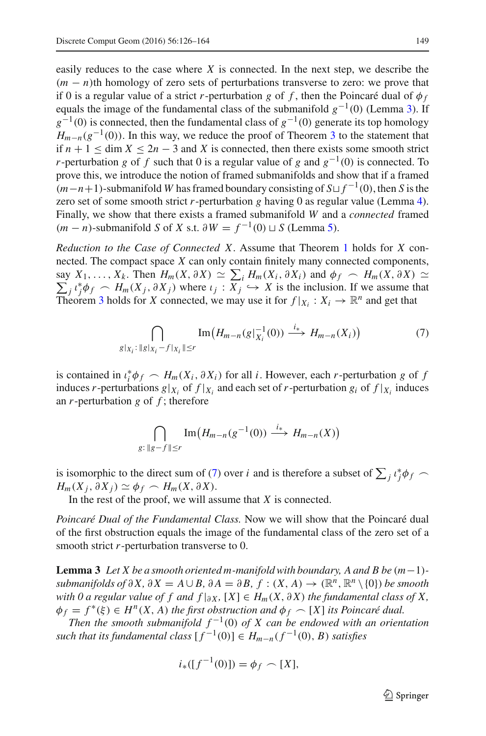easily reduces to the case where *X* is connected. In the next step, we describe the (*m* − *n*)th homology of zero sets of perturbations transverse to zero: we prove that if 0 is a regular value of a strict *r*-perturbation *g* of *f*, then the Poincaré dual of  $\phi_f$ equals the image of the fundamental class of the submanifold  $g^{-1}(0)$  (Lemma [3\)](#page-23-0). If  $g^{-1}(0)$  is connected, then the fundamental class of  $g^{-1}(0)$  generate its top homology  $H_{m-n}(g^{-1}(0))$ . In this way, we reduce the proof of Theorem [3](#page-5-4) to the statement that if  $n + 1 < \dim X < 2n - 3$  and X is connected, then there exists some smooth strict *r*-perturbation *g* of *f* such that 0 is a regular value of *g* and  $g^{-1}(0)$  is connected. To prove this, we introduce the notion of framed submanifolds and show that if a framed (*m*−*n*+1)-submanifold *<sup>W</sup>* has framed boundary consisting of *<sup>S</sup> <sup>f</sup>* <sup>−</sup>1(0), then *<sup>S</sup>* is the zero set of some smooth strict *r*-perturbation *g* having 0 as regular value (Lemma [4\)](#page-26-0). Finally, we show that there exists a framed submanifold *W* and a *connected* framed (*m* − *n*)-submanifold *S* of *X* s.t.  $\partial W = f^{-1}(0) \sqcup S$  (Lemma [5\)](#page-30-0).

*Reduction to the Case of Connected X*. Assume that Theorem [1](#page-5-2) holds for *X* connected. The compact space *X* can only contain finitely many connected components, say  $X_1, \ldots, X_k$ . Then  $H_m(X, \partial X) \simeq \sum_i H_m(X_i, \partial X_i)$  and  $\phi_f \frown H_m(X, \partial X) \simeq$  $\sum_j \iota_j^* \phi_f \sim H_m(X_j, \partial X_j)$  where  $\iota_j : X_j \hookrightarrow X$  is the inclusion. If we assume that Theorem [3](#page-5-4) holds for *X* connected, we may use it for  $f|_{X_i}: X_i \to \mathbb{R}^n$  and get that

$$
\bigcap_{g|x_i:\|g|x_i-f|x_i\|\leq r} \operatorname{Im} \left( H_{m-n}(g|_{X_i}^{-1}(0)) \xrightarrow{i_*} H_{m-n}(X_i) \right) \tag{7}
$$

<span id="page-23-1"></span>is contained in  $\iota_i^* \phi_f \sim H_m(X_i, \partial X_i)$  for all *i*. However, each *r*-perturbation *g* of *f* induces *r*-perturbations  $g|_{X_i}$  of  $f|_{X_i}$  and each set of *r*-perturbation  $g_i$  of  $f|_{X_i}$  induces an *r*-perturbation *g* of *f* ; therefore

$$
\bigcap_{g:\|g-f\|\leq r} \operatorname{Im}\left(H_{m-n}(g^{-1}(0))\xrightarrow{i_*} H_{m-n}(X)\right)
$$

is isomorphic to the direct sum of [\(7\)](#page-23-1) over *i* and is therefore a subset of  $\sum_j \iota_j^* \phi_f$  $H_m(X_i, \partial X_j) \simeq \phi_f \frown H_m(X, \partial X).$ 

In the rest of the proof, we will assume that *X* is connected.

*Poincaré Dual of the Fundamental Class.* Now we will show that the Poincaré dual of the first obstruction equals the image of the fundamental class of the zero set of a smooth strict *r*-perturbation transverse to 0.

<span id="page-23-0"></span>**Lemma 3** *Let X be a smooth oriented m-manifold with boundary, A and B be*  $(m-1)$ *submanifolds of* ∂*X*, ∂*X* =  $A \cup B$ , ∂ $A = \partial B$ ,  $f : (X, A) \rightarrow (\mathbb{R}^n, \mathbb{R}^n \setminus \{0\})$  *be smooth with 0 a regular value of f and f*  $|∂X$ *,*  $[X] ∈ H<sub>m</sub>(X, ∂X)$  *the fundamental class of* X*,*  $\phi_f = f^*(\xi) \in H^n(X, A)$  *the first obstruction and*  $\phi_f \frown [X]$  *its Poincaré dual.* 

*Then the smooth submanifold*  $f^{-1}(0)$  *of* X can be endowed with an orientation *such that its fundamental class*  $[f^{-1}(0)] \in H_{m-n}(f^{-1}(0), B)$  *satisfies* 

$$
i_*([f^{-1}(0)]) = \phi_f \frown [X],
$$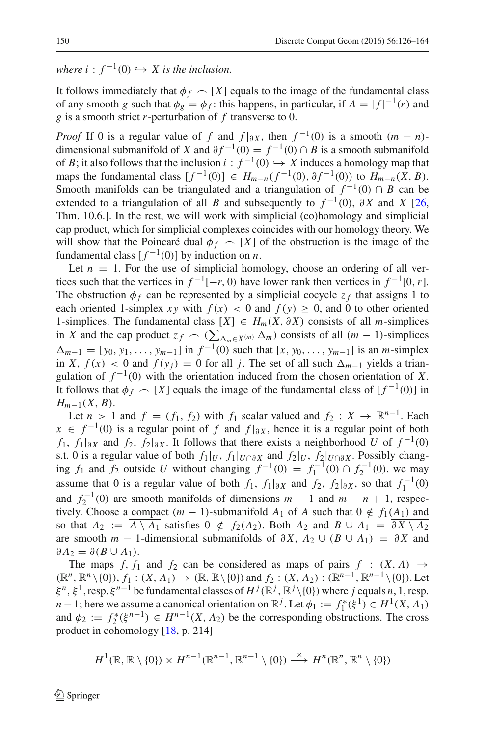*where*  $i : f^{-1}(0) \hookrightarrow X$  *is the inclusion.* 

It follows immediately that  $\phi_f \sim [X]$  equals to the image of the fundamental class of any smooth *g* such that  $\phi_g = \phi_f$ : this happens, in particular, if  $A = |f|^{-1}(r)$  and *g* is a smooth strict *r*-perturbation of *f* transverse to 0.

*Proof* If 0 is a regular value of *f* and  $f|_{\partial X}$ , then  $f^{-1}(0)$  is a smooth  $(m - n)$ dimensional submanifold of *X* and  $\partial f^{-1}(0) = f^{-1}(0) \cap B$  is a smooth submanifold of *B*; it also follows that the inclusion  $i : f^{-1}(0) \hookrightarrow X$  induces a homology map that maps the fundamental class  $[f^{-1}(0)] \in H_{m-n}(f^{-1}(0), \partial f^{-1}(0))$  to  $H_{m-n}(X, B)$ . Smooth manifolds can be triangulated and a triangulation of  $f^{-1}(0) \cap B$  can be extended to a triangulation of all *B* and subsequently to  $f^{-1}(0)$ , ∂*X* and *X* [\[26,](#page-38-8) Thm. 10.6.]. In the rest, we will work with simplicial (co)homology and simplicial cap product, which for simplicial complexes coincides with our homology theory. We will show that the Poincaré dual  $\phi_f \sim [X]$  of the obstruction is the image of the fundamental class  $[f^{-1}(0)]$  by induction on *n*.

Let  $n = 1$ . For the use of simplicial homology, choose an ordering of all vertices such that the vertices in  $f^{-1}[-r, 0)$  have lower rank then vertices in  $f^{-1}[0, r]$ . The obstruction  $\phi_f$  can be represented by a simplicial cocycle  $z_f$  that assigns 1 to each oriented 1-simplex *xy* with  $f(x) < 0$  and  $f(y) \ge 0$ , and 0 to other oriented 1-simplices. The fundamental class  $[X]$  ∈  $H_m(X, \partial X)$  consists of all *m*-simplices in *X* and the cap product  $z_f \sim (\sum_{\Delta_m \in X^{(m)}} \Delta_m)$  consists of all  $(m-1)$ -simplices  $\Delta_{m-1} = [y_0, y_1, \ldots, y_{m-1}]$  in  $f^{-1}(0)$  such that  $[x, y_0, \ldots, y_{m-1}]$  is an *m*-simplex in *X*,  $f(x) < 0$  and  $f(y_i) = 0$  for all *j*. The set of all such  $\Delta_{m-1}$  yields a triangulation of  $f^{-1}(0)$  with the orientation induced from the chosen orientation of *X*. It follows that  $\phi_f \sim [X]$  equals the image of the fundamental class of  $[f^{-1}(0)]$  in *H*<sub>m−1</sub>(*X*, *B*).

Let *n* > 1 and  $f = (f_1, f_2)$  with  $f_1$  scalar valued and  $f_2 : X \rightarrow \mathbb{R}^{n-1}$ . Each  $x \in f^{-1}(0)$  is a regular point of *f* and  $f|_{\partial X}$ , hence it is a regular point of both *f*<sub>1</sub>, *f*<sub>1</sub>|∂*X* and *f*<sub>2</sub>, *f*<sub>2</sub>|∂*X*. It follows that there exists a neighborhood *U* of  $f^{-1}(0)$ s.t. 0 is a regular value of both  $f_1|_U$ ,  $f_1|_{U \cap \partial X}$  and  $f_2|_U$ ,  $f_2|_{U \cap \partial X}$ . Possibly changing *f*<sub>1</sub> and *f*<sub>2</sub> outside *U* without changing  $f^{-1}(0) = f_1^{-1}(0) \cap f_2^{-1}(0)$ , we may assume that 0 is a regular value of both  $f_1$ ,  $f_1|_{\partial X}$  and  $f_2$ ,  $f_2|_{\partial X}$ , so that  $f_1^{-1}(0)$ and  $f_2^{-1}(0)$  are smooth manifolds of dimensions  $m-1$  and  $m-n+1$ , respectively. Choose a compact  $(m - 1)$ -submanifold  $A_1$  of  $A$  such that  $0 \notin f_1(A_1)$  and so that  $A_2 := \overline{A \setminus A_1}$  satisfies  $0 \notin f_2(A_2)$ . Both  $A_2$  and  $B \cup A_1 = \overline{\partial X \setminus A_2}$ are smooth  $m - 1$ -dimensional submanifolds of  $\partial X$ ,  $A_2 \cup (B \cup A_1) = \partial X$  and  $\partial A_2 = \partial (B \cup A_1).$ 

The maps *f*, *f*<sub>1</sub> and *f*<sub>2</sub> can be considered as maps of pairs *f* :  $(X, A) \rightarrow$  $(\mathbb{R}^n, \mathbb{R}^n \setminus \{0\}), f_1 : (X, A_1) \to (\mathbb{R}, \mathbb{R} \setminus \{0\})$  and  $f_2 : (X, A_2) : (\mathbb{R}^{n-1}, \mathbb{R}^{n-1} \setminus \{0\}).$  Let  $\xi^n$ ,  $\xi^1$ , resp.  $\xi^{n-1}$  be fundamental classes of  $H^j(\mathbb{R}^j, \mathbb{R}^j \setminus \{0\})$  where *j* equals *n*, 1, resp. *n* − 1; here we assume a canonical orientation on  $\mathbb{R}^j$ . Let  $\phi_1 := f_1^*(\xi^1) \in H^1(X, A_1)$ and  $\phi_2 := f_2^*(\xi^{n-1}) \in H^{n-1}(X, A_2)$  be the corresponding obstructions. The cross product in cohomology [\[18](#page-37-6), p. 214]

$$
H^1(\mathbb{R},\mathbb{R}\setminus\{0\})\times H^{n-1}(\mathbb{R}^{n-1},\mathbb{R}^{n-1}\setminus\{0\})\stackrel{\times}{\longrightarrow}H^n(\mathbb{R}^n,\mathbb{R}^n\setminus\{0\})
$$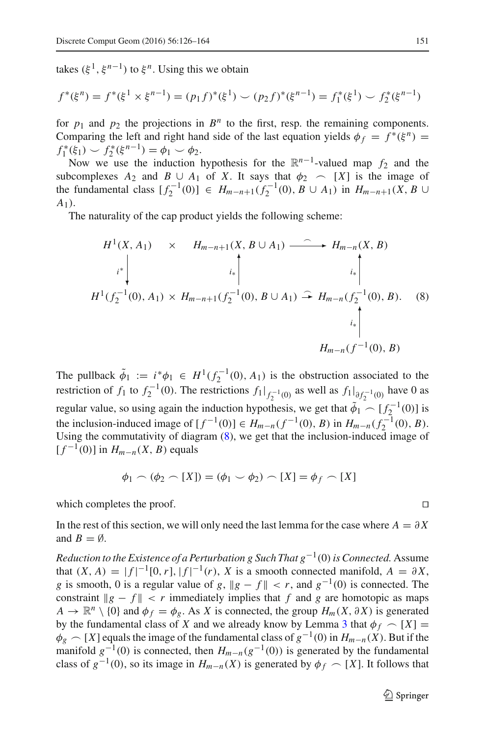takes  $(\xi^1, \xi^{n-1})$  to  $\xi^n$ . Using this we obtain

$$
f^*(\xi^n) = f^*(\xi^1 \times \xi^{n-1}) = (p_1 f)^*(\xi^1) \smile (p_2 f)^*(\xi^{n-1}) = f_1^*(\xi^1) \smile f_2^*(\xi^{n-1})
$$

for  $p_1$  and  $p_2$  the projections in  $B^n$  to the first, resp. the remaining components. Comparing the left and right hand side of the last equation yields  $\phi_f = f^*(\xi^n)$  $f_1^*(\xi_1) \smile f_2^*(\xi^{n-1}) = \phi_1 \smile \phi_2.$ 

Now we use the induction hypothesis for the  $\mathbb{R}^{n-1}$ -valued map  $f_2$  and the subcomplexes  $A_2$  and  $B \cup A_1$  of *X*. It says that  $\phi_2 \cap [X]$  is the image of the fundamental class  $[f_2^{-1}(0)] \in H_{m-n+1}(f_2^{-1}(0), B \cup A_1)$  in  $H_{m-n+1}(X, B \cup A_2)$ *A*1).

The naturality of the cap product yields the following scheme:

$$
H^{1}(X, A_{1}) \times H_{m-n+1}(X, B \cup A_{1}) \xrightarrow{\frown} H_{m-n}(X, B)
$$
\n
$$
i^{*} \downarrow \qquad i^{*} \downarrow \qquad i^{*} \downarrow \qquad i^{*} \downarrow \qquad i^{*} \downarrow \qquad i^{*} \downarrow \qquad i^{*} \downarrow \qquad i^{*} \downarrow \qquad i^{*} \downarrow \qquad i^{*} \downarrow \qquad i^{*} \downarrow \qquad i^{*} \downarrow \qquad i^{*} \downarrow \qquad i^{*} \downarrow \qquad i^{*} \downarrow \qquad i^{*} \downarrow \qquad i^{*} \downarrow \qquad i^{*} \downarrow \qquad i^{*} \downarrow \qquad i^{*} \downarrow \qquad i^{*} \downarrow \qquad i^{*} \downarrow \qquad i^{*} \downarrow \qquad i^{*} \downarrow \qquad i^{*} \downarrow \qquad i^{*} \downarrow \qquad i^{*} \downarrow \qquad i^{*} \downarrow \qquad i^{*} \downarrow \qquad i^{*} \downarrow \qquad i^{*} \downarrow \qquad i^{*} \downarrow \qquad i^{*} \downarrow \qquad i^{*} \downarrow \qquad i^{*} \downarrow \qquad i^{*} \downarrow \qquad i^{*} \downarrow \qquad i^{*} \downarrow \qquad i^{*} \downarrow \qquad i^{*} \downarrow \qquad i^{*} \downarrow \qquad i^{*} \downarrow \qquad i^{*} \downarrow \qquad i^{*} \downarrow \qquad i^{*} \downarrow \qquad i^{*} \downarrow \qquad i^{*} \downarrow \qquad i^{*} \downarrow \qquad i^{*} \downarrow \qquad i^{*} \downarrow \qquad i^{*} \downarrow \qquad i^{*} \downarrow \qquad i^{*} \downarrow \qquad i^{*} \downarrow \qquad i^{*} \downarrow \qquad i^{*} \downarrow \qquad i^{*} \downarrow \qquad i^{*} \downarrow \qquad i^{*} \downarrow \qquad i^{*} \downarrow \qquad i^{*} \downarrow \qquad i^{*} \downarrow \qquad i^{*} \downarrow \qquad i^{*} \downarrow \qquad i^{*} \downarrow \qquad i^{*} \downarrow \qquad i^{*} \downarrow \qquad i^{*} \downarrow \qquad i^{*} \downarrow \qquad i^{*} \downarrow \qquad i^{*} \down
$$

<span id="page-25-0"></span>The pullback  $\tilde{\phi}_1 := i^* \phi_1 \in H^1(f_2^{-1}(0), A_1)$  is the obstruction associated to the restriction of  $f_1$  to  $f_2^{-1}(0)$ . The restrictions  $f_1|_{f_2^{-1}(0)}$  as well as  $f_1|_{\partial f_2^{-1}(0)}$  have 0 as regular value, so using again the induction hypothesis, we get that  $\tilde{\phi}_1 \sim [f_2^{-1}(0)]$  is the inclusion-induced image of  $[f^{-1}(0)] \in H_{m-n}(f^{-1}(0), B)$  in  $H_{m-n}(f_2^{-1}(0), B)$ . Using the commutativity of diagram [\(8\)](#page-25-0), we get that the inclusion-induced image of  $[f^{-1}(0)]$  in  $H_{m-n}(X, B)$  equals

$$
\phi_1 \frown (\phi_2 \frown [X]) = (\phi_1 \frown \phi_2) \frown [X] = \phi_f \frown [X]
$$

which completes the proof.  $\Box$ 

In the rest of this section, we will only need the last lemma for the case where  $A = \partial X$ and  $B = \emptyset$ .

*Reduction to the Existence of a Perturbation g Such That g<sup>-1</sup>(0) is Connected.* Assume that  $(X, A) = |f|^{-1}[0, r], |f|^{-1}(r), X$  is a smooth connected manifold,  $A = \partial X$ , *g* is smooth, 0 is a regular value of *g*,  $||g - f|| < r$ , and  $g^{-1}(0)$  is connected. The constraint  $\|g - f\| < r$  immediately implies that f and g are homotopic as maps  $A \to \mathbb{R}^n \setminus \{0\}$  and  $\phi_f = \phi_g$ . As *X* is connected, the group  $H_m(X, \partial X)$  is generated by the fundamental class of *X* and we already know by Lemma [3](#page-23-0) that  $\phi_f \sim [X] =$  $\phi_g$   $\frown$  [*X*] equals the image of the fundamental class of  $g^{-1}(0)$  in  $H_{m-n}(X)$ . But if the manifold  $g^{-1}(0)$  is connected, then  $H_{m-n}(g^{-1}(0))$  is generated by the fundamental class of  $g^{-1}(0)$ , so its image in  $H_{m-n}(X)$  is generated by  $\phi_f \frown [X]$ . It follows that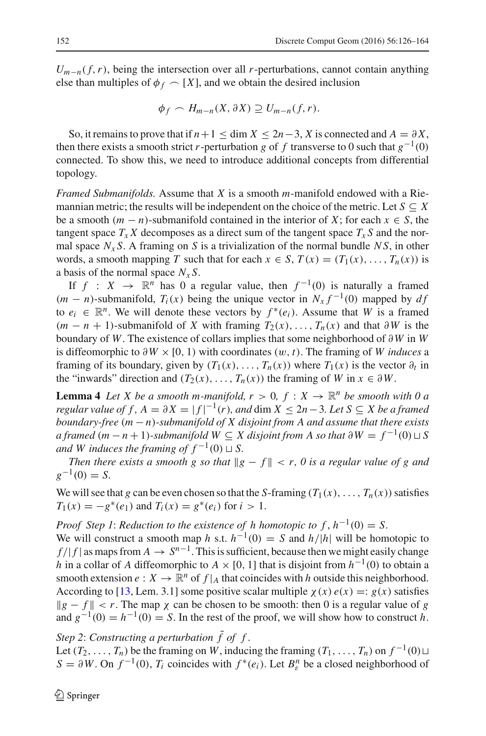$U_{m-n}(f, r)$ , being the intersection over all *r*-perturbations, cannot contain anything else than multiples of  $\phi_f \frown [X]$ , and we obtain the desired inclusion

$$
\phi_f \frown H_{m-n}(X,\partial X) \supseteq U_{m-n}(f,r).
$$

So, it remains to prove that if  $n+1 \le \dim X \le 2n-3$ , X is connected and  $A = \partial X$ , then there exists a smooth strict *r*-perturbation *g* of *f* transverse to 0 such that  $g^{-1}(0)$ connected. To show this, we need to introduce additional concepts from differential topology.

*Framed Submanifolds.* Assume that *X* is a smooth *m*-manifold endowed with a Riemannian metric; the results will be independent on the choice of the metric. Let  $S \subseteq X$ be a smooth  $(m - n)$ -submanifold contained in the interior of *X*; for each  $x \in S$ , the tangent space  $T_x X$  decomposes as a direct sum of the tangent space  $T_x S$  and the normal space  $N_x S$ . A framing on *S* is a trivialization of the normal bundle *NS*, in other words, a smooth mapping *T* such that for each  $x \in S$ ,  $T(x) = (T_1(x), \ldots, T_n(x))$  is a basis of the normal space  $N<sub>x</sub> S$ .

If  $f : X \to \mathbb{R}^n$  has 0 a regular value, then  $f^{-1}(0)$  is naturally a framed  $(m - n)$ -submanifold,  $T_i(x)$  being the unique vector in  $N_x f^{-1}(0)$  mapped by  $df$ to  $e_i \in \mathbb{R}^n$ . We will denote these vectors by  $f^*(e_i)$ . Assume that *W* is a framed  $(m - n + 1)$ -submanifold of *X* with framing  $T_2(x), \ldots, T_n(x)$  and that ∂*W* is the boundary of *W*. The existence of collars implies that some neighborhood of ∂*W* in *W* is diffeomorphic to ∂*W* × [0, 1) with coordinates (w, *t*). The framing of *W induces* a framing of its boundary, given by  $(T_1(x), \ldots, T_n(x))$  where  $T_1(x)$  is the vector  $\partial_t$  in the "inwards" direction and  $(T_2(x), \ldots, T_n(x))$  the framing of *W* in  $x \in \partial W$ .

<span id="page-26-0"></span>**Lemma 4** *Let X be a smooth m-manifold,*  $r > 0$ *,*  $f : X \rightarrow \mathbb{R}^n$  *be smooth with 0 a regular value of f*,  $A = \partial X = |f|^{-1}(r)$ , and dim  $X \le 2n - 3$ . Let  $S \subseteq X$  be a framed *boundary-free* (*m* −*n*)*-submanifold of X disjoint from A and assume that there exists a* framed (*m* − *n* + 1)*-submanifold*  $W \subseteq X$  disjoint from A so that  $\partial W = f^{-1}(0) \sqcup S$ *and W induces the framing of*  $f^{-1}(0) \sqcup S$ .

*Then there exists a smooth g so that*  $||g - f|| < r$ , 0 is a regular value of g and  $g^{-1}(0) = S$ .

We will see that *g* can be even chosen so that the *S*-framing  $(T_1(x), \ldots, T_n(x))$  satisfies  $T_1(x) = -g^*(e_1)$  and  $T_i(x) = g^*(e_i)$  for  $i > 1$ .

*Proof Step 1*: *Reduction to the existence of h homotopic to f*,  $h^{-1}(0) = S$ .

We will construct a smooth map *h* s.t.  $h^{-1}(0) = S$  and  $h/|h|$  will be homotopic to  $f/|f|$  as maps from  $A \to S^{n-1}$ . This is sufficient, because then we might easily change *h* in a collar of *A* diffeomorphic to  $A \times [0, 1]$  that is disjoint from  $h^{-1}(0)$  to obtain a smooth extension  $e: X \to \mathbb{R}^n$  of  $f|_A$  that coincides with *h* outside this neighborhood. According to [\[13](#page-37-9), Lem. 3.1] some positive scalar multiple  $\chi(x) e(x) =: g(x)$  satisfies  $\|g - f\| < r$ . The map  $\chi$  can be chosen to be smooth: then 0 is a regular value of g and  $g^{-1}(0) = h^{-1}(0) = S$ . In the rest of the proof, we will show how to construct *h*.

## *Step 2: Constructing a perturbation*  $\tilde{f}$  of  $f$ .

Let  $(T_2, \ldots, T_n)$  be the framing on *W*, inducing the framing  $(T_1, \ldots, T_n)$  on  $f^{-1}(0) \sqcup$  $S = \partial W$ . On  $f^{-1}(0)$ ,  $T_i$  coincides with  $f^*(e_i)$ . Let  $B_{\varepsilon}^n$  be a closed neighborhood of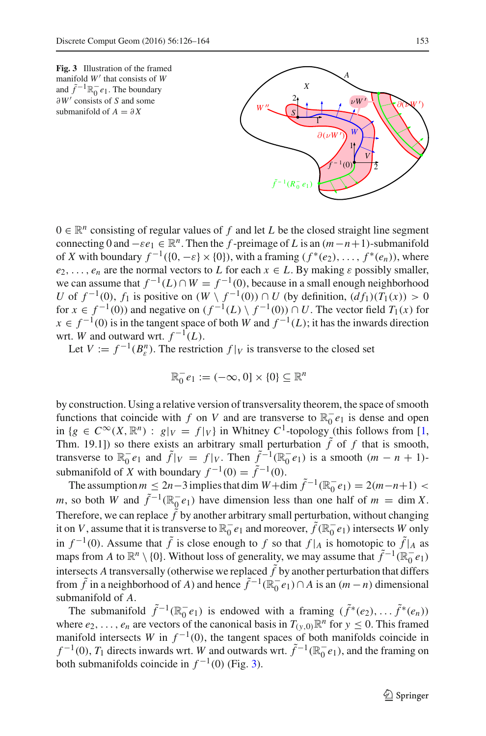<span id="page-27-0"></span>**Fig. 3** Illustration of the framed manifold *W* that consists of *W* and  $\tilde{f}^{-1}\mathbb{R}_0^-e_1$ . The boundary ∂*W* consists of *S* and some submanifold of  $A = \partial X$ 

2 1 *W*  $\tilde{f}^{-1}(R_0^-e_1)$ *V*  $\partial(\nu W')$ *f* − 1 (0)  $0 \in \mathbb{R}^n$  consisting of regular values of f and let L be the closed straight line segment

connecting 0 and  $-\varepsilon e_1 \in \mathbb{R}^n$ . Then the *f*-preimage of *L* is an  $(m-n+1)$ -submanifold of *X* with boundary  $f^{-1}(\{0, -\varepsilon\} \times \{0\})$ , with a framing  $(f^*(e_2), \ldots, f^*(e_n))$ , where  $e_2, \ldots, e_n$  are the normal vectors to *L* for each  $x \in L$ . By making  $\varepsilon$  possibly smaller, we can assume that  $f^{-1}(L) \cap W = f^{-1}(0)$ , because in a small enough neighborhood *U* of  $f^{-1}(0)$ ,  $f_1$  is positive on  $(W \setminus f^{-1}(0)) \cap U$  (by definition,  $(df_1)(T_1(x)) > 0$ for  $x \in f^{-1}(0)$  and negative on  $(f^{-1}(L) \setminus f^{-1}(0)) \cap U$ . The vector field  $T_1(x)$  for *x* ∈  $f^{-1}(0)$  is in the tangent space of both *W* and  $f^{-1}(L)$ ; it has the inwards direction wrt. *W* and outward wrt.  $f^{-1}(L)$ .

Let  $V := f^{-1}(B_{\varepsilon}^n)$ . The restriction  $f|_V$  is transverse to the closed set

$$
\mathbb{R}_0^-e_1:=(-\infty,0]\times\{0\}\subseteq\mathbb{R}^n
$$

by construction. Using a relative version of transversality theorem, the space of smooth functions that coincide with *f* on *V* and are transverse to  $\mathbb{R}_0^-e_1$  is dense and open in {*g* ∈  $C^{\infty}(X, \mathbb{R}^n)$  : *g*|*v* = *f*|*v*} in Whitney  $C^1$ -topology (this follows from [\[1,](#page-37-18) Thm. 19.1]) so there exists an arbitrary small perturbation  $\tilde{f}$  of  $f$  that is smooth, transverse to  $\mathbb{R}_0^- e_1$  and  $\tilde{f}|_V = f|_V$ . Then  $\tilde{f}^{-1}(\mathbb{R}_0^- e_1)$  is a smooth  $(m - n + 1)$ submanifold of *X* with boundary  $f^{-1}(0) = \tilde{f}^{-1}(0)$ .

The assumption  $m \le 2n - 3$  implies that dim  $W + \dim \tilde{f}^{-1}(\mathbb{R}_0^- e_1) = 2(m - n + 1)$ *m*, so both *W* and  $\tilde{f}^{-1}(\mathbb{R}_{0}^{-}e_1)$  have dimension less than one half of  $m = \dim X$ . Therefore, we can replace  $\hat{f}$  by another arbitrary small perturbation, without changing it on *V*, assume that it is transverse to  $\mathbb{R}_0^- e_1$  and moreover,  $\tilde{f}(\mathbb{R}_0^- e_1)$  intersects *W* only in  $f^{-1}(0)$ . Assume that  $\tilde{f}$  is close enough to  $f$  so that  $f|_A$  is homotopic to  $\tilde{f}|_A$  as maps from *A* to  $\mathbb{R}^n \setminus \{0\}$ . Without loss of generality, we may assume that  $\tilde{f}^{-1}(\mathbb{R}^-_0 e_1)$ intersects A transversally (otherwise we replaced  $\tilde{f}$  by another perturbation that differs from  $\tilde{f}$  in a neighborhood of *A*) and hence  $\tilde{f}^{-1}(\mathbb{R}_0^- e_1) \cap A$  is an  $(m - n)$  dimensional submanifold of *A*.

The submanifold  $\tilde{f}^{-1}(\mathbb{R}_0^-e_1)$  is endowed with a framing  $(\tilde{f}^*(e_2), \dots, \tilde{f}^*(e_n))$ where  $e_2, \ldots, e_n$  are vectors of the canonical basis in  $T_{(\nu,0)} \mathbb{R}^n$  for  $y \le 0$ . This framed manifold intersects *W* in  $f^{-1}(0)$ , the tangent spaces of both manifolds coincide in  $f^{-1}(0)$ , *T*<sub>1</sub> directs inwards wrt. *W* and outwards wrt.  $\tilde{f}^{-1}(\mathbb{R}_0^-e_1)$ , and the framing on both submanifolds coincide in  $f^{-1}(0)$  (Fig. [3\)](#page-27-0).

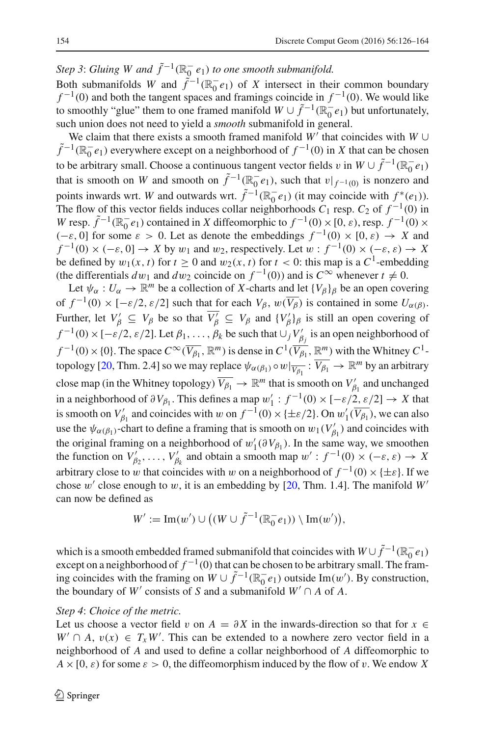*Step 3*: *Gluing W and*  $\tilde{f}^{-1}(\mathbb{R}_{\overline{0}}^{\overline{c}}e_1)$  *to one smooth submanifold.* 

Both submanifolds *W* and  $\tilde{f}^{-1}(\mathbb{R}^{-}_{0}e_{1})$  of *X* intersect in their common boundary  $f^{-1}(0)$  and both the tangent spaces and framings coincide in  $f^{-1}(0)$ . We would like to smoothly "glue" them to one framed manifold  $W \cup \tilde{f}^{-1}(\mathbb{R}_0^- e_1)$  but unfortunately, such union does not need to yield a *smooth* submanifold in general.

We claim that there exists a smooth framed manifold *W'* that coincides with *W* ∪  $\tilde{f}^{-1}(\mathbb{R}_0^-e_1)$  everywhere except on a neighborhood of  $f^{-1}(0)$  in *X* that can be chosen to be arbitrary small. Choose a continuous tangent vector fields v in  $W \cup \tilde{f}^{-1}(\mathbb{R}_0^- e_1)$ that is smooth on *W* and smooth on  $\tilde{f}^{-1}(\mathbb{R}_0^- e_1)$ , such that  $v|_{f^{-1}(0)}$  is nonzero and points inwards wrt. *W* and outwards wrt.  $\tilde{f}^{-1}(\mathbb{R}_0^- e_1)$  (it may coincide with  $f^*(e_1)$ ). The flow of this vector fields induces collar neighborhoods  $C_1$  resp.  $C_2$  of  $f^{-1}(0)$  in *W* resp.  $\tilde{f}^{-1}(\mathbb{R}_0^- e_1)$  contained in *X* diffeomorphic to  $f^{-1}(0) \times [0, \varepsilon)$ , resp.  $f^{-1}(0) \times$ (−ε, 0] for some  $\varepsilon > 0$ . Let as denote the embeddings  $f^{-1}(0) \times [0, \varepsilon) \rightarrow X$  and  $f^{-1}(0) \times (-\varepsilon, 0] \to X$  by  $w_1$  and  $w_2$ , respectively. Let  $w : f^{-1}(0) \times (-\varepsilon, \varepsilon) \to X$ be defined by  $w_1(x, t)$  for  $t \ge 0$  and  $w_2(x, t)$  for  $t < 0$ : this map is a  $C^1$ -embedding (the differentials  $dw_1$  and  $dw_2$  coincide on  $f^{-1}(0)$ ) and is  $C^{\infty}$  whenever  $t \neq 0$ .

Let  $\psi_{\alpha}: U_{\alpha} \to \mathbb{R}^m$  be a collection of *X*-charts and let  $\{V_{\beta}\}_\beta$  be an open covering of  $f^{-1}(0) \times [-\varepsilon/2, \varepsilon/2]$  such that for each  $V_\beta$ ,  $w(\overline{V_\beta})$  is contained in some  $U_{\alpha(\beta)}$ . Further, let  $V'_\beta \subseteq V_\beta$  be so that  $V'_\beta \subseteq V_\beta$  and  $\{V'_\beta\}_\beta$  is still an open covering of *f*  $^{-1}(0) \times [-\varepsilon/2, \varepsilon/2]$ . Let  $\beta_1, \ldots, \beta_k$  be such that  $\cup_j V'_{\beta_j}$  is an open neighborhood of  $f^{-1}(0) \times \{0\}$ . The space  $C^{\infty}(\overline{V_{\beta_1}}, \mathbb{R}^m)$  is dense in  $C^1(\overline{V_{\beta_1}}, \mathbb{R}^m)$  with the Whitney  $C^1$ -topology [\[20](#page-37-19), Thm. 2.4] so we may replace  $\psi_{\alpha(\beta_1)} \circ w|_{\overline{V_{\beta_1}}} : \overline{V_{\beta_1}} \to \mathbb{R}^m$  by an arbitrary close map (in the Whitney topology)  $\overline{V_{\beta_1}} \to \mathbb{R}^m$  that is smooth on  $V'_{\beta_1}$  and unchanged in a neighborhood of  $\partial V_{\beta_1}$ . This defines a map  $w'_1 : f^{-1}(0) \times [-\varepsilon/2, \varepsilon/2] \to X$  that is smooth on  $V'_{\beta_1}$  and coincides with w on  $f^{-1}(0) \times \{\pm \varepsilon/2\}$ . On  $w'_1(\overline{V_{\beta_1}})$ , we can also use the  $\psi_{\alpha(\beta_1)}$ -chart to define a framing that is smooth on  $w_1(V'_{\beta_1})$  and coincides with the original framing on a neighborhood of  $w'_1(\partial V_{\beta_1})$ . In the same way, we smoothen the function on  $V'_{\beta_2}, \ldots, V'_{\beta_k}$  and obtain a smooth map  $w' : f^{-1}(0) \times (-\varepsilon, \varepsilon) \to X$ arbitrary close to w that coincides with w on a neighborhood of  $f^{-1}(0) \times {\pm \varepsilon}$ . If we chose w' close enough to w, it is an embedding by  $[20, Thm. 1.4]$  $[20, Thm. 1.4]$ . The manifold *W'* can now be defined as

$$
W' := \operatorname{Im}(w') \cup ((W \cup \tilde{f}^{-1}(\mathbb{R}_0^- e_1)) \setminus \operatorname{Im}(w')),
$$

which is a smooth embedded framed submanifold that coincides with  $W \cup \tilde{f}^{-1}(\mathbb{R}_0^- e_1)$ except on a neighborhood of  $f^{-1}(0)$  that can be chosen to be arbitrary small. The framing coincides with the framing on  $W \cup \tilde{f}^{-1}(\mathbb{R}^-_0 e_1)$  outside Im(*w'*). By construction, the boundary of *W'* consists of *S* and a submanifold  $W' \cap A$  of *A*.

#### *Step 4*: *Choice of the metric.*

Let us choose a vector field v on  $A = \partial X$  in the inwards-direction so that for  $x \in$  $W' \cap A$ ,  $v(x) \in T_x W'$ . This can be extended to a nowhere zero vector field in a neighborhood of *A* and used to define a collar neighborhood of *A* diffeomorphic to  $A \times [0, \varepsilon)$  for some  $\varepsilon > 0$ , the diffeomorphism induced by the flow of v. We endow X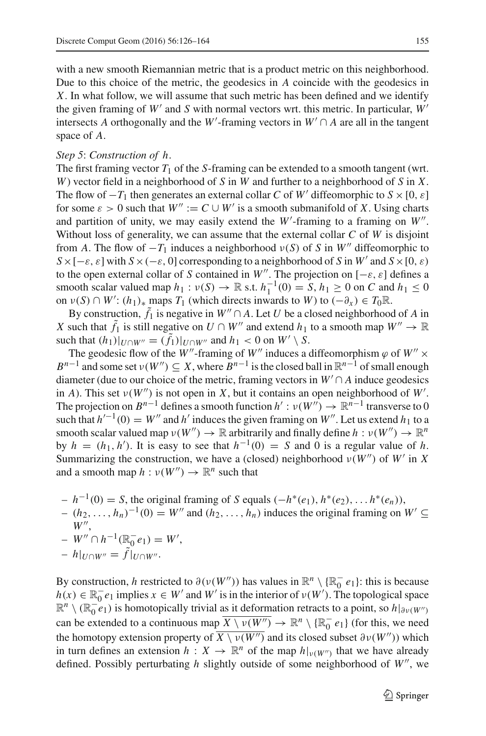with a new smooth Riemannian metric that is a product metric on this neighborhood. Due to this choice of the metric, the geodesics in *A* coincide with the geodesics in *X*. In what follow, we will assume that such metric has been defined and we identify the given framing of  $W'$  and  $S$  with normal vectors wrt. this metric. In particular,  $W'$ intersects *A* orthogonally and the *W*<sup> $\prime$ </sup>-framing vectors in *W*<sup> $\prime$ </sup>  $\cap$  *A* are all in the tangent space of *A*.

#### *Step 5*: *Construction of h*.

The first framing vector *T*<sup>1</sup> of the *S*-framing can be extended to a smooth tangent (wrt. *W*) vector field in a neighborhood of *S* in *W* and further to a neighborhood of *S* in *X*. The flow of  $-T_1$  then generates an external collar *C* of *W'* diffeomorphic to  $S \times [0, \varepsilon]$ for some  $\varepsilon > 0$  such that  $W'' := C \cup W'$  is a smooth submanifold of *X*. Using charts and partition of unity, we may easily extend the *W* -framing to a framing on *W*. Without loss of generality, we can assume that the external collar *C* of *W* is disjoint from *A*. The flow of  $-T_1$  induces a neighborhood  $v(S)$  of *S* in *W*<sup>"</sup> diffeomorphic to  $S\times[-\varepsilon,\varepsilon]$  with  $S\times(-\varepsilon,0]$  corresponding to a neighborhood of *S* in *W'* and  $S\times[0,\varepsilon)$ to the open external collar of *S* contained in *W*<sup>"</sup>. The projection on  $[-\varepsilon, \varepsilon]$  defines a smooth scalar valued map  $h_1 : \nu(S) \to \mathbb{R}$  s.t.  $h_1^{-1}(0) = S$ ,  $h_1 \ge 0$  on *C* and  $h_1 \le 0$ on  $\nu(S) \cap W'$ :  $(h_1)_*$  maps  $T_1$  (which directs inwards to *W*) to  $(-\partial_x) \in T_0 \mathbb{R}$ .

By construction,  $\tilde{f}_1$  is negative in  $W'' \cap A$ . Let *U* be a closed neighborhood of *A* in *X* such that  $\tilde{f}_1$  is still negative on  $U \cap W''$  and extend  $h_1$  to a smooth map  $W'' \to \mathbb{R}$ such that  $(h_1)|_{U \cap W''} = (\tilde{f}_1)|_{U \cap W''}$  and  $h_1 < 0$  on  $W' \setminus S$ .

The geodesic flow of the *W*<sup>*''*</sup>-framing of *W*<sup>*''*</sup> induces a diffeomorphism  $\varphi$  of *W*<sup>*''*</sup>  $\times$  $B^{n-1}$  and some set  $\nu(W'') \subseteq X$ , where  $B^{n-1}$  is the closed ball in  $\mathbb{R}^{n-1}$  of small enough diameter (due to our choice of the metric, framing vectors in  $W' \cap A$  induce geodesics in *A*). This set  $\nu(W'')$  is not open in *X*, but it contains an open neighborhood of *W'*. The projection on  $B^{n-1}$  defines a smooth function  $h' : v(W'') \to \mathbb{R}^{n-1}$  transverse to 0 such that  $h^{-1}(0) = W''$  and  $h'$  induces the given framing on W''. Let us extend  $h_1$  to a smooth scalar valued map  $\nu(W'') \to \mathbb{R}$  arbitrarily and finally define  $h : \nu(W'') \to \mathbb{R}^n$ by  $h = (h_1, h')$ . It is easy to see that  $h^{-1}(0) = S$  and 0 is a regular value of *h*. Summarizing the construction, we have a (closed) neighborhood  $v(W'')$  of W' in X and a smooth map  $h : \nu(W'') \to \mathbb{R}^n$  such that

- *<sup>h</sup>*−1(0) <sup>=</sup> *<sup>S</sup>*, the original framing of *<sup>S</sup>* equals (−*h*∗(*e*1), *<sup>h</sup>*∗(*e*2), . . . *<sup>h</sup>*∗(*en*)),
- $(h_2, \ldots, h_n)^{-1}(0) = W''$  and  $(h_2, \ldots, h_n)$  induces the original framing on  $W'$  ⊆ *W*,

$$
- W'' \cap h^{-1}(\mathbb{R}_0^- e_1) = W',
$$

 $- h|_{U \cap W''} = \tilde{f}|_{U \cap W''}.$ 

By construction, *h* restricted to  $\partial(\nu(W''))$  has values in  $\mathbb{R}^n \setminus {\mathbb{R}^-_0 e_1}$ : this is because  $h(x) \in \mathbb{R}_{0}^{-}e_{1}$  implies  $x \in W'$  and  $W'$  is in the interior of  $v(W')$ . The topological space  $\mathbb{R}^n \setminus (\mathbb{R}_0^- e_1)$  is homotopically trivial as it deformation retracts to a point, so  $h|_{\partial v(W')}$ can be extended to a continuous map  $\overline{X \setminus v(W'')} \to \mathbb{R}^n \setminus \{\mathbb{R}_0^- e_1\}$  (for this, we need the homotopy extension property of  $\overline{X \setminus v(W'')}$  and its closed subset  $\partial v(W'')$ ) which in turn defines an extension  $h: X \to \mathbb{R}^n$  of the map  $h|_{v(W')}$  that we have already defined. Possibly perturbating *h* slightly outside of some neighborhood of *W*, we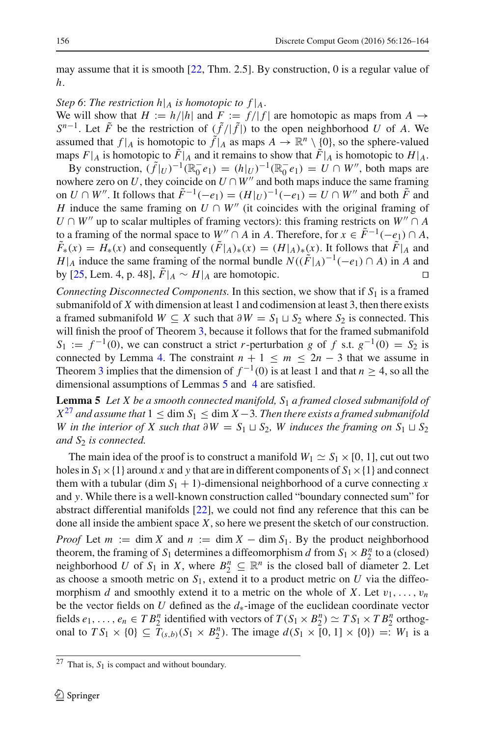may assume that it is smooth [\[22,](#page-38-9) Thm. 2.5]. By construction, 0 is a regular value of *h*.

## *Step 6: The restriction*  $h|_A$  *is homotopic to*  $f|_A$ .

We will show that  $H := h/|h|$  and  $F := f/|f|$  are homotopic as maps from  $A \rightarrow$  $S^{n-1}$ . Let  $\tilde{F}$  be the restriction of  $(\tilde{f}/|\tilde{f}|)$  to the open neighborhood *U* of *A*. We assumed that  $f|_A$  is homotopic to  $\tilde{f}|_A$  as maps  $A \to \mathbb{R}^n \setminus \{0\}$ , so the sphere-valued maps  $F|_A$  is homotopic to  $\overline{F}|_A$  and it remains to show that  $\overline{F}|_A$  is homotopic to  $H|_A$ . By construction,  $(\tilde{f}|_{U})^{-1}(\mathbb{R}_{0}^{-}e_{1}) = (h|_{U})^{-1}(\mathbb{R}_{0}^{-}e_{1}) = U \cap W''$ , both maps are

nowhere zero on *U*, they coincide on  $U \cap W''$  and both maps induce the same framing on *U* ∩ *W*<sup>*''*</sup>. It follows that  $\tilde{F}^{-1}(-e_1) = (H|_U)^{-1}(-e_1) = U \cap W$ <sup>*''*</sup> and both  $\tilde{F}$  and *H* induce the same framing on  $U \cap W''$  (it coincides with the original framing of  $U \cap W''$  up to scalar multiples of framing vectors): this framing restricts on  $W'' \cap A$ to a framing of the normal space to  $W'' \cap A$  in *A*. Therefore, for  $x \in \tilde{F}^{-1}(-e_1) \cap A$ ,  $F_*(x) = H_*(x)$  and consequently  $(F|_A)_*(x) = (H|_A)_*(x)$ . It follows that  $F|_A$  and *H*|*A* induce the same framing of the normal bundle  $N((\tilde{F}|_A)^{-1}(-e_1) \cap A)$  in *A* and by [25 I em 4 n 48]  $\tilde{F}|_A \sim H|_A$  are homotopic by [\[25](#page-38-10), Lem. 4, p. 48],  $\tilde{F}|_A \sim H|_A$  are homotopic.

*Connecting Disconnected Components.* In this section, we show that if  $S_1$  is a framed submanifold of *X* with dimension at least 1 and codimension at least 3, then there exists a framed submanifold *W* ⊆ *X* such that  $\partial W = S_1 \sqcup S_2$  where  $S_2$  is connected. This will finish the proof of Theorem [3,](#page-5-4) because it follows that for the framed submanifold  $S_1 := f^{-1}(0)$ , we can construct a strict *r*-perturbation *g* of *f* s.t.  $g^{-1}(0) = S_2$  is connected by Lemma [4.](#page-26-0) The constraint  $n + 1 \le m \le 2n - 3$  that we assume in Theorem [3](#page-5-4) implies that the dimension of  $f^{-1}(0)$  is at least 1 and that  $n \geq 4$ , so all the dimensional assumptions of Lemmas [5](#page-30-0) and [4](#page-26-0) are satisfied.

<span id="page-30-0"></span>**Lemma 5** *Let X be a smooth connected manifold, S*<sup>1</sup> *a framed closed submanifold of*  $X^{27}$  $X^{27}$  $X^{27}$  *and assume that*  $1 \le \dim S_1 \le \dim X - 3$ . Then there exists a framed submanifold *W* in the interior of *X* such that  $\partial W = S_1 \sqcup S_2$ , *W* induces the framing on  $S_1 \sqcup S_2$ *and S*<sup>2</sup> *is connected.*

The main idea of the proof is to construct a manifold  $W_1 \simeq S_1 \times [0, 1]$ , cut out two holes in  $S_1 \times \{1\}$  around *x* and *y* that are in different components of  $S_1 \times \{1\}$  and connect them with a tubular (dim  $S_1 + 1$ )-dimensional neighborhood of a curve connecting x and *y*. While there is a well-known construction called "boundary connected sum" for abstract differential manifolds [\[22\]](#page-38-9), we could not find any reference that this can be done all inside the ambient space *X*, so here we present the sketch of our construction. *Proof* Let  $m := \dim X$  and  $n := \dim X - \dim S_1$ . By the product neighborhood theorem, the framing of  $S_1$  determines a diffeomorphism *d* from  $S_1 \times B_2^n$  to a (closed) neighborhood *U* of  $S_1$  in *X*, where  $B_2^n \subseteq \mathbb{R}^n$  is the closed ball of diameter 2. Let as choose a smooth metric on  $S_1$ , extend it to a product metric on  $U$  via the diffeomorphism *d* and smoothly extend it to a metric on the whole of *X*. Let  $v_1, \ldots, v_n$ be the vector fields on *U* defined as the *d*∗-image of the euclidean coordinate vector fields  $e_1, \ldots, e_n \in T B_2^n$  identified with vectors of  $T(S_1 \times B_2^n) \simeq TS_1 \times T B_2^n$  orthogonal to  $TS_1 \times \{0\} \subseteq \tilde{T}_{(s,b)}(S_1 \times B_2^n)$ . The image  $d(S_1 \times [0, 1] \times \{0\}) =: W_1$  is a

<span id="page-30-1"></span><sup>&</sup>lt;sup>27</sup> That is,  $S_1$  is compact and without boundary.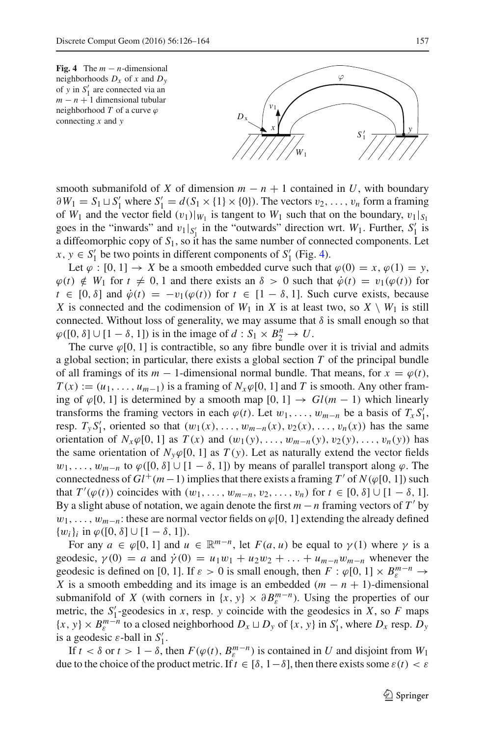<span id="page-31-0"></span>**Fig. 4** The  $m - n$ -dimensional neighborhoods  $D_x$  of *x* and  $D_y$ of *y* in  $S'_1$  are connected via an  $m - n + 1$  dimensional tubular neighborhood *T* of a curve  $\varphi$ connecting *x* and *y*



smooth submanifold of *X* of dimension  $m - n + 1$  contained in *U*, with boundary  $\partial W_1 = S_1 \sqcup S'_1$  where  $S'_1 = d(S_1 \times \{1\} \times \{0\})$ . The vectors  $v_2, \ldots, v_n$  form a framing of  $W_1$  and the vector field  $(v_1)|_{W_1}$  is tangent to  $W_1$  such that on the boundary,  $v_1|_{S_1}$ goes in the "inwards" and  $v_1|_{S_1'}$  in the "outwards" direction wrt.  $W_1$ . Further,  $S_1'$  is a diffeomorphic copy of *S*1, so it has the same number of connected components. Let  $x, y \in S'_1$  be two points in different components of  $S'_1$  (Fig. [4\)](#page-31-0).

Let  $\varphi : [0, 1] \to X$  be a smooth embedded curve such that  $\varphi(0) = x$ ,  $\varphi(1) = y$ ,  $\varphi(t) \notin W_1$  for  $t \neq 0, 1$  and there exists an  $\delta > 0$  such that  $\dot{\varphi}(t) = v_1(\varphi(t))$  for  $t \in [0, \delta]$  and  $\dot{\varphi}(t) = -v_1(\varphi(t))$  for  $t \in [1 - \delta, 1]$ . Such curve exists, because *X* is connected and the codimension of  $W_1$  in *X* is at least two, so  $X \setminus W_1$  is still connected. Without loss of generality, we may assume that  $\delta$  is small enough so that  $\varphi([0, \delta] \cup [1 - \delta, 1])$  is in the image of  $d : S_1 \times B_2^n \to U$ .

The curve  $\varphi$ [0, 1] is contractible, so any fibre bundle over it is trivial and admits a global section; in particular, there exists a global section *T* of the principal bundle of all framings of its  $m - 1$ -dimensional normal bundle. That means, for  $x = \varphi(t)$ ,  $T(x) := (u_1, \ldots, u_{m-1})$  is a framing of  $N_x \varphi[0, 1]$  and *T* is smooth. Any other framing of  $\varphi[0, 1]$  is determined by a smooth map  $[0, 1] \rightarrow Gl(m-1)$  which linearly transforms the framing vectors in each  $\varphi(t)$ . Let  $w_1, \ldots, w_{m-n}$  be a basis of  $T_x S'_1$ , resp.  $T_y S'_1$ , oriented so that  $(w_1(x), \ldots, w_{m-n}(x), v_2(x), \ldots, v_n(x))$  has the same orientation of  $N_x\varphi[0, 1]$  as  $T(x)$  and  $(w_1(y), \ldots, w_{m-n}(y), v_2(y), \ldots, v_n(y))$  has the same orientation of  $N_y \varphi[0, 1]$  as  $T(y)$ . Let as naturally extend the vector fields  $w_1, \ldots, w_{m-n}$  to  $\varphi([0, \delta] \cup [1 - \delta, 1])$  by means of parallel transport along  $\varphi$ . The connectedness of  $Gl^+(m-1)$  implies that there exists a framing *T*' of  $N(\varphi[0, 1])$  such that  $T'(\varphi(t))$  coincides with  $(w_1,\ldots,w_{m-n},v_2,\ldots,v_n)$  for  $t \in [0,\delta] \cup [1-\delta,1]$ . By a slight abuse of notation, we again denote the first  $m - n$  framing vectors of *T'* by  $w_1, \ldots, w_{m-n}$ : these are normal vector fields on  $\varphi[0, 1]$  extending the already defined  $\{w_i\}_i$  in  $\varphi([0, \delta] \cup [1 - \delta, 1]).$ 

For any  $a \in \varphi[0, 1]$  and  $u \in \mathbb{R}^{m-n}$ , let  $F(a, u)$  be equal to  $\gamma(1)$  where  $\gamma$  is a geodesic,  $\gamma(0) = a$  and  $\dot{\gamma}(0) = u_1w_1 + u_2w_2 + ... + u_{m-n}w_{m-n}$  whenever the geodesic is defined on [0, 1]. If  $\varepsilon > 0$  is small enough, then  $F : \varphi[0, 1] \times B_{\varepsilon}^{m-n} \to$ *X* is a smooth embedding and its image is an embedded  $(m - n + 1)$ -dimensional submanifold of *X* (with corners in  $\{x, y\} \times \partial B_{\varepsilon}^{m-n}$ ). Using the properties of our metric, the  $S_1'$ -geodesics in *x*, resp. *y* coincide with the geodesics in *X*, so *F* maps  $\{x, y\} \times B_{\varepsilon}^{m-n}$  to a closed neighborhood  $D_x \sqcup D_y$  of  $\{x, y\}$  in  $S'_1$ , where  $D_x$  resp.  $D_y$ is a geodesic  $\varepsilon$ -ball in  $S'_1$ .

If  $t < \delta$  or  $t > 1 - \delta$ , then  $F(\varphi(t), B_{\varepsilon}^{m-n})$  is contained in *U* and disjoint from  $W_1$ due to the choice of the product metric. If  $t \in [\delta, 1-\delta]$ , then there exists some  $\varepsilon(t) < \varepsilon$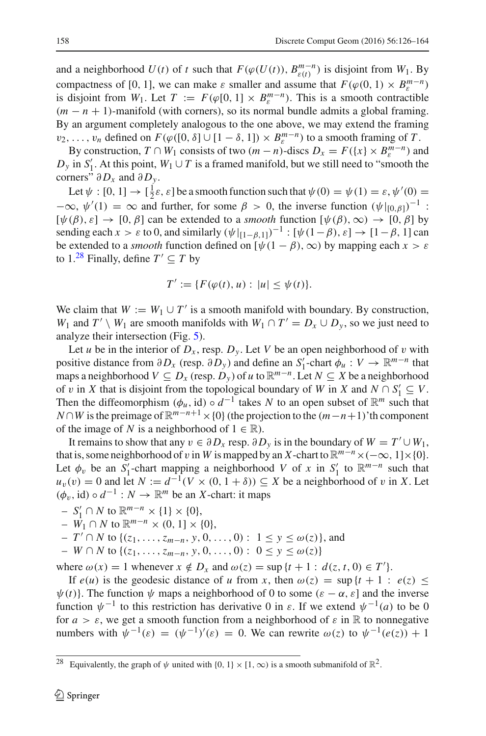and a neighborhood  $U(t)$  of *t* such that  $F(\varphi(U(t)), B^{m-n}_{\varepsilon(t)})$  is disjoint from  $W_1$ . By compactness of [0, 1], we can make  $\varepsilon$  smaller and assume that  $F(\varphi(0, 1) \times B_n^{m-n})$ is disjoint from *W*<sub>1</sub>. Let  $T := F(\varphi[0, 1] \times B^{m-n}_{\varsigma})$ . This is a smooth contractible  $(m - n + 1)$ -manifold (with corners), so its normal bundle admits a global framing. By an argument completely analogous to the one above, we may extend the framing  $v_2, \ldots, v_n$  defined on  $F(\varphi([0, \delta] \cup [1 - \delta, 1]) \times B_{\varepsilon}^{m-n})$  to a smooth framing of *T*.

By construction,  $T \cap W_1$  consists of two  $(m - n)$ -discs  $D_x = F({x} \times B_n^{m-n})$  and  $D_y$  in  $S'_1$ . At this point,  $W_1 \cup T$  is a framed manifold, but we still need to "smooth the corners"  $\partial D_x$  and  $\partial D_y$ .

Let  $\psi : [0, 1] \to [\frac{1}{2}\varepsilon, \varepsilon]$  be a smooth function such that  $\psi(0) = \psi(1) = \varepsilon, \psi'(0) =$  $-\infty$ ,  $\psi'(1) = \infty$  and further, for some  $\beta > 0$ , the inverse function  $(\psi|_{[0,\beta]})^{-1}$ :  $[\psi(\beta), \varepsilon] \rightarrow [0, \beta]$  can be extended to a *smooth* function  $[\psi(\beta), \infty) \rightarrow [0, \beta]$  by sending each *x* >  $\varepsilon$  to 0, and similarly  $(\psi|_{[1-\beta,1]})^{-1} : [\psi(1-\beta), \varepsilon] \to [1-\beta, 1]$  can be extended to a *smooth* function defined on  $[\psi(1 - \beta), \infty)$  by mapping each  $x > \varepsilon$ to 1.<sup>[28](#page-32-0)</sup> Finally, define  $T' \subseteq T$  by

$$
T' := \{ F(\varphi(t), u) : |u| \le \psi(t) \}.
$$

We claim that  $W := W_1 \cup T'$  is a smooth manifold with boundary. By construction, *W*<sub>1</sub> and *T'* \ *W*<sub>1</sub> are smooth manifolds with *W*<sub>1</sub>  $\cap$  *T'* = *D<sub>x</sub>*  $\cup$  *D<sub>y</sub>*, so we just need to analyze their intersection (Fig. [5\)](#page-33-0).

Let *u* be in the interior of  $D_x$ , resp.  $D_y$ . Let *V* be an open neighborhood of *v* with positive distance from  $\partial D_x$  (resp.  $\partial D_y$ ) and define an *S*<sup>1</sup><sub>1</sub>-chart  $\phi_u : V \to \mathbb{R}^{m-n}$  that maps a neighborhood  $V \subseteq D_x$  (resp.  $D_y$ ) of *u* to  $\mathbb{R}^{m-n}$ . Let  $N \subseteq X$  be a neighborhood of v in *X* that is disjoint from the topological boundary of *W* in *X* and  $N \cap S'_1 \subseteq V$ . Then the diffeomorphism ( $\phi_u$ , id)  $\circ d^{-1}$  takes *N* to an open subset of  $\mathbb{R}^m$  such that *N*∩*W* is the preimage of  $\mathbb{R}^{m-n+1}$  × {0} (the projection to the  $(m-n+1)$ 'th component of the image of *N* is a neighborhood of  $1 \in \mathbb{R}$ ).

It remains to show that any  $v \in \partial D_x$  resp.  $\partial D_y$  is in the boundary of  $W = T' \cup W_1$ , that is, some neighborhood of v in *W* is mapped by an *X*-chart to  $\mathbb{R}^{m-n} \times (-\infty, 1] \times \{0\}$ . Let  $\phi_v$  be an *S*<sup>1</sup><sub>1</sub>-chart mapping a neighborhood *V* of *x* in *S*<sup>1</sup><sub>1</sub> to  $\mathbb{R}^{m-n}$  such that  $u_v(v) = 0$  and let  $N := d^{-1}(V \times (0, 1 + \delta)) \subseteq X$  be a neighborhood of v in *X*. Let  $(φ<sub>v</sub>, id) ◦ d<sup>−1</sup> : N → ℝ<sup>m</sup> be an X-chart: it maps$ 

$$
- S'_1 \cap N \text{ to } \mathbb{R}^{m-n} \times \{1\} \times \{0\},
$$

- $-$  *W*<sub>1</sub> ∩ *N* to  $\mathbb{R}^{m-n} \times (0, 1] \times \{0\},$
- $-T' ∩ N$  to {(*z*<sub>1</sub>, ..., *z*<sub>*m*−*n*</sub>, *y*, 0, ..., 0) : 1 ≤ *y* ≤ ω(*z*)}, and
- *W* ∩ *N* to {(*z*1,...,*zm*−*n*, *y*, 0,..., 0) : 0 ≤ *y* ≤ ω(*z*)}

where  $\omega(x) = 1$  whenever  $x \notin D_x$  and  $\omega(z) = \sup \{t + 1 : d(z, t, 0) \in T'\}.$ 

If  $e(u)$  is the geodesic distance of *u* from *x*, then  $\omega(z) = \sup\{t + 1 : e(z)$  $\psi(t)$ }. The function  $\psi$  maps a neighborhood of 0 to some ( $\varepsilon - \alpha$ ,  $\varepsilon$ ) and the inverse function  $\psi^{-1}$  to this restriction has derivative 0 in  $\varepsilon$ . If we extend  $\psi^{-1}(a)$  to be 0 for  $a > \varepsilon$ , we get a smooth function from a neighborhood of  $\varepsilon$  in  $\mathbb R$  to nonnegative numbers with  $\psi^{-1}(\varepsilon) = (\psi^{-1})'(\varepsilon) = 0$ . We can rewrite  $\omega(z)$  to  $\psi^{-1}(e(z)) + 1$ 

<span id="page-32-0"></span>Equivalently, the graph of  $\psi$  united with  $\{0, 1\} \times [1, \infty)$  is a smooth submanifold of  $\mathbb{R}^2$ .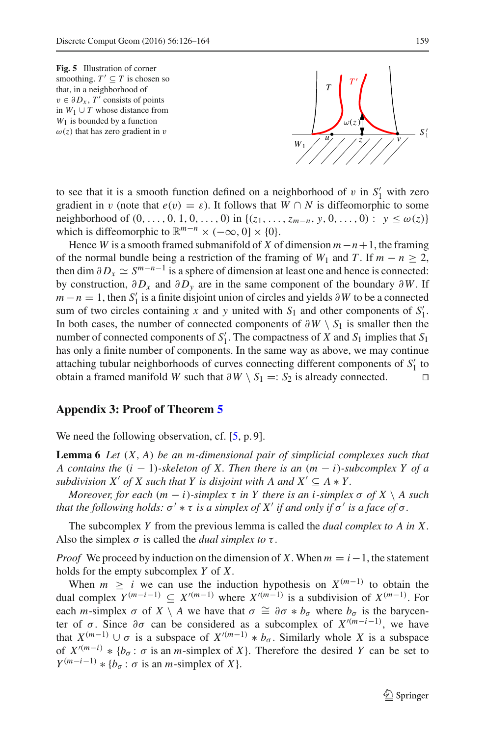<span id="page-33-0"></span>**Fig. 5** Illustration of corner smoothing.  $T' \subseteq T$  is chosen so that, in a neighborhood of  $v \in \partial D_x$ , *T'* consists of points in  $W$ <sup>1</sup> ∪ *T* whose distance from  $W_1$  is bounded by a function  $\omega(z)$  that has zero gradient in v



to see that it is a smooth function defined on a neighborhood of  $v$  in  $S_1'$  with zero gradient in v (note that  $e(v) = \varepsilon$ ). It follows that  $W \cap N$  is diffeomorphic to some neighborhood of  $(0, \ldots, 0, 1, 0, \ldots, 0)$  in  $\{(z_1, \ldots, z_{m-n}, y, 0, \ldots, 0) : y \leq \omega(z)\}\$ which is diffeomorphic to  $\mathbb{R}^{m-n} \times (-\infty, 0] \times \{0\}.$ 

Hence *W* is a smooth framed submanifold of *X* of dimension *m*−*n*+1, the framing of the normal bundle being a restriction of the framing of  $W_1$  and  $T$ . If  $m - n \geq 2$ , then dim  $\partial D_x \simeq S^{m-n-1}$  is a sphere of dimension at least one and hence is connected: by construction, ∂ *Dx* and ∂ *Dy* are in the same component of the boundary ∂*W*. If  $m - n = 1$ , then *S*<sup> $\prime$ </sup> is a finite disjoint union of circles and yields ∂*W* to be a connected sum of two circles containing *x* and *y* united with  $S_1$  and other components of  $S'_1$ . In both cases, the number of connected components of  $\partial W \setminus S_1$  is smaller then the number of connected components of  $S'_1$ . The compactness of *X* and  $S_1$  implies that  $S_1$ has only a finite number of components. In the same way as above, we may continue attaching tubular neighborhoods of curves connecting different components of *S* <sup>1</sup> to obtain a framed manifold *W* such that  $\partial W \setminus S_1 =: S_2$  is already connected.  $\Box$ 

## **Appendix 3: Proof of Theorem [5](#page-7-2)**

<span id="page-33-1"></span>We need the following observation, cf. [\[5](#page-37-20), p. 9].

**Lemma 6** *Let* (*X*, *A*) *be an m-dimensional pair of simplicial complexes such that A contains the* (*i* − 1)*-skeleton of X. Then there is an* (*m* − *i*)*-subcomplex Y of a subdivision*  $X'$  *of*  $X$  *such that*  $Y$  *is disjoint with*  $A$  *and*  $X' \subseteq A * Y$ .

*Moreover, for each*  $(m - i)$ *-simplex*  $\tau$  *in*  $Y$  *there is an i-simplex*  $\sigma$  *of*  $X \setminus A$  *such that the following holds:*  $\sigma' * \tau$  *is a simplex of X' if and only if*  $\sigma'$  *is a face of*  $\sigma$ *.* 

The subcomplex *Y* from the previous lemma is called the *dual complex to A in X*. Also the simplex  $\sigma$  is called the *dual simplex to*  $\tau$ .

*Proof* We proceed by induction on the dimension of *X*. When  $m = i - 1$ , the statement holds for the empty subcomplex *Y* of *X*.

When  $m \geq i$  we can use the induction hypothesis on  $X^{(m-1)}$  to obtain the dual complex  $Y^{(m-i-1)} \subseteq X^{(m-1)}$  where  $X^{(m-1)}$  is a subdivision of  $X^{(m-1)}$ . For each *m*-simplex  $\sigma$  of  $X \setminus A$  we have that  $\sigma \cong \partial \sigma * b_{\sigma}$  where  $b_{\sigma}$  is the barycenter of  $\sigma$ . Since  $\partial \sigma$  can be considered as a subcomplex of  $X^{(m-i-1)}$ , we have that  $X^{(m-1)} \cup \sigma$  is a subspace of  $X^{(m-1)} * b_{\sigma}$ . Similarly whole X is a subspace of  $X^{(m-i)} * \{b_{\sigma} : \sigma \text{ is an } m\text{-simplex of } X\}$ . Therefore the desired *Y* can be set to  $Y^{(m-i-1)} * \{b_{\sigma} : \sigma \text{ is an } m\text{-simplex of } X\}.$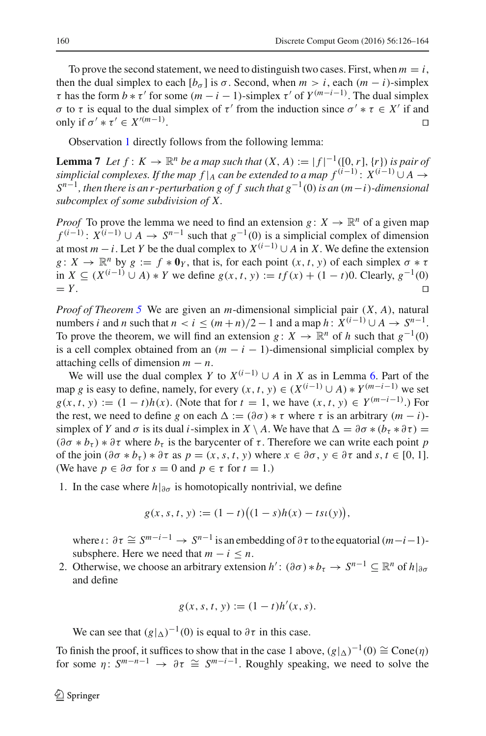To prove the second statement, we need to distinguish two cases. First, when  $m = i$ , then the dual simplex to each  $[b_{\sigma}]$  is  $\sigma$ . Second, when  $m > i$ , each  $(m - i)$ -simplex  $\tau$  has the form  $b * \tau'$  for some  $(m - i - 1)$ -simplex  $\tau'$  of  $Y^{(m-i-1)}$ . The dual simplex *σ* to *τ* is equal to the dual simplex of *τ'* from the induction since *σ'* ∗ *τ* ∈ *X'* if and only if  $σ' * τ' ∈ X'$ <sup> $(m-1)$ only if  $\sigma' * \tau' \in X'^{(m-1)}$ . . In the contract of the contract of the contract of the contract of the contract of the contract of the contra<br>The contract of the contract of the contract of the contract of the contract of the contract of the contract o

<span id="page-34-0"></span>Observation [1](#page-4-3) directly follows from the following lemma:

**Lemma 7** *Let*  $f: K \to \mathbb{R}^n$  *be a map such that*  $(X, A) := |f|^{-1}([0, r], \{r\})$  *is pair of simplicial complexes. If the map f* |*A can be extended to a map f*  $(i-1)$  :  $X^{(i-1)} \cup A \rightarrow$ *<sup>S</sup>n*−1*, then there is an r -perturbation g of f such that g*−1(0)*is an* (*m*−*i*)*-dimensional subcomplex of some subdivision of X.*

*Proof* To prove the lemma we need to find an extension  $g: X \to \mathbb{R}^n$  of a given map  $f^{(i-1)}$ :  $X^{(i-1)} \cup A \rightarrow S^{n-1}$  such that  $g^{-1}(0)$  is a simplicial complex of dimension at most  $m - i$ . Let *Y* be the dual complex to  $X^{(i-1)} \cup A$  in *X*. We define the extension  $g: X \to \mathbb{R}^n$  by  $g := f * 0$ *y*, that is, for each point  $(x, t, y)$  of each simplex  $\sigma * \tau$ in *X* ⊆ (*X*<sup>(*i*−1)</sup> ∪ *A*)  $*$  *Y* we define *g*(*x*, *t*, *y*) := *tf*(*x*) + (1 − *t*)0. Clearly, *g*<sup>-1</sup>(0) = *Y*.  $= Y$  .  $\Box$ 

*Proof of Theorem [5](#page-7-2)* We are given an *m*-dimensional simplicial pair (*X*, *A*), natural numbers *i* and *n* such that  $n < i \leq (m+n)/2 - 1$  and a map  $h: X^{(i-1)} \cup A \rightarrow S^{n-1}$ . To prove the theorem, we will find an extension *g* :  $X \to \mathbb{R}^n$  of *h* such that  $g^{-1}(0)$ is a cell complex obtained from an  $(m - i - 1)$ -dimensional simplicial complex by attaching cells of dimension  $m - n$ .

We will use the dual complex *Y* to  $X^{(i-1)} \cup A$  in *X* as in Lemma [6.](#page-33-1) Part of the map *g* is easy to define, namely, for every  $(x, t, y) \in (X^{(i-1)} \cup A) * Y^{(m-i-1)}$  we set *g*(*x*, *t*, *y*) := (1 − *t*)*h*(*x*). (Note that for *t* = 1, we have (*x*, *t*, *y*) ∈ *Y*<sup>(*m*−*i*−1)</sub>.) For</sup> the rest, we need to define *g* on each  $\Delta := (\partial \sigma) * \tau$  where  $\tau$  is an arbitrary  $(m - i)$ simplex of *Y* and  $\sigma$  is its dual *i*-simplex in *X* \ *A*. We have that  $\Delta = \partial \sigma * (b_\tau * \partial \tau)$  =  $(\partial \sigma * b_{\tau}) * \partial \tau$  where  $b_{\tau}$  is the barycenter of  $\tau$ . Therefore we can write each point *p* of the join  $(\partial \sigma * b_\tau) * \partial \tau$  as  $p = (x, s, t, y)$  where  $x \in \partial \sigma$ ,  $y \in \partial \tau$  and  $s, t \in [0, 1]$ . (We have  $p \in \partial \sigma$  for  $s = 0$  and  $p \in \tau$  for  $t = 1$ .)

1. In the case where  $h|_{\partial \sigma}$  is homotopically nontrivial, we define

$$
g(x, s, t, y) := (1 - t) ((1 - s)h(x) - tsu(y)),
$$

where  $\iota$ :  $\partial \tau \cong S^{m-i-1} \to S^{n-1}$  is an embedding of  $\partial \tau$  to the equatorial  $(m-i-1)$ subsphere. Here we need that  $m - i \leq n$ .

2. Otherwise, we choose an arbitrary extension  $h'$ :  $(\partial \sigma) * b_{\tau} \to S^{n-1} \subseteq \mathbb{R}^n$  of  $h|_{\partial \sigma}$ and define

$$
g(x, s, t, y) := (1 - t)h'(x, s).
$$

We can see that  $(g|_A)^{-1}(0)$  is equal to  $\partial \tau$  in this case.

To finish the proof, it suffices to show that in the case 1 above,  $(g|_A)^{-1}(0) \cong \text{Cone}(\eta)$ for some  $\eta: S^{m-n-1} \to \partial \tau \cong S^{m-i-1}$ . Roughly speaking, we need to solve the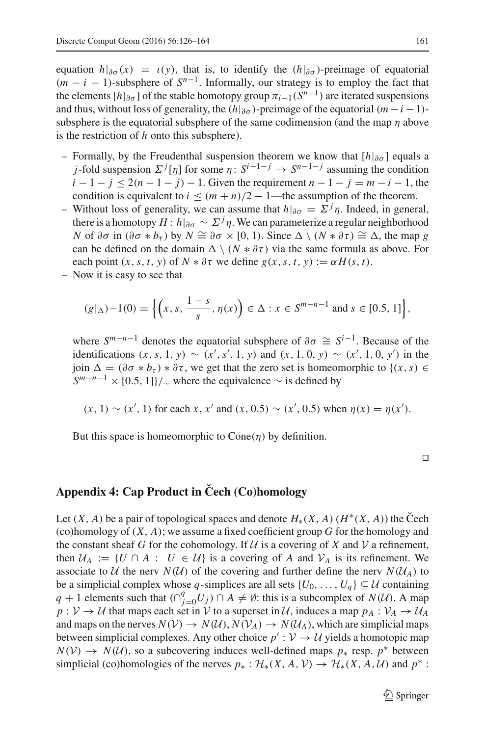equation  $h|_{\partial \sigma}(x) = \iota(y)$ , that is, to identify the  $(h|_{\partial \sigma})$ -preimage of equatorial  $(m - i - 1)$ -subsphere of  $S^{n-1}$ . Informally, our strategy is to employ the fact that the elements  $[h]_{\partial\sigma}$  of the stable homotopy group  $\pi_{i-1}(S^{n-1})$  are iterated suspensions and thus, without loss of generality, the  $(h|_{\partial\sigma})$ -preimage of the equatorial  $(m-i-1)$ subsphere is the equatorial subsphere of the same codimension (and the map  $\eta$  above is the restriction of *h* onto this subsphere).

- Formally, by the Freudenthal suspension theorem we know that  $[h|_{\partial\sigma}]$  equals a *j*-fold suspension  $\Sigma^{j}[\eta]$  for some  $\eta: S^{i-1-j} \to S^{n-1-j}$  assuming the condition  $i - 1 - j \le 2(n - 1 - j) - 1$ . Given the requirement  $n - 1 - j = m - i - 1$ , the condition is equivalent to  $i \leq (m+n)/2 - 1$ —the assumption of the theorem.
- Without loss of generality, we can assume that *h*|∂σ =  $\Sigma^{j}$ η. Indeed, in general, there is a homotopy *H* :  $h|_{\partial \sigma} \sim \Sigma^{j} \eta$ . We can parameterize a regular neighborhood *N* of  $\partial \sigma$  in  $(\partial \sigma * b_{\tau})$  by  $N \cong \partial \sigma \times [0, 1)$ . Since  $\Delta \setminus (N * \partial \tau) \cong \Delta$ , the map *g* can be defined on the domain  $\Delta \setminus (N * \partial \tau)$  via the same formula as above. For each point  $(x, s, t, y)$  of  $N * \partial \tau$  we define  $g(x, s, t, y) := \alpha H(s, t)$ .
- Now it is easy to see that

$$
(g|_{\Delta}) - 1(0) = \left\{ \left( x, s, \frac{1-s}{s}, \eta(x) \right) \in \Delta : x \in S^{m-n-1} \text{ and } s \in [0.5, 1] \right\},\
$$

where  $S^{m-n-1}$  denotes the equatorial subsphere of  $\partial \sigma \cong S^{i-1}$ . Because of the identifications  $(x, s, 1, y)$  ∼  $(x', s', 1, y)$  and  $(x, 1, 0, y)$  ∼  $(x', 1, 0, y')$  in the join  $\Delta = (\partial \sigma * b_\tau) * \partial \tau$ , we get that the zero set is homeomorphic to  $\{(x, s) \in$  $S^{m-n-1}$  × [0.5, 1]}/ $\sim$  where the equivalence  $\sim$  is defined by

$$
(x, 1) \sim (x', 1)
$$
 for each x, x' and  $(x, 0.5) \sim (x', 0.5)$  when  $\eta(x) = \eta(x').$ 

But this space is homeomorphic to  $Cone(\eta)$  by definition.

 $\Box$ 

## **Appendix 4: Cap Product in Cech (Co)homology ˇ**

Let  $(X, A)$  be a pair of topological spaces and denote  $H_*(X, A)$   $(H^*(X, A))$  the Čech (co)homology of (*X*, *A*); we assume a fixed coefficient group *G* for the homology and the constant sheaf *G* for the cohomology. If  $U$  is a covering of *X* and  $V$  a refinement, then  $U_A := \{ U \cap A : U \in \mathcal{U} \}$  is a covering of *A* and  $V_A$  is its refinement. We associate to U the nerv  $N(U)$  of the covering and further define the nerv  $N(U_A)$  to be a simplicial complex whose *q*-simplices are all sets  $\{U_0, \ldots, U_q\} \subseteq \mathcal{U}$  containing *q* + 1 elements such that  $(\bigcap_{j=0}^{q} U_j) \cap A \neq \emptyset$ : this is a subcomplex of *N*(U). A map  $p: V \to U$  that maps each set in V to a superset in U, induces a map  $p_A: V_A \to U_A$ and maps on the nerves  $N(V) \to N(U)$ ,  $N(V_A) \to N(U_A)$ , which are simplicial maps between simplicial complexes. Any other choice  $p' : V \to U$  yields a homotopic map  $N(V) \rightarrow N(U)$ , so a subcovering induces well-defined maps  $p_*$  resp.  $p^*$  between simplicial (co)homologies of the nerves  $p_* : \mathcal{H}_*(X, A, V) \to \mathcal{H}_*(X, A, U)$  and  $p^*$ :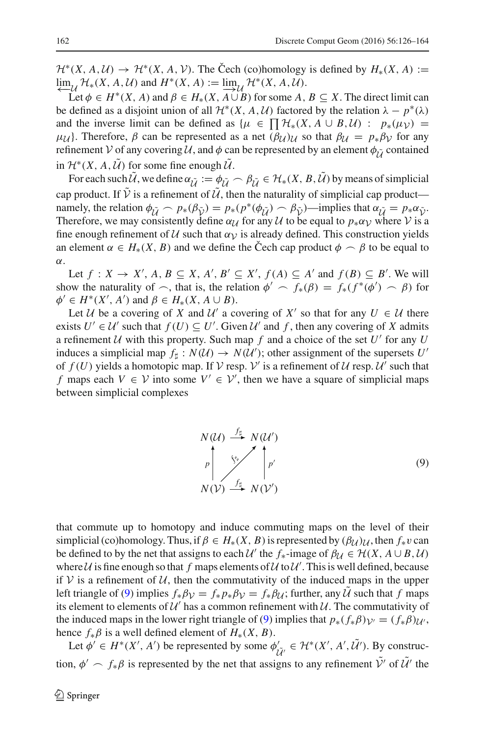$\mathcal{H}^*(X, A, \mathcal{U}) \to \mathcal{H}^*(X, A, \mathcal{V})$ . The Čech (co)homology is defined by  $H_*(X, A) :=$ lim<sub>U</sub> H<sub>∗</sub>(*X*, *A*, *U*) and  $H^*(X, A) := \lim_{M \to \infty} H^*(X, A, U)$ .<br>  $H \nightharpoonup H^*(X, A)$  and  $B \nightharpoonup H^*(X, A)$  is a H  $(B)$  for some A

Let  $\phi \in H^*(X, A)$  and  $\beta \in H_*(X, A \cup B)$  for some  $A, B \subseteq X$ . The direct limit can be defined as a disjoint union of all  $\mathcal{H}^*(X, A, \mathcal{U})$  factored by the relation  $\lambda - p^*(\lambda)$ and the inverse limit can be defined as  $\{\mu \in \prod \mathcal{H}_*(X, A \cup B, \mathcal{U}) : p_*(\mu_{\mathcal{V}}) =$ *μU*}. Therefore, *β* can be represented as a net  $(βU)U$  so that  $βU = p_*β_V$  for any refinement V of any covering U, and  $\phi$  can be represented by an element  $\phi_{\tilde{U}}$  contained in  $\mathcal{H}^*(X, A, \mathcal{U})$  for some fine enough  $\mathcal{U}$ .

For each such  $\tilde{U}$ , we define  $\alpha_{\tilde{U}} := \phi_{\tilde{U}} \cap \beta_{\tilde{U}} \in \mathcal{H}_*(X, B, \tilde{U})$  by means of simplicial cap product. If  $\tilde{V}$  is a refinement of  $\tilde{U}$ , then the naturality of simplicial cap product namely, the relation  $\phi_{\tilde{U}} \frown p_*(\beta_{\tilde{V}}) = p_*(p^*(\phi_{\tilde{U}}) \frown \beta_{\tilde{V}})$ —implies that  $\alpha_{\tilde{U}} = p_* \alpha_{\tilde{V}}$ . Therefore, we may consistently define  $\alpha_U$  for any U to be equal to  $p_*\alpha_V$  where V is a fine enough refinement of  $U$  such that  $\alpha_V$  is already defined. This construction yields an element  $\alpha \in H_*(X, B)$  and we define the Cech cap product  $\phi \cap \beta$  to be equal to α.

Let  $f: X \to X'$ ,  $A, B \subseteq X$ ,  $A', B' \subseteq X'$ ,  $f(A) \subseteq A'$  and  $f(B) \subseteq B'$ . We will show the naturality of  $\frown$ , that is, the relation  $\phi' \frown f_*(\beta) = f_*(f^*(\phi') \frown \beta)$  for  $\phi' \in H^*(X', A')$  and  $\beta \in H_*(X, A \cup B)$ .

Let U be a covering of X and U' a covering of X' so that for any  $U \in U$  there exists  $U' \in \mathcal{U}'$  such that  $f(U) \subseteq U'$ . Given  $\mathcal{U}'$  and  $f$ , then any covering of  $X$  admits a refinement  $U$  with this property. Such map  $f$  and a choice of the set  $U'$  for any  $U$ induces a simplicial map  $f_{\sharp}: N(\mathcal{U}) \to N(\mathcal{U}')$ ; other assignment of the supersets *U*' of  $f(U)$  yields a homotopic map. If V resp. V' is a refinement of U resp. U' such that *f* maps each  $V \in V$  into some  $V' \in V'$ , then we have a square of simplicial maps between simplicial complexes

<span id="page-36-0"></span>
$$
N(\mathcal{U}) \stackrel{f_{\sharp}}{\longrightarrow} N(\mathcal{U}')
$$
\n
$$
p \downarrow \qquad p' \downarrow
$$
\n
$$
N(\mathcal{V}) \stackrel{f_{\sharp}}{\longrightarrow} N(\mathcal{V}')
$$
\n(9)

that commute up to homotopy and induce commuting maps on the level of their simplicial (co)homology. Thus, if  $\beta \in H_*(X, B)$  is represented by  $(\beta \mathcal{U})_{\mathcal{U}}$ , then  $f_*v$  can be defined to by the net that assigns to each  $U'$  the  $f_*$ -image of  $\beta_U \in H(X, A \cup B, U)$ where U is fine enough so that  $f$  maps elements of U to U'. This is well defined, because if  $V$  is a refinement of  $U$ , then the commutativity of the induced maps in the upper left triangle of [\(9\)](#page-36-0) implies  $f_* \beta_V = f_* p_* \beta_V = f_* \beta_U$ ; further, any U such that f maps its element to elements of  $\mathcal{U}'$  has a common refinement with  $\mathcal{U}$ . The commutativity of the induced maps in the lower right triangle of [\(9\)](#page-36-0) implies that  $p_*(f_*\beta)\gamma = (f_*\beta)\gamma$ , hence  $f_*\beta$  is a well defined element of  $H_*(X, B)$ .

Let  $\phi' \in H^*(X', A')$  be represented by some  $\phi'_{\tilde{U'}} \in H^*(X', A', \mathcal{U}')$ . By construction,  $\phi' \frown f_*\beta$  is represented by the net that assigns to any refinement  $\tilde{V}'$  of  $\tilde{U}'$  the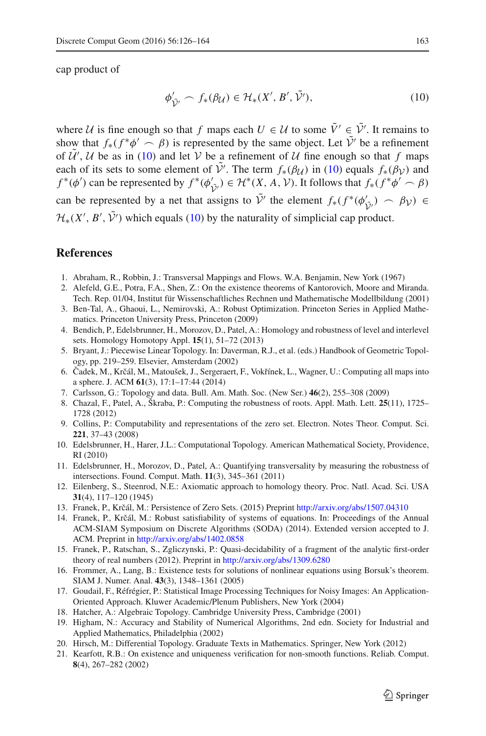<span id="page-37-21"></span>cap product of

$$
\phi_{\tilde{\mathcal{V}}'}' \frown f_*(\beta_{\mathcal{U}}) \in \mathcal{H}_*(X', B', \mathcal{V}'),\tag{10}
$$

where U is fine enough so that *f* maps each  $U \in U$  to some  $V' \in V'$ . It remains to show that  $f_*(f^*\phi' \frown \beta)$  is represented by the same object. Let  $\tilde{V}'$  be a refinement of U', U be as in [\(10\)](#page-37-21) and let V be a refinement of U fine enough so that f maps each of its sets to some element of  $V'$ . The term  $f_*(\beta_{\mathcal{U}})$  in [\(10\)](#page-37-21) equals  $f_*(\beta_{\mathcal{V}})$  and *f* \*( $\phi'$ ) can be represented by  $f^*(\phi_{\tilde{\mathcal{V}}'}') \in \mathcal{H}^*(X, A, V)$ . It follows that  $f_*(f^*\phi' \frown \beta)$  $\mathcal{V}'$ can be represented by a net that assigns to  $V'$  the element  $f_*(f^*(\phi_{\tilde{\mathcal{V}}'}') \frown \beta_{\mathcal{V}}) \in$ *V*˜  $\mathcal{H}_*(X', B', V')$  which equals [\(10\)](#page-37-21) by the naturality of simplicial cap product.

## <span id="page-37-18"></span>**References**

- 1. Abraham, R., Robbin, J.: Transversal Mappings and Flows. W.A. Benjamin, New York (1967)
- <span id="page-37-11"></span>2. Alefeld, G.E., Potra, F.A., Shen, Z.: On the existence theorems of Kantorovich, Moore and Miranda. Tech. Rep. 01/04, Institut für Wissenschaftliches Rechnen und Mathematische Modellbildung (2001)
- <span id="page-37-1"></span>3. Ben-Tal, A., Ghaoui, L., Nemirovski, A.: Robust Optimization. Princeton Series in Applied Mathematics. Princeton University Press, Princeton (2009)
- <span id="page-37-5"></span>4. Bendich, P., Edelsbrunner, H., Morozov, D., Patel, A.: Homology and robustness of level and interlevel sets. Homology Homotopy Appl. **15**(1), 51–72 (2013)
- <span id="page-37-20"></span>5. Bryant, J.: Piecewise Linear Topology. In: Daverman, R.J., et al. (eds.) Handbook of Geometric Topology, pp. 219–259. Elsevier, Amsterdam (2002)
- <span id="page-37-10"></span>6. Čadek, M., Krčál, M., Matoušek, J., Sergeraert, F., Vokřínek, L., Wagner, U.: Computing all maps into a sphere. J. ACM **61**(3), 17:1–17:44 (2014)
- <span id="page-37-0"></span>7. Carlsson, G.: Topology and data. Bull. Am. Math. Soc. (New Ser.) **46**(2), 255–308 (2009)
- <span id="page-37-8"></span>8. Chazal, F., Patel, A., Škraba, P.: Computing the robustness of roots. Appl. Math. Lett. **25**(11), 1725– 1728 (2012)
- 9. Collins, P.: Computability and representations of the zero set. Electron. Notes Theor. Comput. Sci. **221**, 37–43 (2008)
- <span id="page-37-17"></span><span id="page-37-13"></span>10. Edelsbrunner, H., Harer, J.L.: Computational Topology. American Mathematical Society, Providence, RI (2010)
- <span id="page-37-4"></span>11. Edelsbrunner, H., Morozov, D., Patel, A.: Quantifying transversality by measuring the robustness of intersections. Found. Comput. Math. **11**(3), 345–361 (2011)
- <span id="page-37-16"></span>12. Eilenberg, S., Steenrod, N.E.: Axiomatic approach to homology theory. Proc. Natl. Acad. Sci. USA **31**(4), 117–120 (1945)
- <span id="page-37-9"></span>13. Franek, P., Krčál, M.: Persistence of Zero Sets. (2015) Preprint <http://arxiv.org/abs/1507.04310>
- <span id="page-37-7"></span>14. Franek, P., Krčál, M.: Robust satisfiability of systems of equations. In: Proceedings of the Annual ACM-SIAM Symposium on Discrete Algorithms (SODA) (2014). Extended version accepted to J. ACM. Preprint in <http://arxiv.org/abs/1402.0858>
- <span id="page-37-14"></span>15. Franek, P., Ratschan, S., Zgliczynski, P.: Quasi-decidability of a fragment of the analytic first-order theory of real numbers (2012). Preprint in <http://arxiv.org/abs/1309.6280>
- <span id="page-37-12"></span>16. Frommer, A., Lang, B.: Existence tests for solutions of nonlinear equations using Borsuk's theorem. SIAM J. Numer. Anal. **43**(3), 1348–1361 (2005)
- <span id="page-37-2"></span>17. Goudail, F., Réfrégier, P.: Statistical Image Processing Techniques for Noisy Images: An Application-Oriented Approach. Kluwer Academic/Plenum Publishers, New York (2004)
- <span id="page-37-6"></span>18. Hatcher, A.: Algebraic Topology. Cambridge University Press, Cambridge (2001)
- <span id="page-37-3"></span>19. Higham, N.: Accuracy and Stability of Numerical Algorithms, 2nd edn. Society for Industrial and Applied Mathematics, Philadelphia (2002)
- <span id="page-37-19"></span>20. Hirsch, M.: Differential Topology. Graduate Texts in Mathematics. Springer, New York (2012)
- <span id="page-37-15"></span>21. Kearfott, R.B.: On existence and uniqueness verification for non-smooth functions. Reliab. Comput. **8**(4), 267–282 (2002)